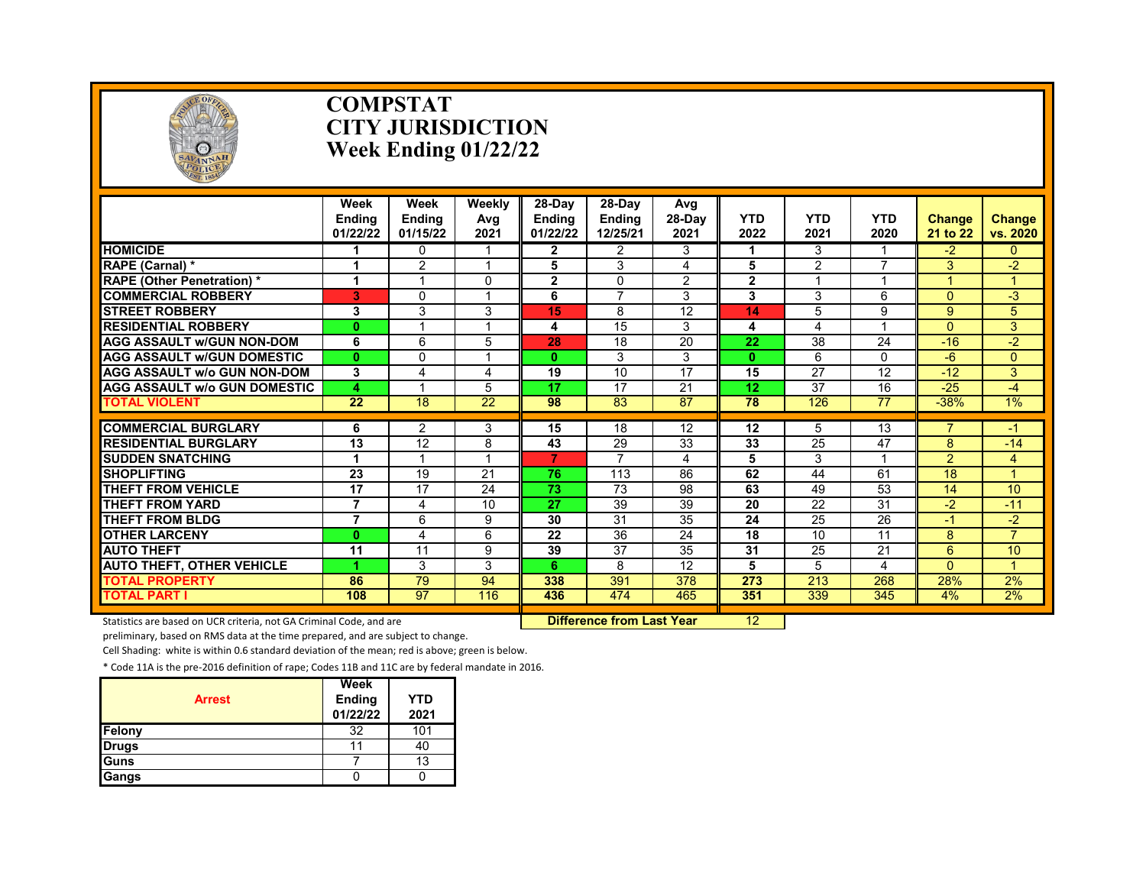

#### **COMPSTAT CITY JURISDICTION Week Ending 01/22/22**

|                                     | Week<br><b>Ending</b><br>01/22/22 | Week<br><b>Endina</b><br>01/15/22 | Weekly<br>Avg<br>2021   | 28-Dav<br><b>Endina</b><br>01/22/22 | 28-Dav<br><b>Ending</b><br>12/25/21 | Avg<br>28-Day<br>2021 | <b>YTD</b><br>2022 | <b>YTD</b><br>2021 | <b>YTD</b><br>2020 | <b>Change</b><br>21 to 22 | Change<br>vs. 2020   |
|-------------------------------------|-----------------------------------|-----------------------------------|-------------------------|-------------------------------------|-------------------------------------|-----------------------|--------------------|--------------------|--------------------|---------------------------|----------------------|
| <b>HOMICIDE</b>                     |                                   | 0                                 |                         | $\mathbf{2}$                        | 2                                   | 3                     |                    | 3                  |                    | -2                        | $\Omega$             |
| RAPE (Carnal) *                     | 1                                 | $\overline{2}$                    | $\overline{\mathbf{A}}$ | 5                                   | 3                                   | 4                     | 5                  | $\overline{2}$     | $\overline{ }$     | 3                         | $-2$                 |
| <b>RAPE (Other Penetration) *</b>   | 1                                 |                                   | $\mathbf{0}$            | $\overline{2}$                      | $\Omega$                            | $\overline{2}$        | $\mathbf{2}$       | -1                 | 4                  |                           | $\blacktriangleleft$ |
| <b>COMMERCIAL ROBBERY</b>           | 3                                 | $\Omega$                          | 1                       | 6                                   | $\overline{ }$                      | 3                     | 3                  | 3                  | 6                  | $\Omega$                  | -3                   |
| <b>STREET ROBBERY</b>               | 3                                 | 3                                 | 3                       | 15                                  | 8                                   | $\overline{12}$       | 14                 | 5                  | 9                  | 9                         | 5                    |
| <b>RESIDENTIAL ROBBERY</b>          | $\bf{0}$                          |                                   | 1                       | 4                                   | 15                                  | 3                     | 4                  | 4                  | 1                  | $\Omega$                  | 3                    |
| <b>AGG ASSAULT w/GUN NON-DOM</b>    | 6                                 | 6                                 | 5                       | 28                                  | 18                                  | 20                    | 22                 | 38                 | 24                 | $-16$                     | $-2$                 |
| <b>AGG ASSAULT W/GUN DOMESTIC</b>   | $\bf{0}$                          | $\Omega$                          | 1                       | $\mathbf{0}$                        | 3                                   | 3                     | $\bf{0}$           | 6                  | $\Omega$           | -6                        | $\Omega$             |
| <b>AGG ASSAULT W/o GUN NON-DOM</b>  | 3                                 | 4                                 | 4                       | 19                                  | 10                                  | 17                    | 15                 | 27                 | 12                 | $-12$                     | 3                    |
| <b>AGG ASSAULT W/o GUN DOMESTIC</b> | 4                                 |                                   | 5                       | 17                                  | 17                                  | 21                    | 12                 | 37                 | 16                 | $-25$                     | -4                   |
| <b>TOTAL VIOLENT</b>                | $\overline{22}$                   | 18                                | $\overline{22}$         | 98                                  | 83                                  | 87                    | 78                 | 126                | $\overline{77}$    | $-38%$                    | $1\%$                |
|                                     |                                   |                                   |                         |                                     |                                     |                       |                    |                    |                    | $\overline{7}$            |                      |
| <b>COMMERCIAL BURGLARY</b>          | 6                                 | $\overline{2}$                    | 3                       | 15                                  | 18                                  | $\overline{12}$       | $\overline{12}$    | 5                  | $\overline{13}$    |                           | -1                   |
| <b>RESIDENTIAL BURGLARY</b>         | 13                                | 12                                | 8                       | 43                                  | 29                                  | 33                    | 33                 | 25                 | 47                 | 8                         | $-14$                |
| <b>SUDDEN SNATCHING</b>             | 1                                 |                                   |                         | 7                                   | 7                                   | 4                     | 5                  | 3                  |                    | $\overline{2}$            | 4                    |
| <b>SHOPLIFTING</b>                  | 23                                | 19                                | 21                      | 76                                  | 113                                 | 86                    | 62                 | 44                 | 61                 | 18                        | $\overline{A}$       |
| <b>THEFT FROM VEHICLE</b>           | 17                                | 17                                | 24                      | 73                                  | 73                                  | 98                    | 63                 | 49                 | 53                 | 14                        | 10                   |
| <b>THEFT FROM YARD</b>              | $\overline{7}$                    | 4                                 | 10                      | 27                                  | 39                                  | 39                    | 20                 | 22                 | 31                 | $-2$                      | $-11$                |
| <b>THEFT FROM BLDG</b>              | $\overline{7}$                    | 6                                 | 9                       | 30                                  | 31                                  | 35                    | 24                 | 25                 | $\overline{26}$    | $-1$                      | $-2$                 |
| <b>OTHER LARCENY</b>                | $\bf{0}$                          | 4                                 | 6                       | 22                                  | 36                                  | 24                    | 18                 | 10                 | 11                 | 8                         | $\overline{7}$       |
| <b>AUTO THEFT</b>                   | 11                                | 11                                | 9                       | 39                                  | 37                                  | 35                    | 31                 | 25                 | 21                 | 6                         | 10                   |
| <b>AUTO THEFT, OTHER VEHICLE</b>    | 4                                 | 3                                 | 3                       | 6                                   | 8                                   | 12                    | 5                  | 5                  | 4                  | $\Omega$                  |                      |
| <b>TOTAL PROPERTY</b>               | 86                                | 79                                | 94                      | 338                                 | 391                                 | 378                   | 273                | 213                | 268                | 28%                       | 2%                   |
| <b>TOTAL PART I</b>                 | 108                               | 97                                | 116                     | 436                                 | 474                                 | 465                   | 351                | 339                | 345                | 4%                        | 2%                   |

Statistics are based on UCR criteria, not GA Criminal Code, and are **Difference from Last Year** 12

preliminary, based on RMS data at the time prepared, and are subject to change.

Cell Shading: white is within 0.6 standard deviation of the mean; red is above; green is below.

| <b>Arrest</b> | Week<br>Ending<br>01/22/22 | <b>YTD</b><br>2021 |
|---------------|----------------------------|--------------------|
| Felony        | 32                         | 101                |
| <b>Drugs</b>  | 11                         | 40                 |
| Guns          |                            | 13                 |
| Gangs         |                            |                    |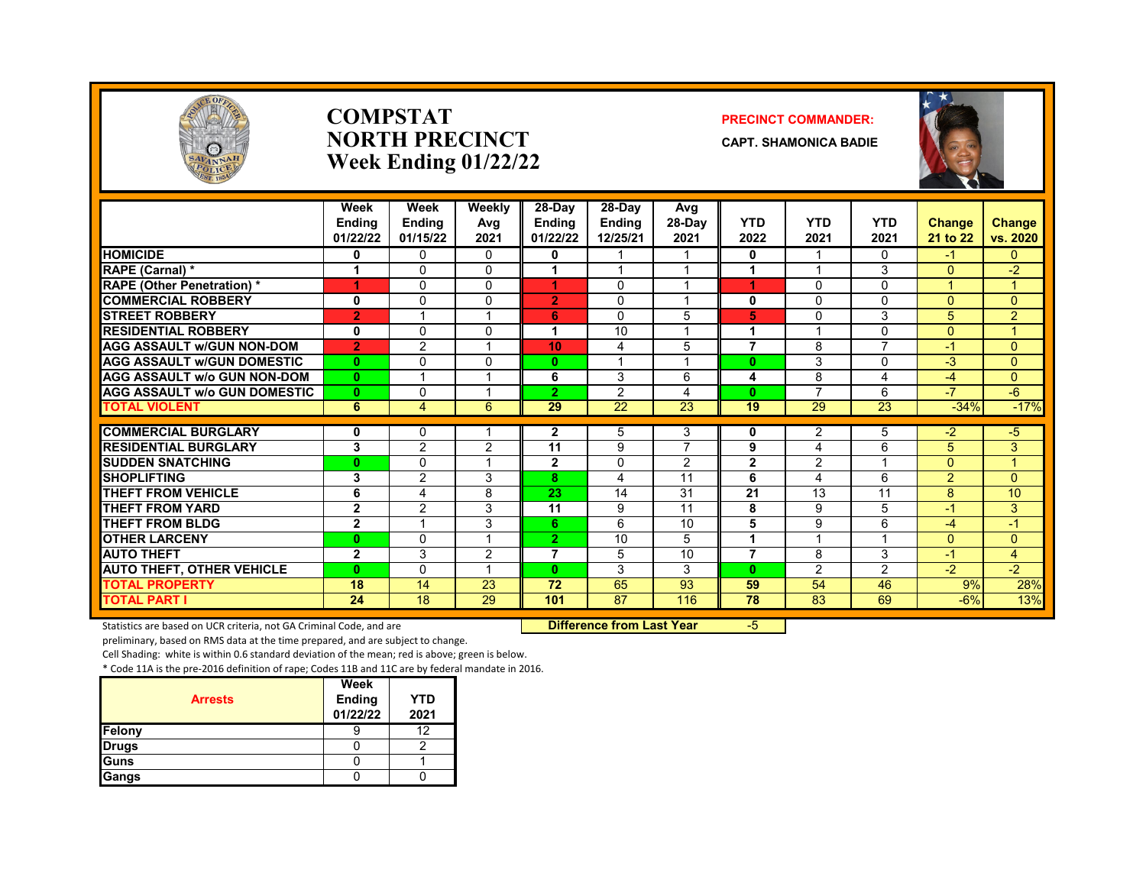

#### **COMPSTAT PRECINCT COMMANDER: NORTH PRECINCT CAPT. SHAMONICA BADIE Week Ending 01/22/22**



|                                     | Week           | Week           | <b>Weekly</b> | 28-Day          | 28-Dav          | Avg             |                 |                 |                 |                |                |
|-------------------------------------|----------------|----------------|---------------|-----------------|-----------------|-----------------|-----------------|-----------------|-----------------|----------------|----------------|
|                                     | <b>Ending</b>  | <b>Ending</b>  | Avg           | <b>Endina</b>   | <b>Ending</b>   | 28-Day          | <b>YTD</b>      | <b>YTD</b>      | <b>YTD</b>      | <b>Change</b>  | <b>Change</b>  |
|                                     | 01/22/22       | 01/15/22       | 2021          | 01/22/22        | 12/25/21        | 2021            | 2022            | 2021            | 2021            | 21 to 22       | vs. 2020       |
| <b>HOMICIDE</b>                     | 0              | $\mathbf{0}$   | 0             | 0               |                 |                 | 0               |                 | 0               | -1             | 0              |
| RAPE (Carnal) *                     |                | $\Omega$       | 0             |                 |                 |                 |                 |                 | 3               | $\Omega$       | $-2$           |
| <b>RAPE (Other Penetration)*</b>    | 1              | $\Omega$       | $\Omega$      | 4               | 0               |                 | 1               | $\Omega$        | $\Omega$        |                |                |
| <b>COMMERCIAL ROBBERY</b>           | $\bf{0}$       | $\Omega$       | $\Omega$      | $\overline{2}$  | $\Omega$        | $\overline{ }$  | 0               | $\Omega$        | $\Omega$        | $\Omega$       | $\Omega$       |
| <b>STREET ROBBERY</b>               | $\overline{2}$ |                |               | 6               | 0               | 5               | 5               | 0               | 3               | 5              | $\overline{2}$ |
| <b>RESIDENTIAL ROBBERY</b>          | 0              | $\Omega$       | 0             | 1               | 10              |                 |                 |                 | $\Omega$        | $\Omega$       |                |
| <b>AGG ASSAULT W/GUN NON-DOM</b>    | $\overline{2}$ | 2              |               | 10              | 4               | 5               | $\overline{7}$  | 8               | 7               | $-1$           | $\overline{0}$ |
| <b>AGG ASSAULT W/GUN DOMESTIC</b>   | $\bf{0}$       | $\Omega$       | 0             | $\bf{0}$        |                 |                 | $\bf{0}$        | 3               | $\Omega$        | $-3$           | 0              |
| <b>AGG ASSAULT w/o GUN NON-DOM</b>  | $\mathbf{0}$   |                |               | 6               | 3               | 6               | 4               | 8               | 4               | $-4$           | $\overline{0}$ |
| <b>AGG ASSAULT w/o GUN DOMESTIC</b> | $\bf{0}$       | $\Omega$       |               | $\overline{2}$  | 2               | 4               | $\bf{0}$        | 7               | 6               | $-7$           | $-6$           |
| <b>TOTAL VIOLENT</b>                | 6              | $\overline{4}$ | 6             | $\overline{29}$ | $\overline{22}$ | $\overline{23}$ | $\overline{19}$ | $\overline{29}$ | $\overline{23}$ | $-34%$         | $-17%$         |
| <b>COMMERCIAL BURGLARY</b>          | 0              | $\Omega$       |               | $\mathbf{2}$    | 5               | 3               | 0               | 2               | 5               | $-2$           | $-5$           |
| <b>RESIDENTIAL BURGLARY</b>         | 3              | $\overline{2}$ | 2             | 11              | 9               | 7               | 9               | $\overline{4}$  | 6               | 5              | 3              |
| <b>SUDDEN SNATCHING</b>             | $\bf{0}$       | $\Omega$       |               | $\overline{2}$  | $\Omega$        | $\overline{2}$  | $\overline{2}$  | 2               |                 | $\Omega$       | $\overline{A}$ |
| <b>SHOPLIFTING</b>                  | 3              | 2              | 3             | 8               | 4               | 11              | 6               | 4               | 6               | $\overline{2}$ | 0              |
| <b>THEFT FROM VEHICLE</b>           | 6              | 4              | 8             | 23              | 14              | 31              | 21              | 13              | 11              | 8              | 10             |
| <b>THEFT FROM YARD</b>              | $\mathbf{2}$   | 2              | 3             | 11              | 9               | 11              | 8               | 9               | 5               | $-1$           | 3              |
| <b>THEFT FROM BLDG</b>              | $\overline{2}$ |                | 3             | 6               | 6               | 10              | 5               | 9               | 6               | $-4$           | $-1$           |
| <b>OTHER LARCENY</b>                | $\bf{0}$       | $\Omega$       |               | $\mathbf{2}$    | 10              | 5               | 1               |                 | $\overline{ }$  | $\Omega$       | 0              |
| <b>AUTO THEFT</b>                   | $\mathbf{2}$   | 3              | 2             | 7               | 5               | 10              | $\overline{7}$  | 8               | 3               | -1             | 4              |
| <b>AUTO THEFT, OTHER VEHICLE</b>    | $\bf{0}$       | $\Omega$       |               | $\mathbf{0}$    | 3               | 3               | $\mathbf{0}$    | 2               | $\overline{2}$  | $-2$           | $-2$           |
| <b>TOTAL PROPERTY</b>               | 18             | 14             | 23            | 72              | 65              | 93              | 59              | 54              | 46              | 9%             | 28%            |
| <b>TOTAL PART I</b>                 | 24             | 18             | 29            | 101             | $\overline{87}$ | 116             | 78              | 83              | 69              | $-6%$          | 13%            |

Statistics are based on UCR criteria, not GA Criminal Code, and are **Difference from Last Year** -5

preliminary, based on RMS data at the time prepared, and are subject to change.

Cell Shading: white is within 0.6 standard deviation of the mean; red is above; green is below.

| <b>Arrests</b> | Week<br>Ending<br>01/22/22 | <b>YTD</b><br>2021 |
|----------------|----------------------------|--------------------|
| Felony         |                            | 12                 |
| <b>Drugs</b>   |                            |                    |
| <b>I</b> Guns  |                            |                    |
| Gangs          |                            |                    |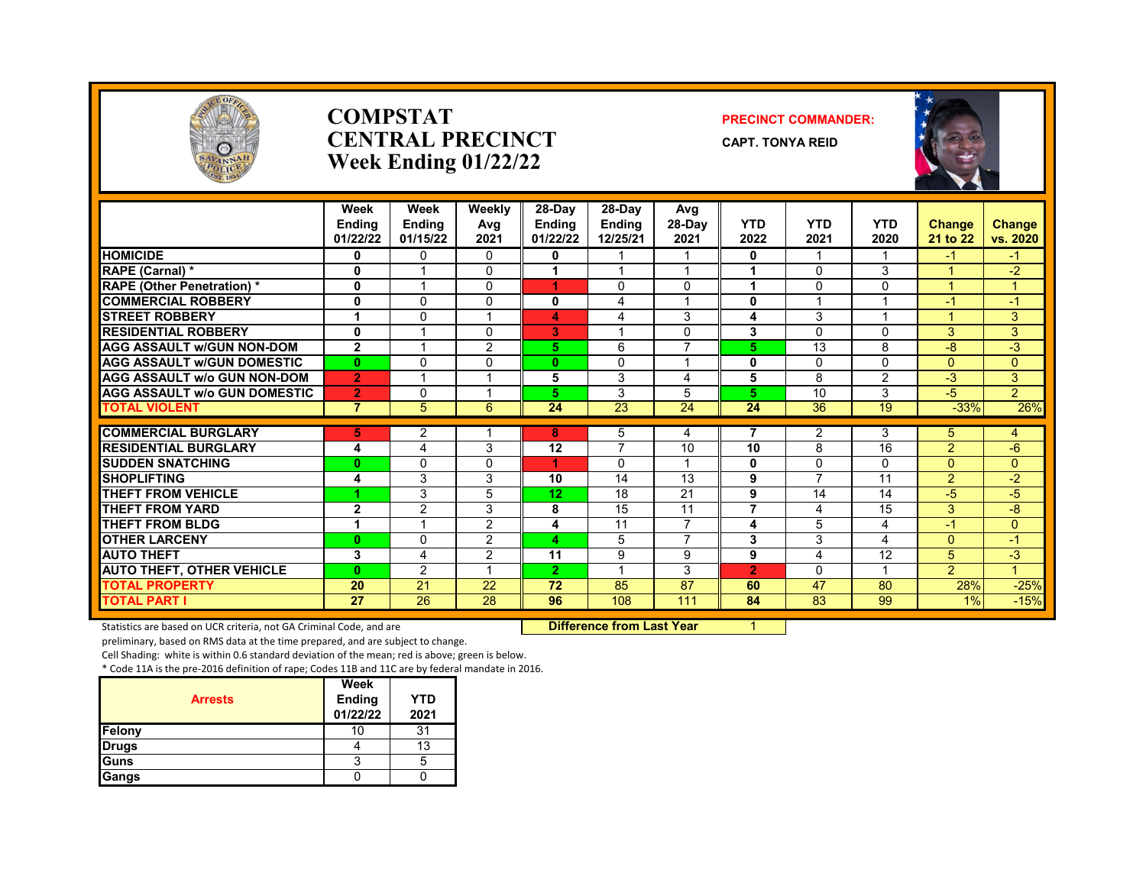

#### **COMPSTAT PRECINCT COMMANDER: CENTRAL PRECINCT CAPT. TONYA REID Week Ending 01/22/22**



| EST. 1854                           |                                   | $\frac{1}{2}$                     |                              |                              |                                     |                          |                    |                          |                    |                           |                           |
|-------------------------------------|-----------------------------------|-----------------------------------|------------------------------|------------------------------|-------------------------------------|--------------------------|--------------------|--------------------------|--------------------|---------------------------|---------------------------|
|                                     | Week<br><b>Ending</b><br>01/22/22 | Week<br><b>Ending</b><br>01/15/22 | <b>Weekly</b><br>Avg<br>2021 | 28-Day<br>Ending<br>01/22/22 | 28-Day<br><b>Ending</b><br>12/25/21 | Avg<br>$28-Dav$<br>2021  | <b>YTD</b><br>2022 | <b>YTD</b><br>2021       | <b>YTD</b><br>2020 | <b>Change</b><br>21 to 22 | <b>Change</b><br>vs. 2020 |
| <b>HOMICIDE</b>                     | 0                                 | 0                                 | $\Omega$                     | 0                            |                                     |                          | 0                  |                          |                    | $-1$                      | $-1$                      |
| RAPE (Carnal) *                     | 0                                 |                                   | $\Omega$                     |                              |                                     |                          |                    | 0                        | 3                  |                           | $-2$                      |
| <b>RAPE (Other Penetration) *</b>   | 0                                 |                                   | 0                            |                              | 0                                   | $\Omega$                 |                    | 0                        | 0                  |                           |                           |
| <b>COMMERCIAL ROBBERY</b>           | $\mathbf 0$                       | $\Omega$                          | $\Omega$                     | 0                            | 4                                   |                          | $\bf{0}$           |                          |                    | $-1$                      | $-1$                      |
| <b>STREET ROBBERY</b>               |                                   | $\mathbf{0}$                      |                              | 4                            | 4                                   | 3                        | 4                  | 3                        |                    |                           | 3                         |
| <b>RESIDENTIAL ROBBERY</b>          | $\mathbf 0$                       |                                   | $\mathbf{0}$                 | 3                            |                                     | $\mathbf 0$              | 3                  | 0                        | $\Omega$           | 3                         | 3                         |
| <b>AGG ASSAULT W/GUN NON-DOM</b>    | $\mathbf{2}$                      |                                   | 2                            | 5.                           | 6                                   | $\overline{\phantom{a}}$ | 5                  | 13                       | 8                  | -8                        | $-3$                      |
| <b>AGG ASSAULT W/GUN DOMESTIC</b>   | $\bf{0}$                          | 0                                 | $\mathbf{0}$                 | $\bf{0}$                     | 0                                   |                          | $\bf{0}$           | 0                        | $\Omega$           | $\Omega$                  | $\mathbf{0}$              |
| <b>AGG ASSAULT W/o GUN NON-DOM</b>  | $\overline{2}$                    |                                   |                              | 5                            | 3                                   | 4                        | 5                  | 8                        | 2                  | $-3$                      | $\overline{3}$            |
| <b>AGG ASSAULT W/o GUN DOMESTIC</b> | $\overline{2}$                    | 0                                 |                              | 5.                           | 3                                   | 5                        | 5                  | 10                       | 3                  | $-5$                      | $\overline{2}$            |
| <b>TOTAL VIOLENT</b>                | $\overline{7}$                    | 5                                 | 6                            | 24                           | 23                                  | 24                       | 24                 | 36                       | 19                 | $-33%$                    | 26%                       |
|                                     |                                   |                                   |                              |                              |                                     |                          |                    |                          |                    |                           |                           |
| <b>COMMERCIAL BURGLARY</b>          | 5.                                | 2                                 |                              | 8.                           | 5                                   | 4                        |                    | 2                        | 3                  | 5.                        | 4                         |
| <b>RESIDENTIAL BURGLARY</b>         | 4                                 | 4                                 | 3                            | 12                           | $\overline{\phantom{a}}$            | 10                       | 10                 | 8                        | 16                 | 2                         | $-6$                      |
| <b>SUDDEN SNATCHING</b>             | $\bf{0}$                          | $\mathbf{0}$                      | $\mathbf{0}$                 |                              | $\Omega$                            |                          | $\bf{0}$           | $\Omega$                 | 0                  | $\Omega$                  | $\mathbf{0}$              |
| <b>SHOPLIFTING</b>                  | 4                                 | 3                                 | 3                            | 10                           | 14                                  | 13                       | 9                  | $\overline{\phantom{a}}$ | 11                 | 2                         | $-2$                      |
| THEFT FROM VEHICLE                  |                                   | 3                                 | 5                            | 12 <sub>2</sub>              | 18                                  | 21                       | 9                  | 14                       | 14                 | $-5$                      | $-5$                      |
| <b>THEFT FROM YARD</b>              | $\overline{2}$                    | $\overline{2}$                    | 3                            | 8                            | 15                                  | 11                       | 7                  | 4                        | 15                 | 3                         | $-8$                      |
| THEFT FROM BLDG                     |                                   |                                   | 2                            | 4                            | 11                                  | 7                        | 4                  | 5                        | 4                  | $-1$                      | $\Omega$                  |

Statistics are based on UCR criteria, not GA Criminal Code, and are **Difference from Last Year** 

**OTHER LARCENY 0** 0 2 **4** 5 7 **3** 3 4 0 -1 **AUTO THEFT 3** 4 2 **11** 9 9 **9** 4 12 5 -3 **AUTO THEFT, OTHER VEHICLE 0** 2 1 **2** 1 3 **2** 0 1 2 1 **TOTAL PROPERTY 20** 21 22 **72** 85 87 **60** 47 80 28% -25% **TOTAL PART I 27** 26 28 **96** 108 111 **84** 83 99 1% -15%

preliminary, based on RMS data at the time prepared, and are subject to change.

Cell Shading: white is within 0.6 standard deviation of the mean; red is above; green is below.

| <b>Arrests</b> | Week<br><b>Ending</b><br>01/22/22 | <b>YTD</b><br>2021 |
|----------------|-----------------------------------|--------------------|
| Felony         | 10                                | 31                 |
| <b>Drugs</b>   |                                   | 13                 |
| Guns           |                                   | 5                  |
| Gangs          |                                   |                    |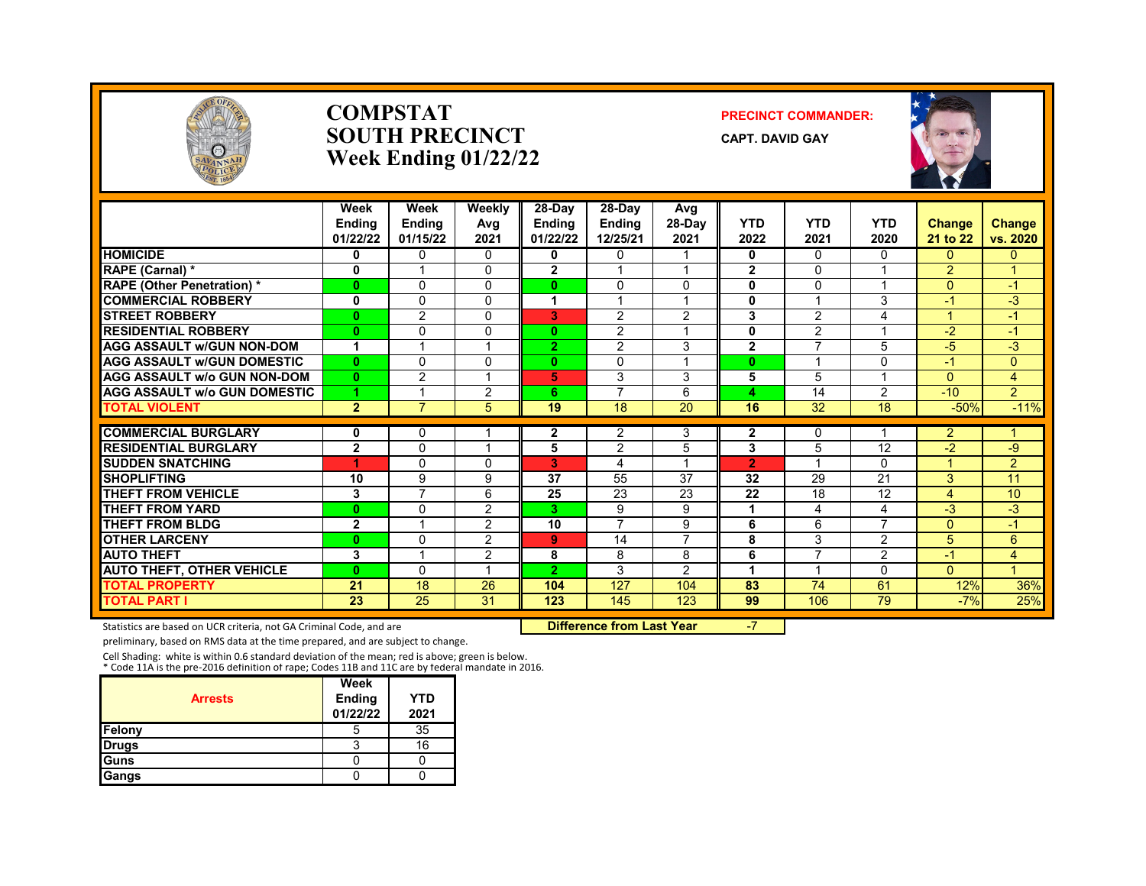

#### **COMPSTAT PRECINCT COMMANDER: SOUTH PRECINCT** CAPT. DAVID GAY **Week Ending 01/22/22**



|                                              | Week<br><b>Ending</b><br>01/22/22 | Week<br><b>Endina</b><br>01/15/22 | Weekly<br>Avg<br>2021 | 28-Day<br><b>Ending</b><br>01/22/22 | 28-Dav<br><b>Ending</b><br>12/25/21 | Avg<br>28-Day<br>2021   | <b>YTD</b><br>2022 | <b>YTD</b><br>2021       | <b>YTD</b><br>2020 | <b>Change</b><br>21 to 22 | <b>Change</b><br>vs. 2020 |
|----------------------------------------------|-----------------------------------|-----------------------------------|-----------------------|-------------------------------------|-------------------------------------|-------------------------|--------------------|--------------------------|--------------------|---------------------------|---------------------------|
| <b>HOMICIDE</b>                              | 0                                 | $\mathbf{0}$                      | 0                     | 0                                   | 0                                   |                         | 0                  | $\Omega$                 | $\Omega$           | 0                         | 0                         |
| RAPE (Carnal) *                              | 0                                 |                                   | $\Omega$              | $\mathbf{2}$                        |                                     |                         | $\mathbf{2}$       | $\Omega$                 |                    | $\overline{2}$            |                           |
| <b>RAPE (Other Penetration) *</b>            | $\mathbf{0}$                      | $\Omega$                          | $\Omega$              | $\bf{0}$                            | $\Omega$                            | $\Omega$                | $\mathbf{0}$       | $\Omega$                 |                    | $\Omega$                  | $\blacktriangleleft$      |
| <b>COMMERCIAL ROBBERY</b>                    | $\bf{0}$                          | $\Omega$                          | 0                     | 1                                   | $\overline{1}$                      | $\overline{1}$          | $\mathbf{0}$       | $\overline{A}$           | 3                  | $-1$                      | $-3$                      |
| <b>STREET ROBBERY</b>                        | $\bf{0}$                          | 2                                 | 0                     | 3                                   | 2                                   | 2                       | 3                  | 2                        | 4                  |                           | $\blacksquare$            |
| <b>RESIDENTIAL ROBBERY</b>                   | $\mathbf{0}$                      | $\Omega$                          | 0                     | $\bf{0}$                            | 2                                   | $\overline{\mathbf{A}}$ | $\mathbf 0$        | 2                        |                    | $-2$                      | $\blacksquare$            |
| <b>AGG ASSAULT w/GUN NON-DOM</b>             | 1                                 |                                   |                       | $\mathbf{2}$                        | 2                                   | 3                       | $\overline{2}$     | $\overline{\phantom{a}}$ | 5                  | $-5$                      | $-3$                      |
| <b>AGG ASSAULT w/GUN DOMESTIC</b>            | $\bf{0}$                          | $\Omega$                          | 0                     | $\mathbf{0}$                        | $\Omega$                            | $\overline{ }$          | $\mathbf{0}$       |                          | 0                  | $-1$                      | 0                         |
| <b>AGG ASSAULT w/o GUN NON-DOM</b>           | $\mathbf{0}$                      | 2                                 |                       | 5                                   | 3                                   | 3                       | 5                  | 5                        |                    | $\Omega$                  | $\overline{4}$            |
| <b>AGG ASSAULT w/o GUN DOMESTIC</b>          | 1                                 |                                   | 2                     | 6                                   | $\overline{ }$                      | 6                       | 4                  | 14                       | $\overline{2}$     | $-10$                     | $\overline{2}$            |
| <b>TOTAL VIOLENT</b>                         | $\overline{2}$                    | 7                                 | 5                     | 19                                  | $\overline{18}$                     | $\overline{20}$         | 16                 | $\overline{32}$          | $\overline{18}$    | $-50%$                    | $-11%$                    |
| <b>COMMERCIAL BURGLARY</b>                   |                                   | $\mathbf{0}$                      |                       |                                     | 2                                   |                         | $\mathbf{2}$       |                          |                    | $\overline{2}$            |                           |
| <b>RESIDENTIAL BURGLARY</b>                  | 0<br>$\overline{2}$               | $\Omega$                          |                       | 2<br>5                              | $\overline{2}$                      | 3<br>5                  | 3                  | 0<br>5                   | $\overline{12}$    | $-2$                      | -9                        |
| <b>SUDDEN SNATCHING</b>                      | 4                                 | $\Omega$                          | $\Omega$              | 3                                   | 4                                   | $\overline{A}$          | $\overline{2}$     | $\overline{\mathbf{A}}$  | $\Omega$           | 4                         | $\overline{2}$            |
| <b>SHOPLIFTING</b>                           | 10                                | 9                                 | 9                     | 37                                  | 55                                  | 37                      | 32                 | 29                       | 21                 | 3                         | 11                        |
| <b>THEFT FROM VEHICLE</b>                    | 3                                 | 7                                 | 6                     | 25                                  | 23                                  | 23                      | 22                 | 18                       | 12                 | 4                         | 10                        |
| <b>THEFT FROM YARD</b>                       | $\mathbf{0}$                      | $\Omega$                          | 2                     | 3.                                  | 9                                   | 9                       | $\overline{1}$     | 4                        | 4                  | $-3$                      | $-3$                      |
| <b>THEFT FROM BLDG</b>                       | $\mathbf{2}$                      | $\overline{ }$                    | $\overline{2}$        | 10                                  | $\overline{7}$                      | 9                       | 6                  | 6                        | $\overline{7}$     | $\Omega$                  | $-1$                      |
| <b>OTHER LARCENY</b>                         | $\bf{0}$                          | $\Omega$                          | 2                     | 9                                   | 14                                  | 7                       | 8                  | 3                        | $\overline{2}$     | 5                         | 6                         |
| <b>AUTO THEFT</b>                            | 3                                 |                                   | 2                     | 8                                   | 8                                   | 8                       | 6                  | $\overline{7}$           | $\overline{2}$     | $-1$                      | 4                         |
|                                              |                                   | $\Omega$                          |                       |                                     | 3                                   | $\overline{2}$          |                    |                          | $\Omega$           |                           |                           |
| <b>AUTO THEFT, OTHER VEHICLE</b>             | $\mathbf{0}$                      | 18                                |                       | 2.                                  |                                     |                         | 83                 | 74                       |                    | $\Omega$                  |                           |
| <b>TOTAL PROPERTY</b><br><b>TOTAL PART I</b> | 21<br>$\overline{23}$             | $\overline{25}$                   | 26<br>$\overline{31}$ | 104<br>123                          | 127<br>145                          | 104<br>123              | 99                 | 106                      | 61<br>79           | 12%                       | 36%<br>25%                |
|                                              |                                   |                                   |                       |                                     |                                     |                         |                    |                          |                    | $-7%$                     |                           |

Statistics are based on UCR criteria, not GA Criminal Code, and are **Difference from Last Year** -7

preliminary, based on RMS data at the time prepared, and are subject to change.

Cell Shading: white is within 0.6 standard deviation of the mean; red is above; green is below. \* Code 11A is the pre-2016 definition of rape; Codes 11B and 11C are by federal mandate in 2016.

| <b>Arrests</b> | Week<br><b>Ending</b><br>01/22/22 | <b>YTD</b><br>2021 |
|----------------|-----------------------------------|--------------------|
| Felony         | G                                 | 35                 |
| <b>Drugs</b>   |                                   | 16                 |
| <b>I</b> Guns  |                                   |                    |
| Gangs          |                                   |                    |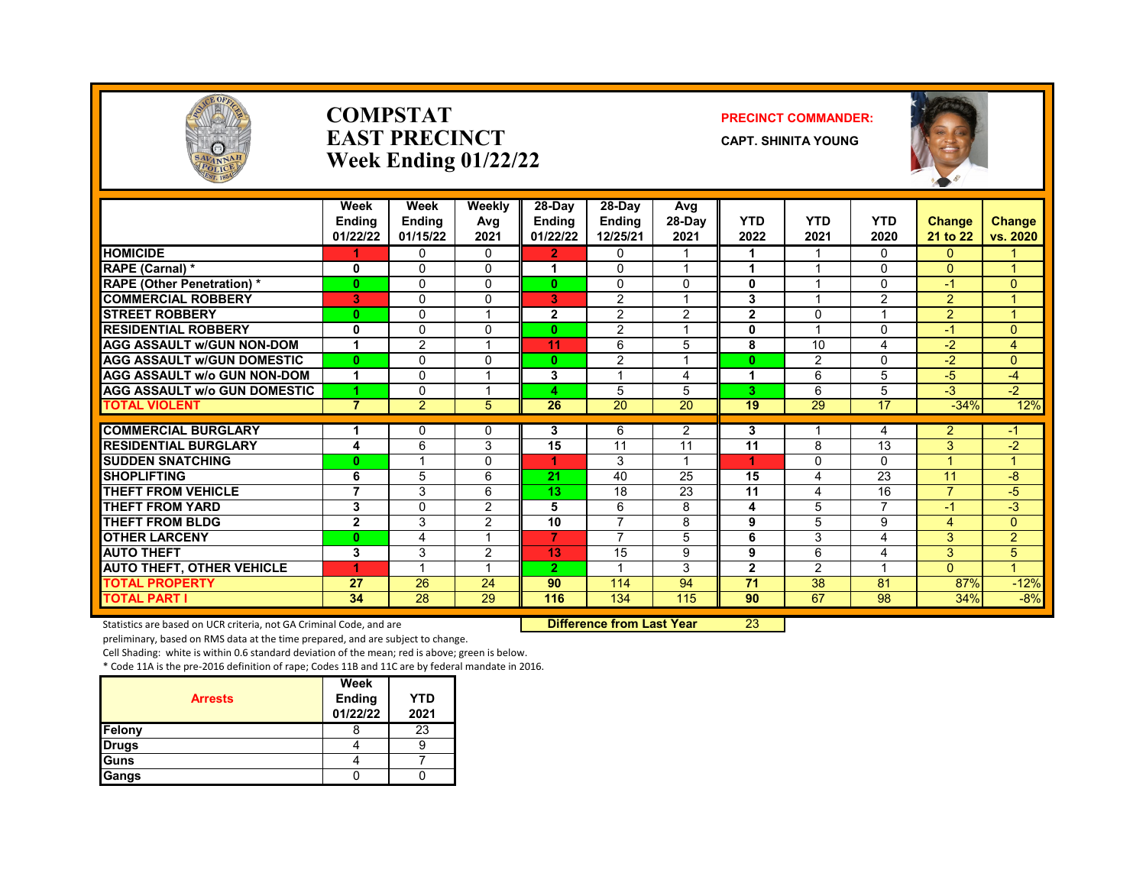

#### **COMPSTAT PRECINCT COMMANDER: EAST PRECINCT CAPT.** SHINITA YOUNG **Week Ending 01/22/22**



|                                     | Week<br><b>Endina</b> | Week<br><b>Endina</b> | Weekly<br>Avg  | 28-Day<br>Endina        | $28-Dav$<br><b>Endina</b> | Avg<br>$28-Dav$ | <b>YTD</b>     | <b>YTD</b>     | <b>YTD</b> | Change                   | <b>Change</b>        |
|-------------------------------------|-----------------------|-----------------------|----------------|-------------------------|---------------------------|-----------------|----------------|----------------|------------|--------------------------|----------------------|
|                                     | 01/22/22              | 01/15/22              | 2021           | 01/22/22                | 12/25/21                  | 2021            | 2022           | 2021           | 2020       | 21 to 22                 | vs. 2020             |
| <b>HOMICIDE</b>                     |                       | $\Omega$              | $\Omega$       | $\mathbf{2}$            | $\mathbf{0}$              | 1               | 1              | $\mathbf 1$    | $\Omega$   | $\Omega$                 |                      |
| RAPE (Carnal) *                     | 0                     | 0                     | $\Omega$       | 1                       | $\Omega$                  | 1               | 1              |                | $\Omega$   | $\Omega$                 | 4                    |
| <b>RAPE (Other Penetration) *</b>   | $\bf{0}$              | $\Omega$              | $\Omega$       | 0                       | $\Omega$                  | 0               | $\bf{0}$       | -1             | $\Omega$   | $-1$                     | $\Omega$             |
| <b>COMMERCIAL ROBBERY</b>           | 3                     | $\mathbf{0}$          | $\Omega$       | 3                       | $\overline{2}$            | 1               | 3              | -1             | 2          | $\overline{2}$           | 4                    |
| <b>STREET ROBBERY</b>               | $\bf{0}$              | $\Omega$              |                | $\overline{2}$          | 2                         | $\overline{2}$  | $\overline{2}$ | $\Omega$       | 4          | $\overline{2}$           | $\blacktriangleleft$ |
| <b>RESIDENTIAL ROBBERY</b>          | $\mathbf{0}$          | $\Omega$              | 0              | 0                       | 2                         | 1               | $\bf{0}$       |                | $\Omega$   | $-1$                     | $\Omega$             |
| <b>AGG ASSAULT w/GUN NON-DOM</b>    | 1                     | $\overline{2}$        |                | 11                      | 6                         | 5               | 8              | 10             | 4          | $-2$                     | 4                    |
| <b>AGG ASSAULT w/GUN DOMESTIC</b>   | $\bf{0}$              | $\mathbf{0}$          | $\Omega$       | 0                       | 2                         | 1               | $\bf{0}$       | 2              | $\Omega$   | $-2$                     | $\Omega$             |
| <b>AGG ASSAULT w/o GUN NON-DOM</b>  | 1                     | $\mathbf{0}$          | -4             | 3                       | $\overline{\mathbf{A}}$   | 4               | -4             | 6              | 5          | $-5$                     | $-4$                 |
| <b>AGG ASSAULT w/o GUN DOMESTIC</b> | 4                     | $\mathbf{0}$          |                | $\overline{\mathbf{A}}$ | 5                         | 5               | 3              | 6              | 5          | $-3$                     | $-2$                 |
| <b>TOTAL VIOLENT</b>                | $\overline{7}$        | 2                     | 5              | 26                      | 20                        | 20              | 19             | 29             | 17         | $-34%$                   | 12%                  |
| <b>COMMERCIAL BURGLARY</b>          |                       | 0                     | 0              | 3                       | 6                         | $\overline{2}$  | 3              |                | 4          | $\overline{2}$           | -1                   |
| <b>RESIDENTIAL BURGLARY</b>         | 4                     | 6                     | 3              | 15                      | 11                        | $\overline{11}$ | 11             | 8              | 13         | 3                        | $-2$                 |
| <b>SUDDEN SNATCHING</b>             | $\bf{0}$              |                       | $\Omega$       | 4                       | 3                         | 1               | и              | $\Omega$       | $\Omega$   | $\overline{A}$           | 1                    |
| <b>SHOPLIFTING</b>                  | 6                     | 5                     | 6              | 21                      | 40                        | 25              | 15             | 4              | 23         | 11                       | $-8$                 |
| <b>THEFT FROM VEHICLE</b>           | $\overline{7}$        | 3                     | 6              | 13 <sub>1</sub>         | 18                        | 23              | 11             | 4              | 16         | $\overline{\phantom{a}}$ | $-5$                 |
| <b>THEFT FROM YARD</b>              | 3                     | $\mathbf{0}$          | $\overline{2}$ | 5                       | 6                         | 8               | 4              | 5              | 7          | $-1$                     | $-3$                 |
| <b>THEFT FROM BLDG</b>              | $\mathbf{2}$          | 3                     | $\overline{2}$ | 10                      | $\overline{7}$            | 8               | 9              | 5              | 9          | 4                        | $\Omega$             |
| <b>OTHER LARCENY</b>                | $\bf{0}$              | 4                     |                | 7                       | $\overline{7}$            | 5               | 6              | 3              | 4          | 3                        | $\overline{2}$       |
| <b>AUTO THEFT</b>                   | 3                     | 3                     | $\overline{2}$ | 13                      | 15                        | 9               | 9              | 6              | 4          | 3                        | 5                    |
| <b>AUTO THEFT, OTHER VEHICLE</b>    | 4                     |                       |                | $\overline{2}$          | $\overline{\mathbf{A}}$   | 3               | $\overline{2}$ | $\overline{2}$ |            | $\Omega$                 | $\blacktriangleleft$ |
| <b>TOTAL PROPERTY</b>               | 27                    | 26                    | 24             | 90                      | 114                       | 94              | 71             | 38             | 81         | 87%                      | $-12%$               |
| <b>TOTAL PART I</b>                 | 34                    | 28                    | 29             | 116                     | 134                       | 115             | 90             | 67             | 98         | 34%                      | $-8%$                |

Statistics are based on UCR criteria, not GA Criminal Code, and are **Difference from Last Year** 23

preliminary, based on RMS data at the time prepared, and are subject to change.

Cell Shading: white is within 0.6 standard deviation of the mean; red is above; green is below.

| <b>Arrests</b> | Week<br><b>Ending</b><br>01/22/22 | <b>YTD</b><br>2021 |
|----------------|-----------------------------------|--------------------|
| Felony         |                                   | 23                 |
| <b>Drugs</b>   |                                   |                    |
| <b>I</b> Guns  |                                   |                    |
| Gangs          |                                   |                    |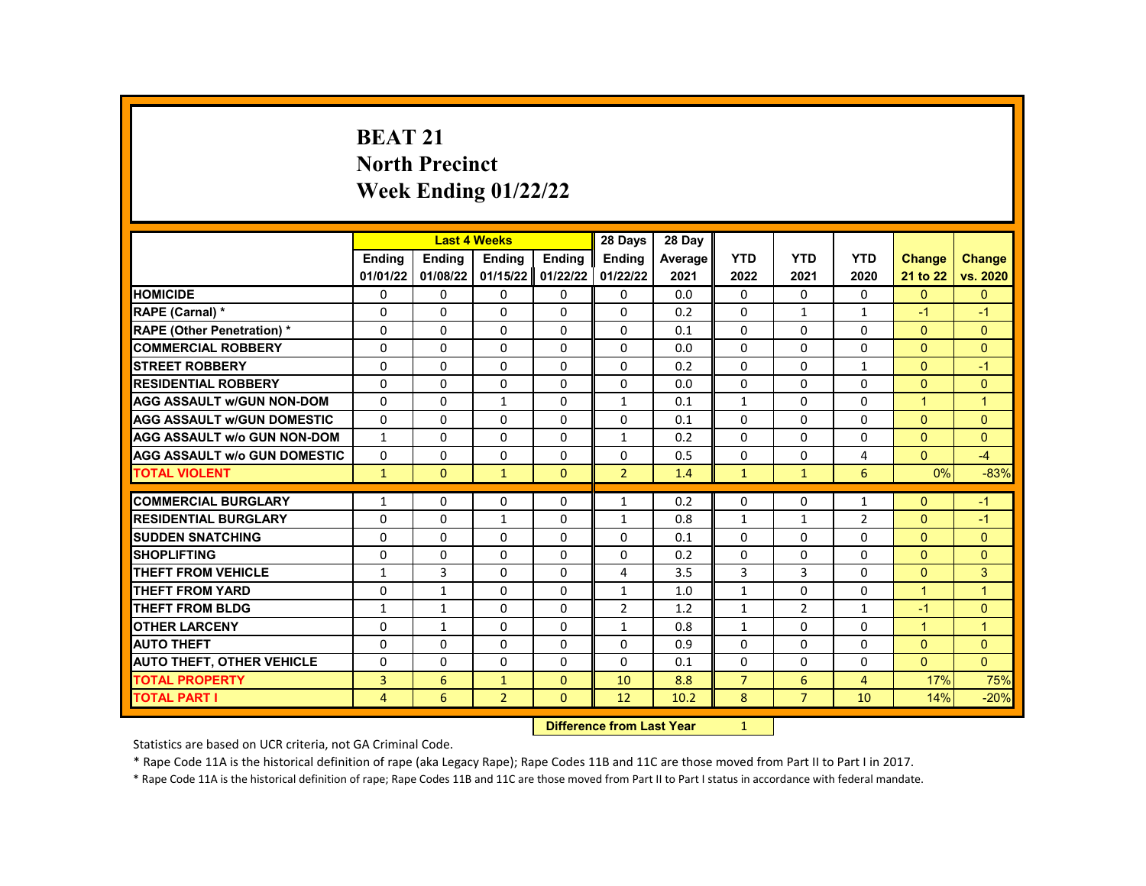# **BEAT 21 North Precinct Week Ending 01/22/22**

|                                     |                  | <b>Last 4 Weeks</b>       |                |                | 28 Days        | 28 Day  |                |                |                |              |                |
|-------------------------------------|------------------|---------------------------|----------------|----------------|----------------|---------|----------------|----------------|----------------|--------------|----------------|
|                                     | Ending           | <b>Ending</b>             | Ending         | <b>Endina</b>  | <b>Ending</b>  | Average | <b>YTD</b>     | <b>YTD</b>     | <b>YTD</b>     | Change       | <b>Change</b>  |
|                                     | 01/01/22         | 01/08/22                  | 01/15/22       | 01/22/22       | 01/22/22       | 2021    | 2022           | 2021           | 2020           | 21 to 22     | vs. 2020       |
| <b>HOMICIDE</b>                     | 0                | 0                         | 0              | 0              | 0              | 0.0     | $\mathbf{0}$   | $\Omega$       | 0              | $\mathbf{0}$ | $\mathbf{0}$   |
| RAPE (Carnal) *                     | 0                | $\Omega$                  | $\Omega$       | $\Omega$       | 0              | 0.2     | $\Omega$       | $\mathbf{1}$   | $\mathbf{1}$   | $-1$         | $-1$           |
| <b>RAPE (Other Penetration) *</b>   | $\mathbf{0}$     | $\Omega$                  | $\Omega$       | $\Omega$       | $\Omega$       | 0.1     | $\Omega$       | $\Omega$       | $\Omega$       | $\Omega$     | $\mathbf{0}$   |
| <b>COMMERCIAL ROBBERY</b>           | 0                | 0                         | 0              | 0              | 0              | 0.0     | $\Omega$       | 0              | $\mathbf 0$    | $\Omega$     | $\mathbf{0}$   |
| <b>STREET ROBBERY</b>               | $\mathbf{0}$     | $\Omega$                  | $\Omega$       | $\Omega$       | $\Omega$       | 0.2     | $\Omega$       | $\Omega$       | $\mathbf{1}$   | $\Omega$     | $-1$           |
| <b>RESIDENTIAL ROBBERY</b>          | $\Omega$         | $\Omega$                  | $\Omega$       | $\Omega$       | $\Omega$       | 0.0     | $\Omega$       | $\Omega$       | $\Omega$       | $\Omega$     | $\mathbf{0}$   |
| <b>AGG ASSAULT w/GUN NON-DOM</b>    | $\Omega$         | $\Omega$                  | $\mathbf{1}$   | 0              | $\mathbf{1}$   | 0.1     | $\mathbf{1}$   | $\Omega$       | 0              | $\mathbf{1}$ | $\overline{1}$ |
| <b>AGG ASSAULT W/GUN DOMESTIC</b>   | $\Omega$         | 0                         | 0              | 0              | 0              | 0.1     | 0              | 0              | $\Omega$       | $\Omega$     | $\overline{0}$ |
| <b>AGG ASSAULT w/o GUN NON-DOM</b>  | 1                | $\Omega$                  | $\mathbf{0}$   | $\Omega$       | $\mathbf{1}$   | 0.2     | $\mathbf{0}$   | $\Omega$       | $\mathbf{0}$   | $\Omega$     | $\overline{0}$ |
| <b>AGG ASSAULT w/o GUN DOMESTIC</b> | $\Omega$         | 0                         | $\Omega$       | 0              | 0              | 0.5     | $\Omega$       | 0              | 4              | $\Omega$     | $-4$           |
| <b>TOTAL VIOLENT</b>                | $\mathbf{1}$     | $\Omega$                  | $\mathbf{1}$   | $\Omega$       | $\overline{2}$ | 1.4     | $\mathbf{1}$   | $\mathbf{1}$   | 6              | 0%           | $-83%$         |
|                                     |                  |                           |                |                |                |         |                |                |                |              |                |
| <b>COMMERCIAL BURGLARY</b>          | 1                | 0                         | 0              | 0              | $\mathbf{1}$   | 0.2     | $\Omega$       | 0              | 1              | $\Omega$     | $-1$           |
| <b>RESIDENTIAL BURGLARY</b>         | 0                | 0                         | $\mathbf{1}$   | 0              | 1              | 0.8     | $\mathbf{1}$   | $\mathbf{1}$   | $\overline{2}$ | $\Omega$     | $-1$           |
| <b>SUDDEN SNATCHING</b>             | 0                | $\Omega$                  | $\Omega$       | $\Omega$       | 0              | 0.1     | $\Omega$       | $\Omega$       | $\Omega$       | $\Omega$     | $\Omega$       |
| <b>SHOPLIFTING</b>                  | 0                | $\Omega$                  | 0              | $\Omega$       | 0              | 0.2     | 0              | $\Omega$       | $\Omega$       | $\Omega$     | $\Omega$       |
| <b>THEFT FROM VEHICLE</b>           | 1                | 3                         | $\Omega$       | 0              | 4              | 3.5     | 3              | 3              | $\Omega$       | $\mathbf{0}$ | 3              |
| <b>THEFT FROM YARD</b>              | 0                | $\mathbf{1}$              | $\Omega$       | $\Omega$       | $\mathbf{1}$   | 1.0     | $\mathbf{1}$   | $\Omega$       | $\Omega$       | $\mathbf{1}$ | $\mathbf{1}$   |
| <b>THEFT FROM BLDG</b>              | $\mathbf{1}$     | $\mathbf{1}$              | $\Omega$       | $\Omega$       | $\overline{2}$ | 1.2     | $\mathbf{1}$   | $\overline{2}$ | $\mathbf{1}$   | $-1$         | $\overline{0}$ |
| <b>OTHER LARCENY</b>                | $\mathbf{0}$     | $\mathbf{1}$              | $\Omega$       | $\Omega$       | $\mathbf{1}$   | 0.8     | $\mathbf{1}$   | $\Omega$       | $\Omega$       | $\mathbf{1}$ | $\mathbf{1}$   |
| <b>AUTO THEFT</b>                   | $\mathbf{0}$     | $\Omega$                  | $\Omega$       | $\Omega$       | 0              | 0.9     | $\Omega$       | $\Omega$       | $\Omega$       | $\Omega$     | $\Omega$       |
| <b>AUTO THEFT, OTHER VEHICLE</b>    | $\Omega$         | 0                         | 0              | 0              | 0              | 0.1     | 0              | 0              | $\Omega$       | $\Omega$     | $\Omega$       |
| <b>TOTAL PROPERTY</b>               | 3                | 6                         | $\mathbf{1}$   | $\mathbf{0}$   | 10             | 8.8     | $\overline{7}$ | 6              | 4              | 17%          | 75%            |
| <b>TOTAL PART I</b>                 | 4                | 6                         | $\overline{2}$ | $\Omega$       | 12             | 10.2    | 8              | $\overline{7}$ | 10             | 14%          | $-20%$         |
|                                     | <b>INSECTION</b> | and Explorer 1, and March |                | $\overline{a}$ |                |         |                |                |                |              |                |

**Difference from Last Year** 1

Statistics are based on UCR criteria, not GA Criminal Code.

\* Rape Code 11A is the historical definition of rape (aka Legacy Rape); Rape Codes 11B and 11C are those moved from Part II to Part I in 2017.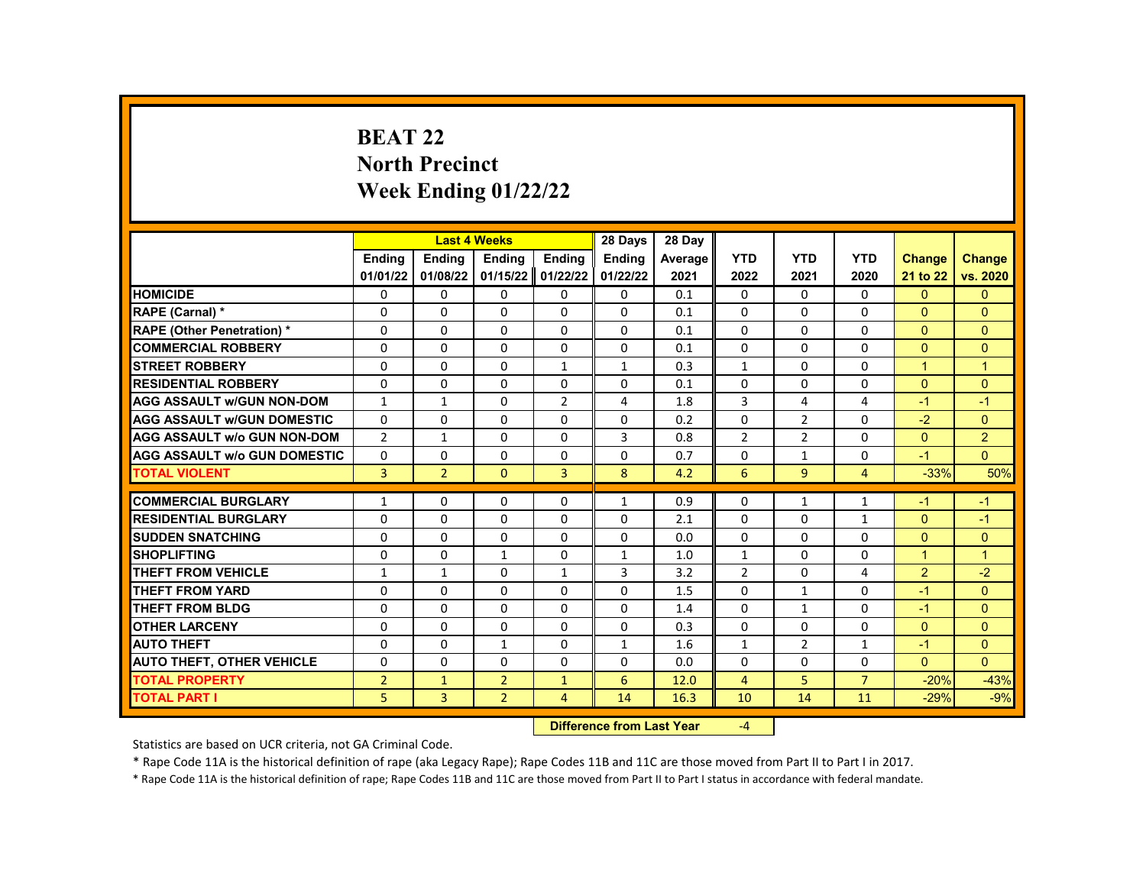# **BEAT 22 North Precinct Week Ending 01/22/22**

| <b>Endina</b><br><b>Ending</b><br><b>Endina</b><br><b>YTD</b><br><b>YTD</b><br><b>YTD</b><br><b>Endina</b><br><b>Ending</b><br>Average<br><b>Change</b><br><b>Change</b><br>01/01/22<br>01/08/22<br>01/15/22<br>01/22/22<br>01/22/22<br>vs. 2020<br>2021<br>2022<br>2021<br>2020<br>21 to 22<br><b>HOMICIDE</b><br>$\mathbf{0}$<br>$\mathbf{0}$<br>0<br>0<br>0<br>0<br>0<br>0.1<br>0<br>$\mathbf{0}$<br>0<br>RAPE (Carnal) *<br>$\Omega$<br>$\Omega$<br>$\Omega$<br>$\Omega$<br>$\Omega$<br>$\Omega$<br>$\Omega$<br>$\Omega$<br>$\Omega$<br>0<br>0.1<br><b>RAPE (Other Penetration) *</b><br>$\Omega$<br>$\Omega$<br>$\Omega$<br>$\Omega$<br>$\Omega$<br>$\Omega$<br>$\Omega$<br>$\Omega$<br>0.1<br>$\Omega$<br>$\Omega$<br><b>COMMERCIAL ROBBERY</b><br>$\Omega$<br>$\Omega$<br>$\Omega$<br>$\Omega$<br>0<br>0<br>0<br>0<br>0.1<br>0<br>0<br>$\Omega$<br>$\Omega$<br>$\Omega$<br>$\Omega$<br>$\Omega$<br>$\mathbf{1}$<br><b>STREET ROBBERY</b><br>$\mathbf{1}$<br>$\mathbf{1}$<br>0.3<br>$\mathbf{1}$<br>$\mathbf{1}$<br>$\Omega$<br>$\Omega$<br>$\Omega$<br>$\Omega$<br>$\Omega$<br><b>RESIDENTIAL ROBBERY</b><br>$\Omega$<br>$\Omega$<br>$\Omega$<br>0.1<br>$\Omega$<br>$\Omega$<br><b>AGG ASSAULT w/GUN NON-DOM</b><br>$\Omega$<br>$\overline{2}$<br>3<br>1<br>1<br>4<br>1.8<br>4<br>4<br>$-1$<br>$-1$<br>$\Omega$<br>$\Omega$<br>$\Omega$<br>$\Omega$<br>$\Omega$<br>$\overline{2}$<br>$-2$<br>$\Omega$<br><b>AGG ASSAULT w/GUN DOMESTIC</b><br>$\Omega$<br>0.2<br>$\Omega$<br>$\overline{2}$<br>$\overline{2}$<br>3<br>$\overline{2}$<br>$\Omega$<br><b>AGG ASSAULT w/o GUN NON-DOM</b><br>$\mathbf{1}$<br>$\Omega$<br>$\Omega$<br>0.8<br>$\overline{2}$<br>$\Omega$<br>$\Omega$<br><b>AGG ASSAULT w/o GUN DOMESTIC</b><br>0<br>0<br>0<br>0<br>0<br>0<br>$\mathbf{1}$<br>0<br>$-1$<br>0.7<br>3<br>$\overline{2}$<br>$\mathbf{0}$<br>3<br>8<br>6<br>9<br>$-33%$<br><b>TOTAL VIOLENT</b><br>4.2<br>$\overline{4}$<br><b>COMMERCIAL BURGLARY</b><br>0<br>0.9<br>0<br>1<br>0<br>0<br>1<br>1<br>1<br>$-1$<br>$-1$<br><b>RESIDENTIAL BURGLARY</b><br>$\Omega$<br>$\Omega$<br>$\Omega$<br>$\Omega$<br>$\Omega$<br>$\Omega$<br>$\Omega$<br>$\Omega$<br>2.1<br>$-1$<br>$\mathbf{1}$<br><b>SUDDEN SNATCHING</b><br>$\Omega$<br>$\Omega$<br>$\Omega$<br>$\Omega$<br>$\Omega$<br>$\Omega$<br>0.0<br>$\Omega$<br>$\Omega$<br>$\Omega$<br>$\Omega$<br><b>SHOPLIFTING</b><br>0<br>0<br>$\mathbf{1}$<br>0<br>$\mathbf{1}$<br>1.0<br>$\mathbf{1}$<br>0<br>0<br>$\blacktriangleleft$<br>$\mathbf{1}$<br>$\overline{2}$<br>$-2$<br><b>THEFT FROM VEHICLE</b><br>$\Omega$<br>3<br>$\overline{2}$<br>$\Omega$<br>$\mathbf{1}$<br>$\mathbf{1}$<br>3.2<br>4<br>1<br><b>THEFT FROM YARD</b><br>$\Omega$<br>$\Omega$<br>$\Omega$<br>$\Omega$<br>$\Omega$<br>$\Omega$<br>1.5<br>$\Omega$<br>$\Omega$<br>$-1$<br>$\mathbf{1}$<br>$\Omega$<br><b>THEFT FROM BLDG</b><br>$\Omega$<br>$\Omega$<br>$\Omega$<br>$\Omega$<br>$\Omega$<br>0<br>$\Omega$<br>$-1$<br>1.4<br>$\mathbf{1}$<br>$\mathbf{0}$<br>0<br>0<br>$\Omega$<br>$\Omega$<br>$\Omega$<br>0<br>$\Omega$<br>$\Omega$<br>$\mathbf{0}$<br><b>OTHER LARCENY</b><br>0.3<br><b>AUTO THEFT</b><br>2<br>$\Omega$<br>$\Omega$<br>0<br>$\mathbf{1}$<br>0<br>$\mathbf{1}$<br>1.6<br>$\mathbf{1}$<br>$-1$<br>1<br>$\Omega$<br><b>AUTO THEFT, OTHER VEHICLE</b><br>$\Omega$<br>$\Omega$<br>$\Omega$<br>$\Omega$<br>$\Omega$<br>0<br>$\Omega$<br>$\Omega$<br>$\Omega$<br>0.0<br><b>TOTAL PROPERTY</b><br>6<br>$\overline{7}$<br>$-20%$<br>$\overline{2}$<br>$\overline{2}$<br>$\overline{4}$<br>5<br>$-43%$<br>$\mathbf{1}$<br>$\mathbf{1}$<br>12.0<br><b>TOTAL PART I</b><br>5<br>3<br>$\overline{2}$<br>$-29%$<br>$-9%$<br>$\overline{4}$<br>14<br>16.3<br>10<br>14<br>11 |  | <b>Last 4 Weeks</b> | 28 Days | 28 Day |  |  |     |
|-------------------------------------------------------------------------------------------------------------------------------------------------------------------------------------------------------------------------------------------------------------------------------------------------------------------------------------------------------------------------------------------------------------------------------------------------------------------------------------------------------------------------------------------------------------------------------------------------------------------------------------------------------------------------------------------------------------------------------------------------------------------------------------------------------------------------------------------------------------------------------------------------------------------------------------------------------------------------------------------------------------------------------------------------------------------------------------------------------------------------------------------------------------------------------------------------------------------------------------------------------------------------------------------------------------------------------------------------------------------------------------------------------------------------------------------------------------------------------------------------------------------------------------------------------------------------------------------------------------------------------------------------------------------------------------------------------------------------------------------------------------------------------------------------------------------------------------------------------------------------------------------------------------------------------------------------------------------------------------------------------------------------------------------------------------------------------------------------------------------------------------------------------------------------------------------------------------------------------------------------------------------------------------------------------------------------------------------------------------------------------------------------------------------------------------------------------------------------------------------------------------------------------------------------------------------------------------------------------------------------------------------------------------------------------------------------------------------------------------------------------------------------------------------------------------------------------------------------------------------------------------------------------------------------------------------------------------------------------------------------------------------------------------------------------------------------------------------------------------------------------------------------------------------------------------------------------------------------------------------------------------------------------------------------------------------------------------------------------------------------------------------------------------------------------------------------------------------------------------------------------------------------------------------------------------------------------------------------------------------------------------------------------------------------------------------------|--|---------------------|---------|--------|--|--|-----|
|                                                                                                                                                                                                                                                                                                                                                                                                                                                                                                                                                                                                                                                                                                                                                                                                                                                                                                                                                                                                                                                                                                                                                                                                                                                                                                                                                                                                                                                                                                                                                                                                                                                                                                                                                                                                                                                                                                                                                                                                                                                                                                                                                                                                                                                                                                                                                                                                                                                                                                                                                                                                                                                                                                                                                                                                                                                                                                                                                                                                                                                                                                                                                                                                                                                                                                                                                                                                                                                                                                                                                                                                                                                                                                 |  |                     |         |        |  |  |     |
|                                                                                                                                                                                                                                                                                                                                                                                                                                                                                                                                                                                                                                                                                                                                                                                                                                                                                                                                                                                                                                                                                                                                                                                                                                                                                                                                                                                                                                                                                                                                                                                                                                                                                                                                                                                                                                                                                                                                                                                                                                                                                                                                                                                                                                                                                                                                                                                                                                                                                                                                                                                                                                                                                                                                                                                                                                                                                                                                                                                                                                                                                                                                                                                                                                                                                                                                                                                                                                                                                                                                                                                                                                                                                                 |  |                     |         |        |  |  |     |
|                                                                                                                                                                                                                                                                                                                                                                                                                                                                                                                                                                                                                                                                                                                                                                                                                                                                                                                                                                                                                                                                                                                                                                                                                                                                                                                                                                                                                                                                                                                                                                                                                                                                                                                                                                                                                                                                                                                                                                                                                                                                                                                                                                                                                                                                                                                                                                                                                                                                                                                                                                                                                                                                                                                                                                                                                                                                                                                                                                                                                                                                                                                                                                                                                                                                                                                                                                                                                                                                                                                                                                                                                                                                                                 |  |                     |         |        |  |  |     |
|                                                                                                                                                                                                                                                                                                                                                                                                                                                                                                                                                                                                                                                                                                                                                                                                                                                                                                                                                                                                                                                                                                                                                                                                                                                                                                                                                                                                                                                                                                                                                                                                                                                                                                                                                                                                                                                                                                                                                                                                                                                                                                                                                                                                                                                                                                                                                                                                                                                                                                                                                                                                                                                                                                                                                                                                                                                                                                                                                                                                                                                                                                                                                                                                                                                                                                                                                                                                                                                                                                                                                                                                                                                                                                 |  |                     |         |        |  |  |     |
|                                                                                                                                                                                                                                                                                                                                                                                                                                                                                                                                                                                                                                                                                                                                                                                                                                                                                                                                                                                                                                                                                                                                                                                                                                                                                                                                                                                                                                                                                                                                                                                                                                                                                                                                                                                                                                                                                                                                                                                                                                                                                                                                                                                                                                                                                                                                                                                                                                                                                                                                                                                                                                                                                                                                                                                                                                                                                                                                                                                                                                                                                                                                                                                                                                                                                                                                                                                                                                                                                                                                                                                                                                                                                                 |  |                     |         |        |  |  |     |
|                                                                                                                                                                                                                                                                                                                                                                                                                                                                                                                                                                                                                                                                                                                                                                                                                                                                                                                                                                                                                                                                                                                                                                                                                                                                                                                                                                                                                                                                                                                                                                                                                                                                                                                                                                                                                                                                                                                                                                                                                                                                                                                                                                                                                                                                                                                                                                                                                                                                                                                                                                                                                                                                                                                                                                                                                                                                                                                                                                                                                                                                                                                                                                                                                                                                                                                                                                                                                                                                                                                                                                                                                                                                                                 |  |                     |         |        |  |  |     |
|                                                                                                                                                                                                                                                                                                                                                                                                                                                                                                                                                                                                                                                                                                                                                                                                                                                                                                                                                                                                                                                                                                                                                                                                                                                                                                                                                                                                                                                                                                                                                                                                                                                                                                                                                                                                                                                                                                                                                                                                                                                                                                                                                                                                                                                                                                                                                                                                                                                                                                                                                                                                                                                                                                                                                                                                                                                                                                                                                                                                                                                                                                                                                                                                                                                                                                                                                                                                                                                                                                                                                                                                                                                                                                 |  |                     |         |        |  |  |     |
|                                                                                                                                                                                                                                                                                                                                                                                                                                                                                                                                                                                                                                                                                                                                                                                                                                                                                                                                                                                                                                                                                                                                                                                                                                                                                                                                                                                                                                                                                                                                                                                                                                                                                                                                                                                                                                                                                                                                                                                                                                                                                                                                                                                                                                                                                                                                                                                                                                                                                                                                                                                                                                                                                                                                                                                                                                                                                                                                                                                                                                                                                                                                                                                                                                                                                                                                                                                                                                                                                                                                                                                                                                                                                                 |  |                     |         |        |  |  |     |
|                                                                                                                                                                                                                                                                                                                                                                                                                                                                                                                                                                                                                                                                                                                                                                                                                                                                                                                                                                                                                                                                                                                                                                                                                                                                                                                                                                                                                                                                                                                                                                                                                                                                                                                                                                                                                                                                                                                                                                                                                                                                                                                                                                                                                                                                                                                                                                                                                                                                                                                                                                                                                                                                                                                                                                                                                                                                                                                                                                                                                                                                                                                                                                                                                                                                                                                                                                                                                                                                                                                                                                                                                                                                                                 |  |                     |         |        |  |  |     |
|                                                                                                                                                                                                                                                                                                                                                                                                                                                                                                                                                                                                                                                                                                                                                                                                                                                                                                                                                                                                                                                                                                                                                                                                                                                                                                                                                                                                                                                                                                                                                                                                                                                                                                                                                                                                                                                                                                                                                                                                                                                                                                                                                                                                                                                                                                                                                                                                                                                                                                                                                                                                                                                                                                                                                                                                                                                                                                                                                                                                                                                                                                                                                                                                                                                                                                                                                                                                                                                                                                                                                                                                                                                                                                 |  |                     |         |        |  |  |     |
|                                                                                                                                                                                                                                                                                                                                                                                                                                                                                                                                                                                                                                                                                                                                                                                                                                                                                                                                                                                                                                                                                                                                                                                                                                                                                                                                                                                                                                                                                                                                                                                                                                                                                                                                                                                                                                                                                                                                                                                                                                                                                                                                                                                                                                                                                                                                                                                                                                                                                                                                                                                                                                                                                                                                                                                                                                                                                                                                                                                                                                                                                                                                                                                                                                                                                                                                                                                                                                                                                                                                                                                                                                                                                                 |  |                     |         |        |  |  |     |
|                                                                                                                                                                                                                                                                                                                                                                                                                                                                                                                                                                                                                                                                                                                                                                                                                                                                                                                                                                                                                                                                                                                                                                                                                                                                                                                                                                                                                                                                                                                                                                                                                                                                                                                                                                                                                                                                                                                                                                                                                                                                                                                                                                                                                                                                                                                                                                                                                                                                                                                                                                                                                                                                                                                                                                                                                                                                                                                                                                                                                                                                                                                                                                                                                                                                                                                                                                                                                                                                                                                                                                                                                                                                                                 |  |                     |         |        |  |  |     |
|                                                                                                                                                                                                                                                                                                                                                                                                                                                                                                                                                                                                                                                                                                                                                                                                                                                                                                                                                                                                                                                                                                                                                                                                                                                                                                                                                                                                                                                                                                                                                                                                                                                                                                                                                                                                                                                                                                                                                                                                                                                                                                                                                                                                                                                                                                                                                                                                                                                                                                                                                                                                                                                                                                                                                                                                                                                                                                                                                                                                                                                                                                                                                                                                                                                                                                                                                                                                                                                                                                                                                                                                                                                                                                 |  |                     |         |        |  |  | 50% |
|                                                                                                                                                                                                                                                                                                                                                                                                                                                                                                                                                                                                                                                                                                                                                                                                                                                                                                                                                                                                                                                                                                                                                                                                                                                                                                                                                                                                                                                                                                                                                                                                                                                                                                                                                                                                                                                                                                                                                                                                                                                                                                                                                                                                                                                                                                                                                                                                                                                                                                                                                                                                                                                                                                                                                                                                                                                                                                                                                                                                                                                                                                                                                                                                                                                                                                                                                                                                                                                                                                                                                                                                                                                                                                 |  |                     |         |        |  |  |     |
|                                                                                                                                                                                                                                                                                                                                                                                                                                                                                                                                                                                                                                                                                                                                                                                                                                                                                                                                                                                                                                                                                                                                                                                                                                                                                                                                                                                                                                                                                                                                                                                                                                                                                                                                                                                                                                                                                                                                                                                                                                                                                                                                                                                                                                                                                                                                                                                                                                                                                                                                                                                                                                                                                                                                                                                                                                                                                                                                                                                                                                                                                                                                                                                                                                                                                                                                                                                                                                                                                                                                                                                                                                                                                                 |  |                     |         |        |  |  |     |
|                                                                                                                                                                                                                                                                                                                                                                                                                                                                                                                                                                                                                                                                                                                                                                                                                                                                                                                                                                                                                                                                                                                                                                                                                                                                                                                                                                                                                                                                                                                                                                                                                                                                                                                                                                                                                                                                                                                                                                                                                                                                                                                                                                                                                                                                                                                                                                                                                                                                                                                                                                                                                                                                                                                                                                                                                                                                                                                                                                                                                                                                                                                                                                                                                                                                                                                                                                                                                                                                                                                                                                                                                                                                                                 |  |                     |         |        |  |  |     |
|                                                                                                                                                                                                                                                                                                                                                                                                                                                                                                                                                                                                                                                                                                                                                                                                                                                                                                                                                                                                                                                                                                                                                                                                                                                                                                                                                                                                                                                                                                                                                                                                                                                                                                                                                                                                                                                                                                                                                                                                                                                                                                                                                                                                                                                                                                                                                                                                                                                                                                                                                                                                                                                                                                                                                                                                                                                                                                                                                                                                                                                                                                                                                                                                                                                                                                                                                                                                                                                                                                                                                                                                                                                                                                 |  |                     |         |        |  |  |     |
|                                                                                                                                                                                                                                                                                                                                                                                                                                                                                                                                                                                                                                                                                                                                                                                                                                                                                                                                                                                                                                                                                                                                                                                                                                                                                                                                                                                                                                                                                                                                                                                                                                                                                                                                                                                                                                                                                                                                                                                                                                                                                                                                                                                                                                                                                                                                                                                                                                                                                                                                                                                                                                                                                                                                                                                                                                                                                                                                                                                                                                                                                                                                                                                                                                                                                                                                                                                                                                                                                                                                                                                                                                                                                                 |  |                     |         |        |  |  |     |
|                                                                                                                                                                                                                                                                                                                                                                                                                                                                                                                                                                                                                                                                                                                                                                                                                                                                                                                                                                                                                                                                                                                                                                                                                                                                                                                                                                                                                                                                                                                                                                                                                                                                                                                                                                                                                                                                                                                                                                                                                                                                                                                                                                                                                                                                                                                                                                                                                                                                                                                                                                                                                                                                                                                                                                                                                                                                                                                                                                                                                                                                                                                                                                                                                                                                                                                                                                                                                                                                                                                                                                                                                                                                                                 |  |                     |         |        |  |  |     |
|                                                                                                                                                                                                                                                                                                                                                                                                                                                                                                                                                                                                                                                                                                                                                                                                                                                                                                                                                                                                                                                                                                                                                                                                                                                                                                                                                                                                                                                                                                                                                                                                                                                                                                                                                                                                                                                                                                                                                                                                                                                                                                                                                                                                                                                                                                                                                                                                                                                                                                                                                                                                                                                                                                                                                                                                                                                                                                                                                                                                                                                                                                                                                                                                                                                                                                                                                                                                                                                                                                                                                                                                                                                                                                 |  |                     |         |        |  |  |     |
|                                                                                                                                                                                                                                                                                                                                                                                                                                                                                                                                                                                                                                                                                                                                                                                                                                                                                                                                                                                                                                                                                                                                                                                                                                                                                                                                                                                                                                                                                                                                                                                                                                                                                                                                                                                                                                                                                                                                                                                                                                                                                                                                                                                                                                                                                                                                                                                                                                                                                                                                                                                                                                                                                                                                                                                                                                                                                                                                                                                                                                                                                                                                                                                                                                                                                                                                                                                                                                                                                                                                                                                                                                                                                                 |  |                     |         |        |  |  |     |
|                                                                                                                                                                                                                                                                                                                                                                                                                                                                                                                                                                                                                                                                                                                                                                                                                                                                                                                                                                                                                                                                                                                                                                                                                                                                                                                                                                                                                                                                                                                                                                                                                                                                                                                                                                                                                                                                                                                                                                                                                                                                                                                                                                                                                                                                                                                                                                                                                                                                                                                                                                                                                                                                                                                                                                                                                                                                                                                                                                                                                                                                                                                                                                                                                                                                                                                                                                                                                                                                                                                                                                                                                                                                                                 |  |                     |         |        |  |  |     |
|                                                                                                                                                                                                                                                                                                                                                                                                                                                                                                                                                                                                                                                                                                                                                                                                                                                                                                                                                                                                                                                                                                                                                                                                                                                                                                                                                                                                                                                                                                                                                                                                                                                                                                                                                                                                                                                                                                                                                                                                                                                                                                                                                                                                                                                                                                                                                                                                                                                                                                                                                                                                                                                                                                                                                                                                                                                                                                                                                                                                                                                                                                                                                                                                                                                                                                                                                                                                                                                                                                                                                                                                                                                                                                 |  |                     |         |        |  |  |     |
|                                                                                                                                                                                                                                                                                                                                                                                                                                                                                                                                                                                                                                                                                                                                                                                                                                                                                                                                                                                                                                                                                                                                                                                                                                                                                                                                                                                                                                                                                                                                                                                                                                                                                                                                                                                                                                                                                                                                                                                                                                                                                                                                                                                                                                                                                                                                                                                                                                                                                                                                                                                                                                                                                                                                                                                                                                                                                                                                                                                                                                                                                                                                                                                                                                                                                                                                                                                                                                                                                                                                                                                                                                                                                                 |  |                     |         |        |  |  |     |
|                                                                                                                                                                                                                                                                                                                                                                                                                                                                                                                                                                                                                                                                                                                                                                                                                                                                                                                                                                                                                                                                                                                                                                                                                                                                                                                                                                                                                                                                                                                                                                                                                                                                                                                                                                                                                                                                                                                                                                                                                                                                                                                                                                                                                                                                                                                                                                                                                                                                                                                                                                                                                                                                                                                                                                                                                                                                                                                                                                                                                                                                                                                                                                                                                                                                                                                                                                                                                                                                                                                                                                                                                                                                                                 |  |                     |         |        |  |  |     |
|                                                                                                                                                                                                                                                                                                                                                                                                                                                                                                                                                                                                                                                                                                                                                                                                                                                                                                                                                                                                                                                                                                                                                                                                                                                                                                                                                                                                                                                                                                                                                                                                                                                                                                                                                                                                                                                                                                                                                                                                                                                                                                                                                                                                                                                                                                                                                                                                                                                                                                                                                                                                                                                                                                                                                                                                                                                                                                                                                                                                                                                                                                                                                                                                                                                                                                                                                                                                                                                                                                                                                                                                                                                                                                 |  |                     |         |        |  |  |     |

**Difference from Last Year** 

Statistics are based on UCR criteria, not GA Criminal Code.

\* Rape Code 11A is the historical definition of rape (aka Legacy Rape); Rape Codes 11B and 11C are those moved from Part II to Part I in 2017.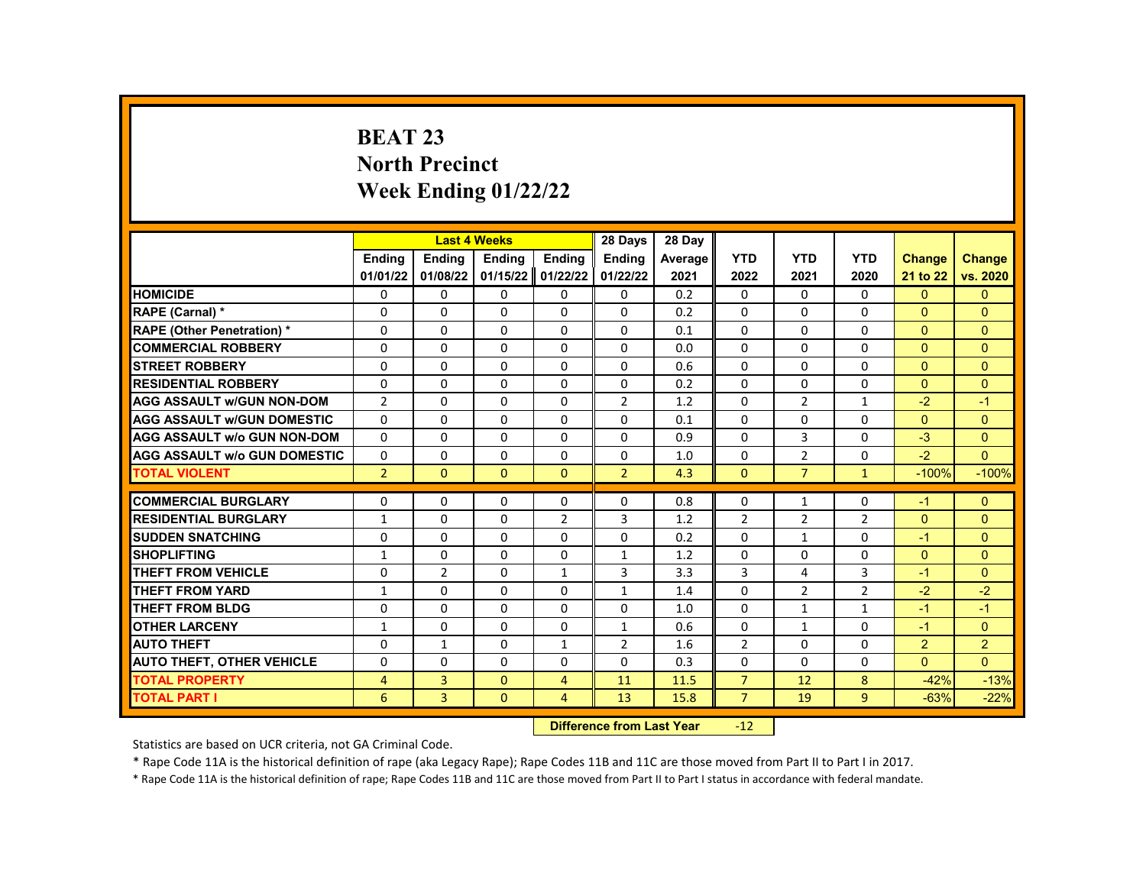# **BEAT 23 North Precinct Week Ending 01/22/22**

|                                     |                |                | <b>Last 4 Weeks</b> |                  | 28 Days                 | 28 Day  |                |                |                |                |               |
|-------------------------------------|----------------|----------------|---------------------|------------------|-------------------------|---------|----------------|----------------|----------------|----------------|---------------|
|                                     | <b>Endina</b>  | <b>Endina</b>  | <b>Ending</b>       | Ending           | Ending                  | Average | <b>YTD</b>     | <b>YTD</b>     | <b>YTD</b>     | <b>Change</b>  | <b>Change</b> |
|                                     | 01/01/22       | 01/08/22       | 01/15/22            | 01/22/22         | 01/22/22                | 2021    | 2022           | 2021           | 2020           | 21 to 22       | vs. 2020      |
| <b>HOMICIDE</b>                     | 0              | 0              | 0                   | 0                | 0                       | 0.2     | 0              | $\mathbf{0}$   | 0              | $\mathbf{0}$   | $\mathbf{0}$  |
| RAPE (Carnal) *                     | 0              | 0              | 0                   | 0                | $\Omega$                | 0.2     | $\Omega$       | 0              | 0              | $\Omega$       | $\Omega$      |
| <b>RAPE (Other Penetration)*</b>    | $\Omega$       | $\Omega$       | $\Omega$            | $\Omega$         | $\Omega$                | 0.1     | $\Omega$       | $\Omega$       | $\Omega$       | $\Omega$       | $\Omega$      |
| <b>COMMERCIAL ROBBERY</b>           | 0              | 0              | 0                   | 0                | 0                       | 0.0     | 0              | 0              | 0              | $\mathbf{0}$   | $\mathbf{0}$  |
| <b>STREET ROBBERY</b>               | $\Omega$       | $\Omega$       | $\Omega$            | $\Omega$         | $\Omega$                | 0.6     | $\Omega$       | $\Omega$       | $\Omega$       | $\Omega$       | $\Omega$      |
| <b>RESIDENTIAL ROBBERY</b>          | $\Omega$       | $\Omega$       | $\Omega$            | $\Omega$         | $\Omega$                | 0.2     | $\Omega$       | $\Omega$       | $\Omega$       | $\Omega$       | $\Omega$      |
| <b>AGG ASSAULT w/GUN NON-DOM</b>    | $\overline{2}$ | $\Omega$       | $\Omega$            | $\Omega$         | $\overline{2}$          | 1.2     | $\Omega$       | $\overline{2}$ | $\mathbf{1}$   | $-2$           | $-1$          |
| <b>AGG ASSAULT w/GUN DOMESTIC</b>   | $\Omega$       | $\Omega$       | $\Omega$            | $\Omega$         | $\Omega$                | 0.1     | $\Omega$       | $\Omega$       | $\Omega$       | $\Omega$       | $\Omega$      |
| <b>AGG ASSAULT w/o GUN NON-DOM</b>  | $\Omega$       | $\Omega$       | $\Omega$            | $\Omega$         | $\Omega$                | 0.9     | $\Omega$       | 3              | $\Omega$       | $-3$           | $\Omega$      |
| <b>AGG ASSAULT w/o GUN DOMESTIC</b> | 0              | 0              | 0                   | 0                | 0                       | 1.0     | 0              | $\overline{2}$ | 0              | $-2$           | $\mathbf{0}$  |
| <b>TOTAL VIOLENT</b>                | $\overline{2}$ | $\Omega$       | $\Omega$            | $\Omega$         | $\overline{2}$          | 4.3     | $\Omega$       | $\overline{7}$ | $\mathbf{1}$   | $-100%$        | $-100%$       |
|                                     |                |                |                     |                  |                         |         |                |                |                |                |               |
| <b>COMMERCIAL BURGLARY</b>          | 0              | 0              | 0                   | 0                | 0                       | 0.8     | 0              | $\mathbf{1}$   | 0              | $-1$           | $\mathbf{0}$  |
| <b>RESIDENTIAL BURGLARY</b>         | $\mathbf{1}$   | 0              | $\Omega$            | $\overline{2}$   | 3                       | 1.2     | $\overline{2}$ | $\overline{2}$ | $\overline{2}$ | $\mathbf{0}$   | $\mathbf{0}$  |
| <b>SUDDEN SNATCHING</b>             | $\Omega$       | $\Omega$       | $\Omega$            | $\Omega$         | $\Omega$                | 0.2     | $\Omega$       | $\mathbf{1}$   | $\Omega$       | $-1$           | $\Omega$      |
| <b>SHOPLIFTING</b>                  | 1              | $\Omega$       | $\Omega$            | $\Omega$         | $\mathbf{1}$            | 1.2     | $\Omega$       | $\Omega$       | $\Omega$       | $\Omega$       | $\Omega$      |
| <b>THEFT FROM VEHICLE</b>           | $\Omega$       | $\overline{2}$ | $\Omega$            | $\mathbf{1}$     | $\overline{3}$          | 3.3     | 3              | 4              | 3              | $-1$           | $\Omega$      |
| THEFT FROM YARD                     | $\mathbf{1}$   | $\Omega$       | $\Omega$            | $\Omega$         | $\mathbf{1}$            | 1.4     | $\Omega$       | $\overline{2}$ | $\overline{2}$ | $-2$           | $-2$          |
| <b>THEFT FROM BLDG</b>              | $\Omega$       | $\Omega$       | $\Omega$            | $\Omega$         | $\Omega$                | 1.0     | $\Omega$       | $\mathbf{1}$   | $\mathbf{1}$   | $-1$           | $-1$          |
| <b>OTHER LARCENY</b>                | $\mathbf{1}$   | $\Omega$       | $\Omega$            | $\Omega$         | $\mathbf{1}$            | 0.6     | $\Omega$       | $\mathbf{1}$   | $\Omega$       | $-1$           | $\Omega$      |
| <b>AUTO THEFT</b>                   | $\Omega$       | $\mathbf{1}$   | $\Omega$            | $\mathbf{1}$     | 2                       | 1.6     | $\overline{2}$ | $\Omega$       | $\Omega$       | $\overline{2}$ | 2             |
| <b>AUTO THEFT, OTHER VEHICLE</b>    | 0              | $\Omega$       | 0                   | $\Omega$         | $\Omega$                | 0.3     | $\Omega$       | 0              | 0              | $\Omega$       | $\Omega$      |
| <b>TOTAL PROPERTY</b>               | $\overline{4}$ | 3              | $\Omega$            | 4                | 11                      | 11.5    | $\overline{7}$ | 12             | 8              | $-42%$         | $-13%$        |
| <b>TOTAL PART I</b>                 | 6              | 3              | $\Omega$            | $\overline{4}$   | 13                      | 15.8    | $\overline{7}$ | 19             | $\overline{9}$ | $-63%$         | $-22%$        |
|                                     |                |                |                     | <b>INSECTION</b> | a a dheann 1 a an Malan |         | $\sim$         |                |                |                |               |

**Difference from Last Year** -12

Statistics are based on UCR criteria, not GA Criminal Code.

\* Rape Code 11A is the historical definition of rape (aka Legacy Rape); Rape Codes 11B and 11C are those moved from Part II to Part I in 2017.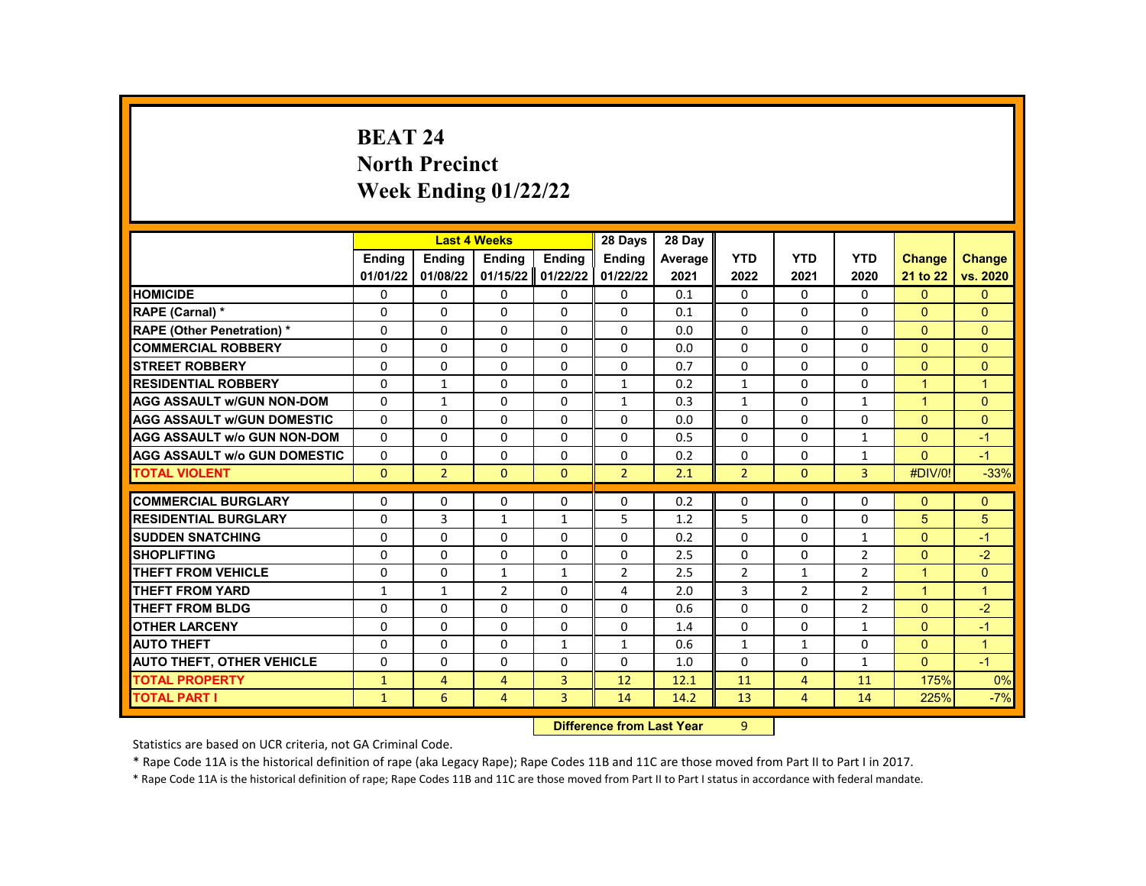# **BEAT 24 North Precinct Week Ending 01/22/22**

|                                     |               |                | <b>Last 4 Weeks</b> |              | 28 Days        | 28 Day                    |                |                |                |                      |                |
|-------------------------------------|---------------|----------------|---------------------|--------------|----------------|---------------------------|----------------|----------------|----------------|----------------------|----------------|
|                                     | <b>Endina</b> | <b>Ending</b>  | Ending              | Ending       | <b>Ending</b>  | Average                   | <b>YTD</b>     | <b>YTD</b>     | <b>YTD</b>     | <b>Change</b>        | <b>Change</b>  |
|                                     | 01/01/22      | 01/08/22       | 01/15/22            | 01/22/22     | 01/22/22       | 2021                      | 2022           | 2021           | 2020           | 21 to 22             | vs. 2020       |
| <b>HOMICIDE</b>                     | 0             | 0              | 0                   | 0            | 0              | 0.1                       | 0              | $\Omega$       | 0              | $\Omega$             | $\mathbf{0}$   |
| RAPE (Carnal) *                     | 0             | $\Omega$       | $\Omega$            | $\Omega$     | $\Omega$       | 0.1                       | $\Omega$       | $\Omega$       | $\Omega$       | $\Omega$             | $\Omega$       |
| <b>RAPE (Other Penetration)*</b>    | $\Omega$      | $\Omega$       | $\Omega$            | $\Omega$     | $\Omega$       | 0.0                       | $\Omega$       | $\Omega$       | $\Omega$       | $\Omega$             | $\Omega$       |
| <b>COMMERCIAL ROBBERY</b>           | $\Omega$      | $\Omega$       | $\Omega$            | $\Omega$     | $\Omega$       | 0.0                       | $\Omega$       | $\Omega$       | $\Omega$       | $\Omega$             | $\Omega$       |
| <b>STREET ROBBERY</b>               | $\Omega$      | $\Omega$       | $\Omega$            | $\Omega$     | $\Omega$       | 0.7                       | $\Omega$       | $\Omega$       | $\Omega$       | $\Omega$             | $\Omega$       |
| <b>RESIDENTIAL ROBBERY</b>          | $\Omega$      | $\mathbf{1}$   | $\Omega$            | $\Omega$     | $\mathbf{1}$   | 0.2                       | $\mathbf{1}$   | $\Omega$       | $\Omega$       | $\mathbf{1}$         | $\mathbf{1}$   |
| <b>AGG ASSAULT w/GUN NON-DOM</b>    | 0             | 1              | 0                   | 0            | 1              | 0.3                       | $\mathbf{1}$   | 0              | 1              | $\mathbf{1}$         | $\mathbf{0}$   |
| <b>AGG ASSAULT w/GUN DOMESTIC</b>   | $\Omega$      | 0              | $\Omega$            | 0            | 0              | 0.0                       | $\Omega$       | 0              | $\Omega$       | $\Omega$             | $\Omega$       |
| <b>AGG ASSAULT w/o GUN NON-DOM</b>  | $\Omega$      | $\Omega$       | $\Omega$            | $\Omega$     | $\Omega$       | 0.5                       | $\Omega$       | $\Omega$       | $\mathbf{1}$   | $\Omega$             | $-1$           |
| <b>AGG ASSAULT w/o GUN DOMESTIC</b> | 0             | 0              | 0                   | 0            | 0              | 0.2                       | 0              | 0              | $\mathbf{1}$   | $\mathbf{0}$         | $-1$           |
| <b>TOTAL VIOLENT</b>                | $\Omega$      | $\overline{2}$ | $\Omega$            | $\Omega$     | $\overline{2}$ | 2.1                       | $\overline{2}$ | $\Omega$       | 3              | #DIV/0!              | $-33%$         |
|                                     |               |                |                     |              |                |                           |                |                |                |                      |                |
| <b>COMMERCIAL BURGLARY</b>          | 0             | 0              | 0                   | 0            | 0              | 0.2                       | 0              | 0              | 0              | $\Omega$             | $\mathbf{0}$   |
| <b>RESIDENTIAL BURGLARY</b>         | 0             | 3              | $\mathbf{1}$        | $\mathbf{1}$ | 5              | 1.2                       | 5              | $\Omega$       | 0              | 5                    | 5              |
| <b>SUDDEN SNATCHING</b>             | $\Omega$      | $\Omega$       | $\Omega$            | $\Omega$     | $\Omega$       | 0.2                       | $\Omega$       | $\Omega$       | $\mathbf{1}$   | $\Omega$             | $-1$           |
| <b>SHOPLIFTING</b>                  | $\Omega$      | $\Omega$       | $\Omega$            | $\Omega$     | $\Omega$       | 2.5                       | $\Omega$       | $\Omega$       | $\overline{2}$ | $\Omega$             | $-2$           |
| <b>THEFT FROM VEHICLE</b>           | 0             | 0              | $\mathbf{1}$        | $\mathbf{1}$ | 2              | 2.5                       | $\overline{2}$ | $\mathbf{1}$   | $\overline{2}$ | $\mathbf{1}$         | $\overline{0}$ |
| <b>THEFT FROM YARD</b>              | $\mathbf{1}$  | $\mathbf{1}$   | $\overline{2}$      | $\Omega$     | $\overline{a}$ | 2.0                       | 3              | $\overline{2}$ | $\overline{2}$ | $\blacktriangleleft$ | $\mathbf{1}$   |
| <b>THEFT FROM BLDG</b>              | $\Omega$      | $\Omega$       | $\Omega$            | $\Omega$     | $\Omega$       | 0.6                       | $\Omega$       | 0              | $\overline{2}$ | $\Omega$             | $-2$           |
| <b>OTHER LARCENY</b>                | $\Omega$      | $\Omega$       | $\Omega$            | $\Omega$     | $\Omega$       | 1.4                       | $\Omega$       | $\Omega$       | $\mathbf{1}$   | $\Omega$             | $-1$           |
| <b>AUTO THEFT</b>                   | 0             | $\Omega$       | $\Omega$            | $\mathbf{1}$ | $\mathbf{1}$   | 0.6                       | $\mathbf{1}$   | $\mathbf{1}$   | 0              | $\Omega$             | $\mathbf{1}$   |
| <b>AUTO THEFT, OTHER VEHICLE</b>    | 0             | 0              | 0                   | 0            | 0              | 1.0                       | 0              | 0              | 1              | $\Omega$             | $-1$           |
| <b>TOTAL PROPERTY</b>               | $\mathbf{1}$  | $\overline{4}$ | $\overline{4}$      | 3            | 12             | 12.1                      | 11             | $\overline{4}$ | 11             | 175%                 | 0%             |
| <b>TOTAL PART I</b>                 | $\mathbf{1}$  | 6              | $\overline{4}$      | 3            | 14             | 14.2                      | 13             | $\overline{4}$ | 14             | 225%                 | $-7%$          |
|                                     |               |                |                     |              |                | Difference from Look Vaca | $\sim$         |                |                |                      |                |

**Difference from Last Year** 9

Statistics are based on UCR criteria, not GA Criminal Code.

\* Rape Code 11A is the historical definition of rape (aka Legacy Rape); Rape Codes 11B and 11C are those moved from Part II to Part I in 2017.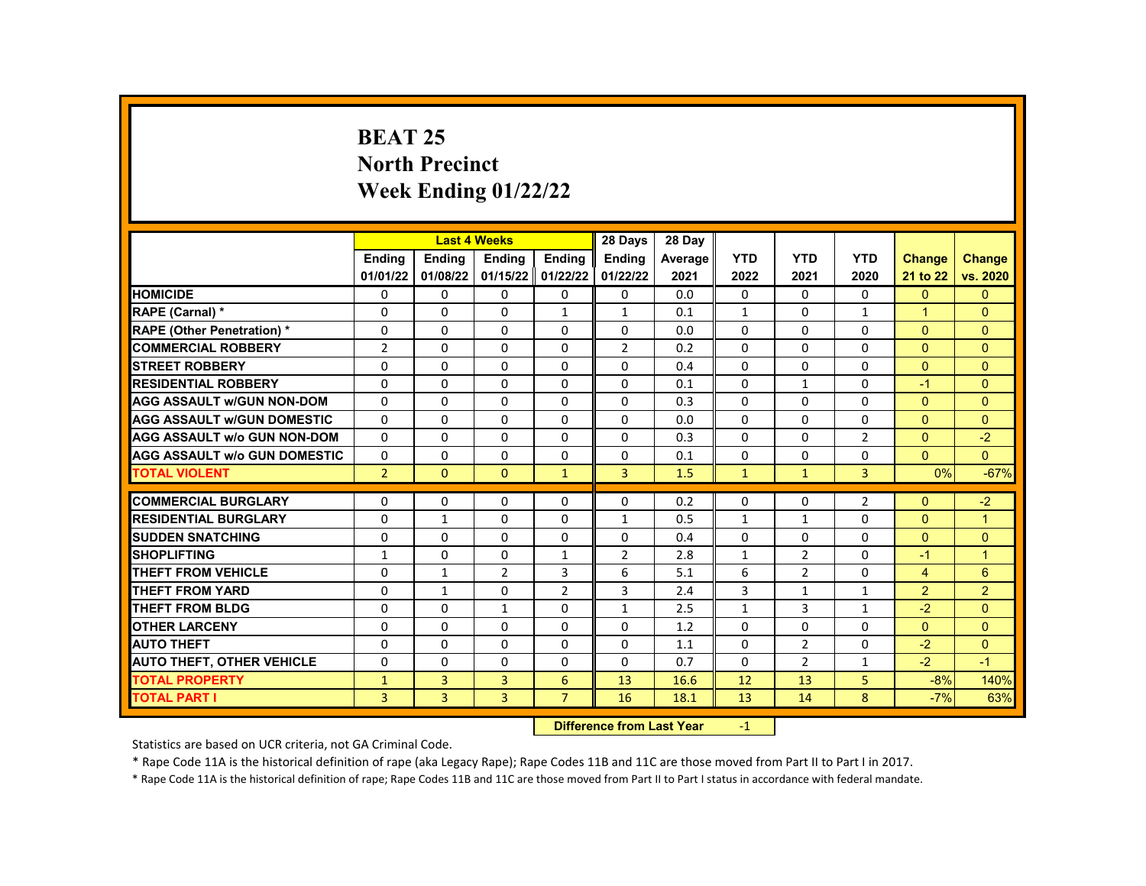# **BEAT 25 North Precinct Week Ending 01/22/22**

|                                     |                |                | <b>Last 4 Weeks</b> |                | 28 Days        | 28 Day  |              |                |                |                      |                |
|-------------------------------------|----------------|----------------|---------------------|----------------|----------------|---------|--------------|----------------|----------------|----------------------|----------------|
|                                     | <b>Endina</b>  | <b>Endina</b>  | <b>Endina</b>       | <b>Endina</b>  | <b>Endina</b>  | Average | <b>YTD</b>   | <b>YTD</b>     | <b>YTD</b>     | <b>Change</b>        | <b>Change</b>  |
|                                     | 01/01/22       | 01/08/22       | 01/15/22            | 01/22/22       | 01/22/22       | 2021    | 2022         | 2021           | 2020           | 21 to 22             | vs. 2020       |
| <b>HOMICIDE</b>                     | $\Omega$       | $\Omega$       | $\Omega$            | $\Omega$       | $\mathbf{0}$   | 0.0     | $\mathbf{0}$ | $\Omega$       | $\Omega$       | $\mathbf{0}$         | $\overline{0}$ |
| RAPE (Carnal) *                     | $\Omega$       | $\Omega$       | $\Omega$            | $\mathbf{1}$   | $\mathbf{1}$   | 0.1     | $\mathbf{1}$ | $\Omega$       | $\mathbf{1}$   | $\blacktriangleleft$ | $\Omega$       |
| <b>RAPE (Other Penetration) *</b>   | $\Omega$       | $\Omega$       | $\Omega$            | $\Omega$       | $\Omega$       | 0.0     | $\Omega$     | $\Omega$       | $\Omega$       | $\Omega$             | $\overline{0}$ |
| <b>COMMERCIAL ROBBERY</b>           | $\overline{2}$ | $\Omega$       | $\Omega$            | $\Omega$       | $\overline{2}$ | 0.2     | $\Omega$     | $\Omega$       | $\Omega$       | $\Omega$             | $\mathbf{0}$   |
| <b>STREET ROBBERY</b>               | $\Omega$       | $\Omega$       | $\Omega$            | $\Omega$       | $\Omega$       | 0.4     | $\Omega$     | $\Omega$       | $\Omega$       | $\Omega$             | $\Omega$       |
| <b>RESIDENTIAL ROBBERY</b>          | $\Omega$       | $\Omega$       | $\Omega$            | $\Omega$       | $\Omega$       | 0.1     | $\Omega$     | $\mathbf{1}$   | $\Omega$       | $-1$                 | $\Omega$       |
| <b>AGG ASSAULT W/GUN NON-DOM</b>    | 0              | $\Omega$       | $\Omega$            | $\mathbf{0}$   | $\mathbf{0}$   | 0.3     | $\Omega$     | $\Omega$       | $\Omega$       | $\Omega$             | $\Omega$       |
| <b>AGG ASSAULT WGUN DOMESTIC</b>    | $\Omega$       | $\Omega$       | $\Omega$            | $\Omega$       | $\Omega$       | 0.0     | $\Omega$     | $\Omega$       | $\Omega$       | $\Omega$             | $\Omega$       |
| <b>AGG ASSAULT W/o GUN NON-DOM</b>  | $\Omega$       | $\Omega$       | $\Omega$            | $\Omega$       | $\Omega$       | 0.3     | $\Omega$     | $\Omega$       | $\overline{2}$ | $\Omega$             | $-2$           |
| <b>AGG ASSAULT W/o GUN DOMESTIC</b> | 0              | $\Omega$       | $\Omega$            | $\mathbf{0}$   | $\Omega$       | 0.1     | $\Omega$     | $\Omega$       | $\Omega$       | $\Omega$             | $\Omega$       |
| <b>TOTAL VIOLENT</b>                | $\overline{2}$ | $\mathbf{0}$   | $\mathbf{0}$        | $\mathbf{1}$   | $\overline{3}$ | 1.5     | $\mathbf{1}$ | $\mathbf{1}$   | $\overline{3}$ | 0%                   | $-67%$         |
|                                     |                |                |                     |                |                |         |              |                |                |                      |                |
| <b>COMMERCIAL BURGLARY</b>          | 0              | $\Omega$       | 0                   | $\Omega$       | $\mathbf{0}$   | 0.2     | $\mathbf{0}$ | 0              | $\overline{2}$ | $\Omega$             | $-2$           |
| <b>RESIDENTIAL BURGLARY</b>         | $\Omega$       | 1              | $\Omega$            | $\mathbf{0}$   | 1              | 0.5     | $\mathbf{1}$ | $\mathbf{1}$   | $\Omega$       | $\Omega$             | $\mathbf{1}$   |
| <b>SUDDEN SNATCHING</b>             | $\Omega$       | $\Omega$       | $\Omega$            | $\Omega$       | $\Omega$       | 0.4     | $\Omega$     | $\Omega$       | $\Omega$       | $\Omega$             | $\Omega$       |
| <b>SHOPLIFTING</b>                  | 1              | $\Omega$       | $\Omega$            | 1              | $\overline{2}$ | 2.8     | $\mathbf{1}$ | $\overline{2}$ | $\Omega$       | $-1$                 | $\overline{1}$ |
| <b>THEFT FROM VEHICLE</b>           | $\Omega$       | $\mathbf{1}$   | $\overline{2}$      | 3              | 6              | 5.1     | 6            | $\overline{2}$ | $\Omega$       | $\overline{4}$       | 6              |
| <b>THEFT FROM YARD</b>              | $\Omega$       | $\mathbf{1}$   | $\Omega$            | $\overline{2}$ | 3              | 2.4     | 3            | $\mathbf{1}$   | $\mathbf{1}$   | 2                    | $\overline{2}$ |
| THEFT FROM BLDG                     | 0              | $\Omega$       | $\mathbf{1}$        | $\Omega$       | 1              | 2.5     | $\mathbf{1}$ | 3              | $\mathbf{1}$   | $-2$                 | $\Omega$       |
| <b>OTHER LARCENY</b>                | $\Omega$       | $\Omega$       | $\Omega$            | $\Omega$       | $\Omega$       | 1.2     | $\Omega$     | $\Omega$       | $\Omega$       | $\Omega$             | $\Omega$       |
| <b>AUTO THEFT</b>                   | $\Omega$       | $\Omega$       | $\Omega$            | $\Omega$       | $\Omega$       | 1.1     | $\Omega$     | $\overline{2}$ | $\Omega$       | $-2$                 | $\Omega$       |
| <b>AUTO THEFT, OTHER VEHICLE</b>    | 0              | $\Omega$       | $\Omega$            | $\Omega$       | $\Omega$       | 0.7     | $\Omega$     | 2              | $\mathbf{1}$   | $-2$                 | $-1$           |
| <b>TOTAL PROPERTY</b>               | $\mathbf{1}$   | $\overline{3}$ | 3                   | 6              | 13             | 16.6    | 12           | 13             | 5              | $-8%$                | 140%           |
| <b>TOTAL PART I</b>                 | $\overline{3}$ | $\overline{3}$ | $\overline{3}$      | $\overline{7}$ | 16             | 18.1    | 13           | 14             | 8              | $-7%$                | 63%            |
|                                     |                |                |                     | <b>INSECU</b>  |                |         |              |                |                |                      |                |

**Difference from Last Year** -1

Statistics are based on UCR criteria, not GA Criminal Code.

\* Rape Code 11A is the historical definition of rape (aka Legacy Rape); Rape Codes 11B and 11C are those moved from Part II to Part I in 2017.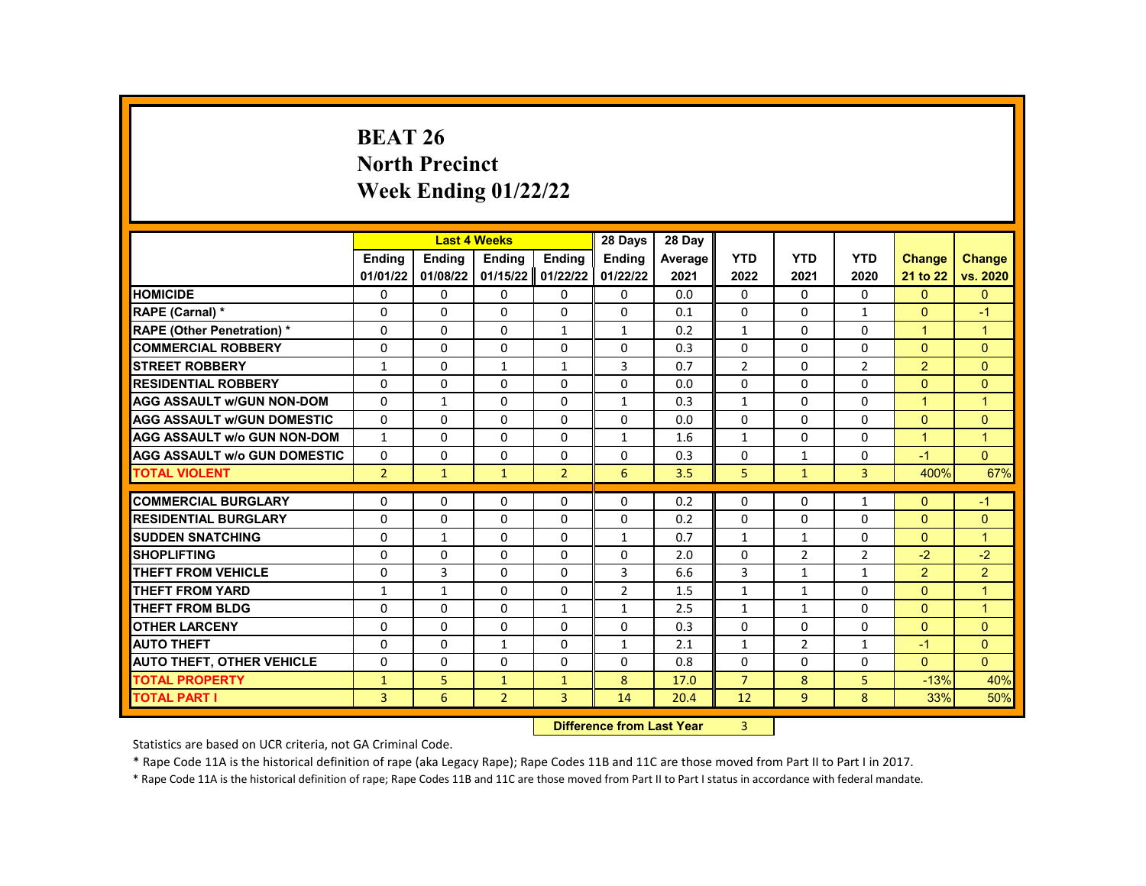# **BEAT 26 North Precinct Week Ending 01/22/22**

|                                     |                |               | <b>Last 4 Weeks</b> |                | 28 Days                | 28 Day  |                |                |                |                |                |
|-------------------------------------|----------------|---------------|---------------------|----------------|------------------------|---------|----------------|----------------|----------------|----------------|----------------|
|                                     | <b>Endina</b>  | <b>Endina</b> | <b>Ending</b>       | Ending         | Ending                 | Average | <b>YTD</b>     | <b>YTD</b>     | <b>YTD</b>     | <b>Change</b>  | <b>Change</b>  |
|                                     | 01/01/22       | 01/08/22      | 01/15/22            | 01/22/22       | 01/22/22               | 2021    | 2022           | 2021           | 2020           | 21 to 22       | vs. 2020       |
| <b>HOMICIDE</b>                     | 0              | 0             | 0                   | 0              | 0                      | 0.0     | 0              | $\mathbf{0}$   | 0              | $\mathbf{0}$   | $\mathbf{0}$   |
| RAPE (Carnal) *                     | 0              | 0             | 0                   | $\Omega$       | $\Omega$               | 0.1     | $\Omega$       | 0              | $\mathbf{1}$   | $\Omega$       | $-1$           |
| <b>RAPE (Other Penetration)*</b>    | $\Omega$       | $\Omega$      | $\Omega$            | $\mathbf{1}$   | $\mathbf{1}$           | 0.2     | $\mathbf{1}$   | $\Omega$       | $\Omega$       | $\mathbf{1}$   | $\mathbf{1}$   |
| <b>COMMERCIAL ROBBERY</b>           | 0              | 0             | 0                   | 0              | 0                      | 0.3     | 0              | 0              | 0              | $\mathbf{0}$   | $\mathbf{0}$   |
| <b>STREET ROBBERY</b>               | $\mathbf{1}$   | $\Omega$      | $\mathbf{1}$        | $\mathbf{1}$   | 3                      | 0.7     | $\overline{2}$ | $\Omega$       | $\overline{2}$ | 2              | $\Omega$       |
| <b>RESIDENTIAL ROBBERY</b>          | $\Omega$       | $\Omega$      | $\Omega$            | $\Omega$       | $\Omega$               | 0.0     | $\Omega$       | $\Omega$       | $\Omega$       | $\Omega$       | $\Omega$       |
| <b>AGG ASSAULT w/GUN NON-DOM</b>    | $\Omega$       | 1             | $\Omega$            | $\Omega$       | $\mathbf{1}$           | 0.3     | $\mathbf{1}$   | 0              | $\Omega$       | $\mathbf{1}$   | $\overline{1}$ |
| <b>AGG ASSAULT w/GUN DOMESTIC</b>   | $\Omega$       | $\Omega$      | $\Omega$            | $\Omega$       | $\Omega$               | 0.0     | $\Omega$       | $\Omega$       | $\Omega$       | $\Omega$       | $\Omega$       |
| <b>AGG ASSAULT w/o GUN NON-DOM</b>  | $\mathbf{1}$   | $\Omega$      | $\Omega$            | $\Omega$       | $\mathbf{1}$           | 1.6     | $\mathbf{1}$   | $\Omega$       | $\Omega$       | $\mathbf{1}$   | $\mathbf{1}$   |
| <b>AGG ASSAULT w/o GUN DOMESTIC</b> | 0              | 0             | 0                   | 0              | 0                      | 0.3     | 0              | $\mathbf{1}$   | 0              | $-1$           | $\mathbf{0}$   |
| <b>TOTAL VIOLENT</b>                | $\overline{2}$ | $\mathbf{1}$  | $\mathbf{1}$        | $\overline{2}$ | 6                      | 3.5     | 5              | $\mathbf{1}$   | $\overline{3}$ | 400%           | 67%            |
|                                     |                |               |                     |                |                        |         |                |                |                |                |                |
| <b>COMMERCIAL BURGLARY</b>          | 0              | 0             | 0                   | 0              | 0                      | 0.2     | 0              | 0              | $\mathbf{1}$   | $\Omega$       | $-1$           |
| <b>RESIDENTIAL BURGLARY</b>         | 0              | 0             | $\Omega$            | 0              | 0                      | 0.2     | 0              | 0              | 0              | $\overline{0}$ | $\mathbf{0}$   |
| <b>SUDDEN SNATCHING</b>             | $\Omega$       | $\mathbf{1}$  | $\Omega$            | $\Omega$       | $\mathbf{1}$           | 0.7     | $\mathbf{1}$   | $\mathbf{1}$   | $\Omega$       | $\Omega$       | $\mathbf{1}$   |
| <b>SHOPLIFTING</b>                  | 0              | $\Omega$      | $\Omega$            | $\Omega$       | $\Omega$               | 2.0     | $\Omega$       | $\overline{2}$ | $\overline{2}$ | $-2$           | $-2$           |
| <b>THEFT FROM VEHICLE</b>           | $\Omega$       | 3             | $\Omega$            | $\Omega$       | $\overline{3}$         | 6.6     | 3              | $\mathbf{1}$   | $\mathbf{1}$   | $\overline{2}$ | $\overline{2}$ |
| THEFT FROM YARD                     | $\mathbf{1}$   | $\mathbf{1}$  | $\Omega$            | $\Omega$       | $\overline{2}$         | 1.5     | $\mathbf{1}$   | $\mathbf{1}$   | $\Omega$       | $\Omega$       | $\mathbf{1}$   |
| <b>THEFT FROM BLDG</b>              | $\Omega$       | $\Omega$      | $\Omega$            | $\mathbf{1}$   | $\mathbf{1}$           | 2.5     | $\mathbf{1}$   | $\mathbf{1}$   | $\Omega$       | $\Omega$       | $\overline{1}$ |
| <b>OTHER LARCENY</b>                | $\Omega$       | $\Omega$      | $\Omega$            | $\Omega$       | $\Omega$               | 0.3     | $\Omega$       | $\Omega$       | $\Omega$       | $\Omega$       | $\Omega$       |
| <b>AUTO THEFT</b>                   | $\Omega$       | $\Omega$      | $\mathbf{1}$        | $\Omega$       | $\mathbf{1}$           | 2.1     | $\mathbf{1}$   | 2              | $\mathbf{1}$   | $-1$           | $\Omega$       |
| <b>AUTO THEFT, OTHER VEHICLE</b>    | 0              | $\Omega$      | $\Omega$            | $\Omega$       | 0                      | 0.8     | $\Omega$       | $\Omega$       | 0              | $\Omega$       | $\Omega$       |
| <b>TOTAL PROPERTY</b>               | $\mathbf{1}$   | 5             | $\mathbf{1}$        | $\mathbf{1}$   | 8                      | 17.0    | $\overline{7}$ | 8              | 5              | $-13%$         | 40%            |
| <b>TOTAL PART I</b>                 | 3              | 6             | $\overline{2}$      | 3              | 14                     | 20.4    | 12             | $\overline{9}$ | 8              | 33%            | 50%            |
|                                     |                |               |                     | <b>INSECUL</b> | a a dheann 1 anns Main |         | $\sim$         |                |                |                |                |

**Difference from Last Year** 3

Statistics are based on UCR criteria, not GA Criminal Code.

\* Rape Code 11A is the historical definition of rape (aka Legacy Rape); Rape Codes 11B and 11C are those moved from Part II to Part I in 2017.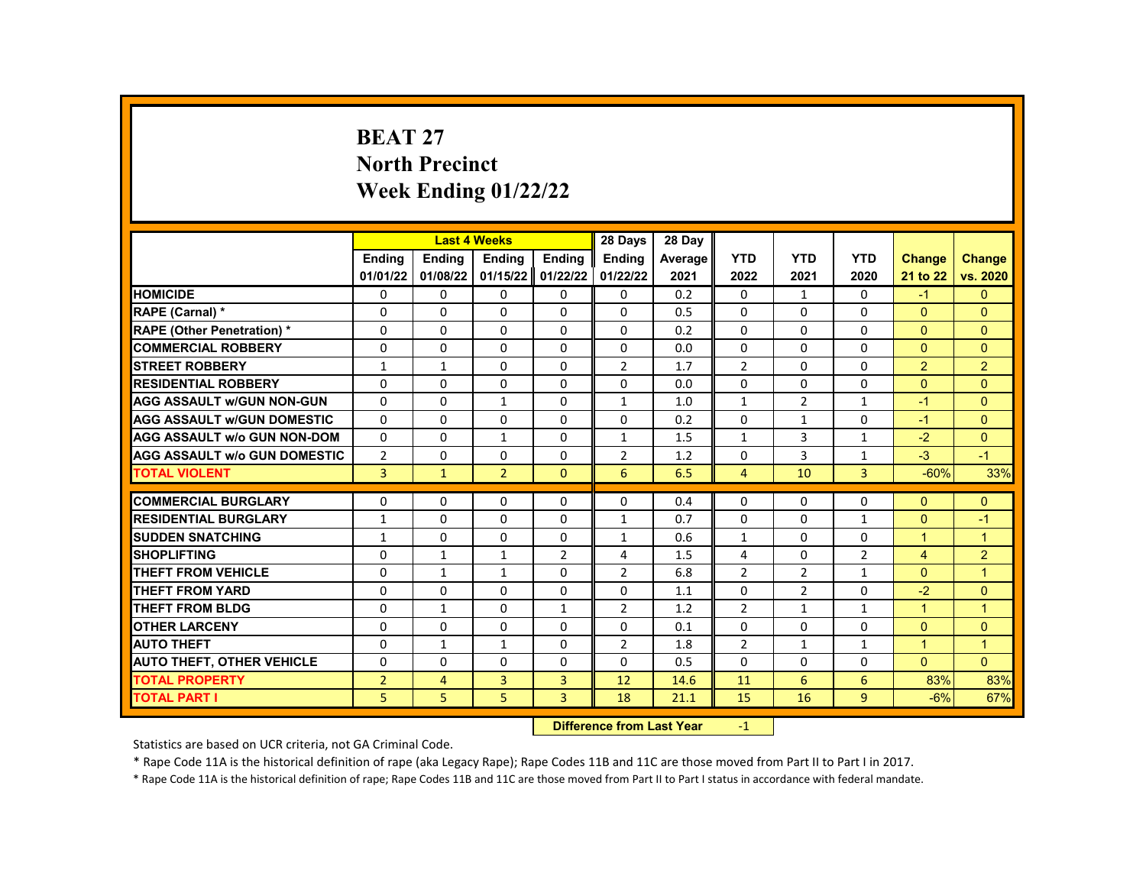# **BEAT 27 North Precinct Week Ending 01/22/22**

|                                     |                | <b>Last 4 Weeks</b> |                |                   | 28 Days                   | 28 Day  |                |                |                |               |                |
|-------------------------------------|----------------|---------------------|----------------|-------------------|---------------------------|---------|----------------|----------------|----------------|---------------|----------------|
|                                     | <b>Endina</b>  | <b>Ending</b>       | Ending         | Ending            | Ending                    | Average | <b>YTD</b>     | <b>YTD</b>     | <b>YTD</b>     | <b>Change</b> | <b>Change</b>  |
|                                     | 01/01/22       | 01/08/22            |                | 01/15/22 01/22/22 | 01/22/22                  | 2021    | 2022           | 2021           | 2020           | 21 to 22      | vs. 2020       |
| <b>HOMICIDE</b>                     | 0              | 0                   | 0              | 0                 | 0                         | 0.2     | $\mathbf{0}$   | $\mathbf{1}$   | 0              | $-1$          | $\mathbf{0}$   |
| RAPE (Carnal) *                     | 0              | 0                   | $\Omega$       | 0                 | $\Omega$                  | 0.5     | $\Omega$       | $\Omega$       | $\Omega$       | $\Omega$      | $\Omega$       |
| <b>RAPE (Other Penetration) *</b>   | 0              | $\Omega$            | $\Omega$       | $\Omega$          | $\Omega$                  | 0.2     | $\Omega$       | $\Omega$       | $\Omega$       | $\Omega$      | $\Omega$       |
| <b>COMMERCIAL ROBBERY</b>           | 0              | $\Omega$            | $\Omega$       | $\Omega$          | $\Omega$                  | 0.0     | $\Omega$       | $\Omega$       | $\Omega$       | $\Omega$      | $\Omega$       |
| <b>STREET ROBBERY</b>               | $\mathbf{1}$   | $\mathbf{1}$        | 0              | $\Omega$          | $\overline{2}$            | 1.7     | $\overline{2}$ | $\Omega$       | $\Omega$       | 2             | 2              |
| <b>RESIDENTIAL ROBBERY</b>          | $\Omega$       | $\Omega$            | $\Omega$       | $\Omega$          | $\Omega$                  | 0.0     | $\Omega$       | $\Omega$       | $\Omega$       | $\Omega$      | $\Omega$       |
| <b>AGG ASSAULT w/GUN NON-GUN</b>    | $\Omega$       | $\Omega$            | $\mathbf{1}$   | 0                 | $\mathbf{1}$              | 1.0     | $\mathbf{1}$   | $\overline{2}$ | $\mathbf{1}$   | $-1$          | $\Omega$       |
| <b>AGG ASSAULT w/GUN DOMESTIC</b>   | 0              | 0                   | 0              | 0                 | 0                         | 0.2     | $\Omega$       | $\mathbf{1}$   | 0              | $-1$          | $\Omega$       |
| <b>AGG ASSAULT w/o GUN NON-DOM</b>  | $\Omega$       | $\Omega$            | $\mathbf{1}$   | $\Omega$          | $\mathbf{1}$              | 1.5     | $\mathbf{1}$   | 3              | $\mathbf{1}$   | $-2$          | $\Omega$       |
| <b>AGG ASSAULT w/o GUN DOMESTIC</b> | $\overline{2}$ | $\Omega$            | 0              | $\Omega$          | $\overline{2}$            | 1.2     | $\mathbf{0}$   | 3              | $\mathbf{1}$   | $-3$          | $-1$           |
| <b>TOTAL VIOLENT</b>                | 3              | $\mathbf{1}$        | $\overline{2}$ | $\mathbf{0}$      | 6                         | 6.5     | 4              | 10             | 3              | $-60%$        | 33%            |
|                                     |                |                     |                |                   |                           |         |                |                |                |               |                |
| <b>COMMERCIAL BURGLARY</b>          | 0              | 0                   | 0              | 0                 | 0                         | 0.4     | 0              | 0              | 0              | $\Omega$      | $\Omega$       |
| <b>RESIDENTIAL BURGLARY</b>         | 1              | 0                   | $\Omega$       | 0                 | $\mathbf{1}$              | 0.7     | $\Omega$       | $\mathbf{0}$   | 1              | $\mathbf{0}$  | $-1$           |
| <b>SUDDEN SNATCHING</b>             | $\mathbf{1}$   | 0                   | $\Omega$       | 0                 | $\mathbf{1}$              | 0.6     | $\mathbf{1}$   | $\Omega$       | $\Omega$       | $\mathbf{1}$  | 1              |
| <b>SHOPLIFTING</b>                  | 0              | $\mathbf{1}$        | $\mathbf{1}$   | $\overline{2}$    | 4                         | 1.5     | 4              | $\mathbf{0}$   | $\overline{2}$ | 4             | $\overline{2}$ |
| <b>THEFT FROM VEHICLE</b>           | $\Omega$       | $\mathbf{1}$        | $\mathbf{1}$   | $\Omega$          | $\overline{2}$            | 6.8     | $\overline{2}$ | $\overline{2}$ | $\mathbf{1}$   | $\Omega$      | $\mathbf{1}$   |
| <b>THEFT FROM YARD</b>              | 0              | $\Omega$            | $\Omega$       | $\Omega$          | $\Omega$                  | 1.1     | $\Omega$       | $\overline{2}$ | $\Omega$       | $-2$          | $\Omega$       |
| <b>THEFT FROM BLDG</b>              | 0              | $\mathbf{1}$        | 0              | $\mathbf{1}$      | $\overline{2}$            | 1.2     | $\overline{2}$ | $\mathbf{1}$   | 1              | 1             | $\overline{1}$ |
| <b>OTHER LARCENY</b>                | $\Omega$       | $\Omega$            | $\Omega$       | $\Omega$          | $\Omega$                  | 0.1     | $\Omega$       | $\Omega$       | $\Omega$       | $\Omega$      | $\Omega$       |
| <b>AUTO THEFT</b>                   | 0              | $\mathbf{1}$        | $\mathbf{1}$   | 0                 | $\overline{2}$            | 1.8     | $\overline{2}$ | $\mathbf{1}$   | $\mathbf{1}$   | $\mathbf{1}$  | 1              |
| <b>AUTO THEFT, OTHER VEHICLE</b>    | 0              | $\Omega$            | $\Omega$       | 0                 | $\Omega$                  | 0.5     | $\Omega$       | $\mathbf{0}$   | 0              | $\Omega$      | $\Omega$       |
| <b>TOTAL PROPERTY</b>               | $\overline{2}$ | $\overline{4}$      | 3              | 3                 | 12                        | 14.6    | 11             | 6              | 6              | 83%           | 83%            |
| <b>TOTAL PART I</b>                 | 5              | 5                   | 5              | 3                 | 18                        | 21.1    | 15             | 16             | 9              | $-6%$         | 67%            |
|                                     |                |                     |                |                   | Difference from Loot Voor |         | $\overline{A}$ |                |                |               |                |

**Difference from Last Year** 

Statistics are based on UCR criteria, not GA Criminal Code.

\* Rape Code 11A is the historical definition of rape (aka Legacy Rape); Rape Codes 11B and 11C are those moved from Part II to Part I in 2017.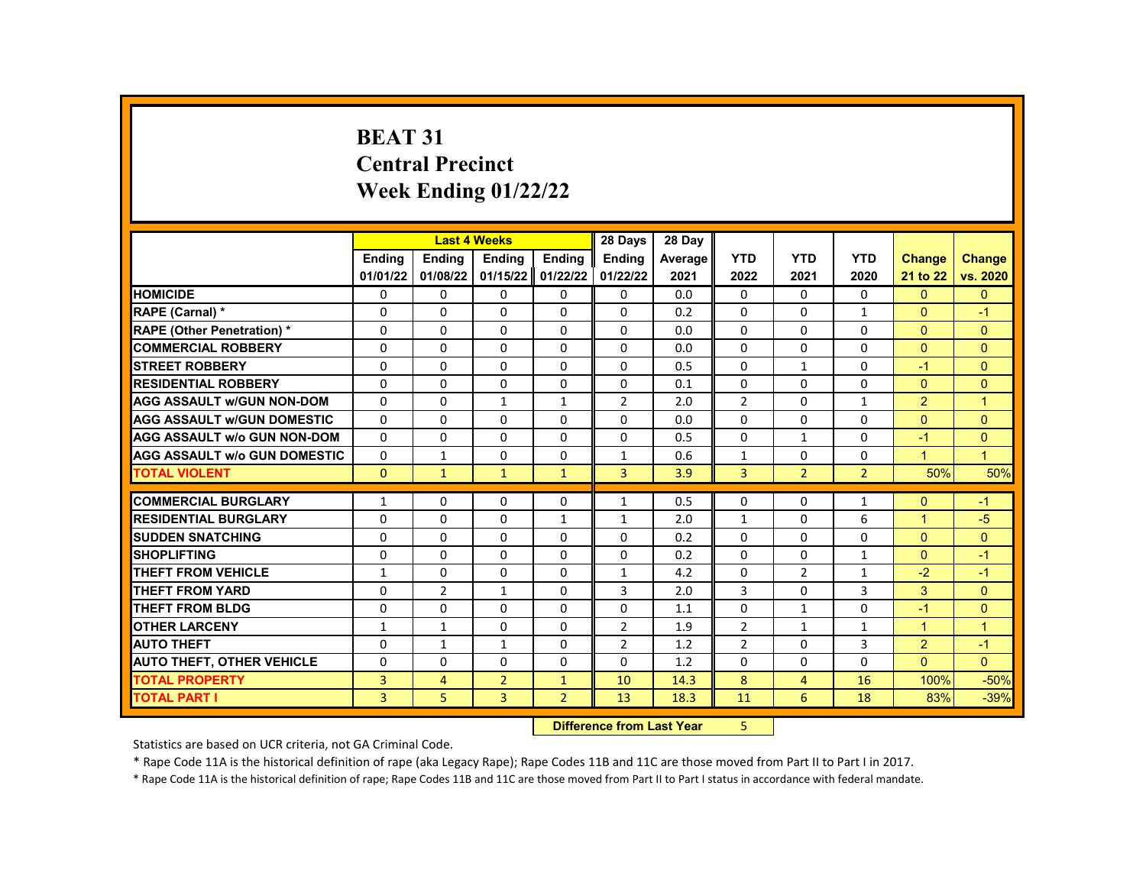# **BEAT 31 Central Precinct Week Ending 01/22/22**

|                                                           |                          | <b>Last 4 Weeks</b> |                |                          | 28 Days                   | 28 Day  |                |                |                |                |               |
|-----------------------------------------------------------|--------------------------|---------------------|----------------|--------------------------|---------------------------|---------|----------------|----------------|----------------|----------------|---------------|
|                                                           | <b>Endina</b>            | <b>Endina</b>       | <b>Ending</b>  | <b>Ending</b>            | <b>Endina</b>             | Average | <b>YTD</b>     | <b>YTD</b>     | <b>YTD</b>     | <b>Change</b>  | <b>Change</b> |
|                                                           | 01/01/22                 | 01/08/22            | 01/15/22       | 01/22/22                 | 01/22/22                  | 2021    | 2022           | 2021           | 2020           | 21 to 22       | vs. 2020      |
| <b>HOMICIDE</b>                                           | 0                        | 0                   | 0              | 0                        | 0                         | 0.0     | $\mathbf{0}$   | $\mathbf{0}$   | $\Omega$       | $\mathbf{0}$   | $\mathbf{0}$  |
| RAPE (Carnal) *                                           | 0                        | 0                   | $\Omega$       | $\mathbf 0$              | $\Omega$                  | 0.2     | $\Omega$       | $\Omega$       | $\mathbf{1}$   | $\Omega$       | $-1$          |
| <b>RAPE (Other Penetration) *</b>                         | $\Omega$                 | $\Omega$            | $\Omega$       | $\Omega$                 | $\Omega$                  | 0.0     | $\Omega$       | $\Omega$       | $\Omega$       | $\Omega$       | $\Omega$      |
| <b>COMMERCIAL ROBBERY</b>                                 | $\Omega$                 | $\Omega$            | $\Omega$       | $\Omega$                 | $\Omega$                  | 0.0     | $\Omega$       | 0              | 0              | $\Omega$       | $\Omega$      |
| <b>STREET ROBBERY</b>                                     | 0                        | 0                   | 0              | 0                        | 0                         | 0.5     | $\Omega$       | $\mathbf{1}$   | $\Omega$       | $-1$           | $\Omega$      |
| <b>RESIDENTIAL ROBBERY</b>                                | $\Omega$                 | $\Omega$            | $\Omega$       | $\Omega$                 | 0                         | 0.1     | $\Omega$       | $\Omega$       | $\Omega$       | $\Omega$       | $\Omega$      |
| <b>AGG ASSAULT w/GUN NON-DOM</b>                          | $\Omega$                 | 0                   | $\mathbf{1}$   | $\mathbf{1}$             | $\overline{2}$            | 2.0     | $\overline{2}$ | 0              | 1              | $\overline{2}$ | $\mathbf{1}$  |
| <b>AGG ASSAULT w/GUN DOMESTIC</b>                         | $\Omega$                 | $\Omega$            | $\Omega$       | $\Omega$                 | $\Omega$                  | 0.0     | $\Omega$       | $\Omega$       | $\Omega$       | $\Omega$       | $\Omega$      |
| <b>AGG ASSAULT w/o GUN NON-DOM</b>                        | $\Omega$                 | $\Omega$            | $\Omega$       | $\Omega$                 | 0                         | 0.5     | $\Omega$       | $\mathbf{1}$   | $\Omega$       | $-1$           | $\mathbf{0}$  |
| <b>AGG ASSAULT w/o GUN DOMESTIC</b>                       | $\Omega$                 | 1                   | 0              | 0                        | 1                         | 0.6     | 1              | 0              | 0              | 1              | $\mathbf{1}$  |
| <b>TOTAL VIOLENT</b>                                      | $\mathbf{0}$             | $\mathbf{1}$        | $\mathbf{1}$   | $\mathbf{1}$             | 3                         | 3.9     | 3              | $\overline{2}$ | $\overline{2}$ | 50%            | 50%           |
| <b>COMMERCIAL BURGLARY</b>                                | 1                        |                     | 0              |                          | 1                         | 0.5     | 0              | 0              | 1              | $\Omega$       | $-1$          |
| <b>RESIDENTIAL BURGLARY</b>                               | $\Omega$                 | 0<br>0              | $\Omega$       | 0                        | $\mathbf{1}$              | 2.0     | $\mathbf{1}$   | $\Omega$       | 6              | $\mathbf{1}$   | $-5$          |
| <b>SUDDEN SNATCHING</b>                                   | $\Omega$                 | $\Omega$            | $\Omega$       | $\mathbf{1}$<br>$\Omega$ | 0                         | 0.2     | $\Omega$       | $\Omega$       | $\Omega$       | $\Omega$       | $\Omega$      |
| <b>SHOPLIFTING</b>                                        |                          |                     | 0              |                          |                           | 0.2     | 0              | $\Omega$       | $\mathbf{1}$   | $\Omega$       | $-1$          |
| <b>THEFT FROM VEHICLE</b>                                 | 0                        | 0<br>$\mathbf 0$    | $\Omega$       | 0<br>0                   | 0<br>$\mathbf{1}$         | 4.2     | $\Omega$       | $\overline{2}$ | $\mathbf{1}$   | $-2$           | $-1$          |
| <b>THEFT FROM YARD</b>                                    | $\mathbf{1}$<br>$\Omega$ | $\overline{2}$      | $\mathbf{1}$   | $\Omega$                 | 3                         | 2.0     | 3              | $\Omega$       | 3              | 3              | $\Omega$      |
| <b>THEFT FROM BLDG</b>                                    | $\Omega$                 | $\Omega$            | $\Omega$       | $\Omega$                 | 0                         | 1.1     | 0              | $\mathbf{1}$   | $\Omega$       | $-1$           | $\Omega$      |
| <b>OTHER LARCENY</b>                                      | $\mathbf{1}$             | $\mathbf{1}$        | 0              | 0                        | $\overline{2}$            | 1.9     | $\overline{2}$ | $\mathbf{1}$   | 1              | $\mathbf{1}$   | $\mathbf{1}$  |
| <b>AUTO THEFT</b>                                         | 0                        | $\mathbf{1}$        | $\mathbf{1}$   | $\Omega$                 | $\overline{2}$            | 1.2     | $\overline{2}$ | $\Omega$       | 3              | 2              | $-1$          |
|                                                           | $\Omega$                 | $\Omega$            | $\Omega$       | $\Omega$                 | $\Omega$                  | 1.2     | $\Omega$       | 0              | $\Omega$       | $\Omega$       | $\Omega$      |
| <b>AUTO THEFT, OTHER VEHICLE</b><br><b>TOTAL PROPERTY</b> |                          |                     |                |                          |                           |         |                |                |                | 100%           |               |
| <b>TOTAL PART I</b>                                       | 3                        | 4                   | $\overline{2}$ | $\mathbf{1}$             | 10                        | 14.3    | 8              | $\overline{4}$ | 16             |                | $-50%$        |
|                                                           | 3                        | 5                   | 3              | $\overline{2}$           | 13                        | 18.3    | 11             | 6              | 18             | 83%            | $-39%$        |
|                                                           |                          |                     |                |                          | Difference from Loot Voor |         | E.             |                |                |                |               |

**Difference from Last Year** 

Statistics are based on UCR criteria, not GA Criminal Code.

\* Rape Code 11A is the historical definition of rape (aka Legacy Rape); Rape Codes 11B and 11C are those moved from Part II to Part I in 2017.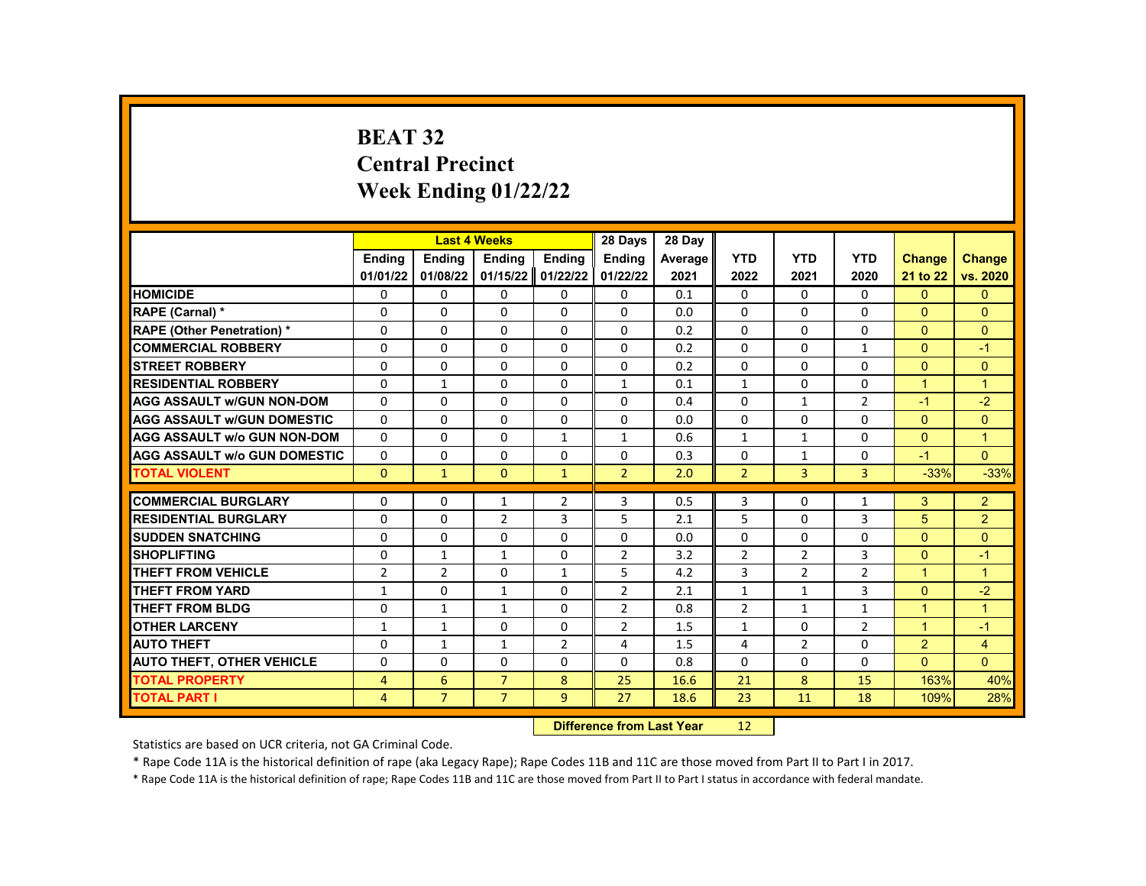# **BEAT 32 Central Precinct Week Ending 01/22/22**

|                                     |                | <b>Last 4 Weeks</b> |                |                | 28 Days                          | 28 Day         |                |                |                |                |                |
|-------------------------------------|----------------|---------------------|----------------|----------------|----------------------------------|----------------|----------------|----------------|----------------|----------------|----------------|
|                                     | <b>Endina</b>  | <b>Endina</b>       | <b>Endina</b>  | <b>Endina</b>  | <b>Endina</b>                    | <b>Average</b> | <b>YTD</b>     | <b>YTD</b>     | <b>YTD</b>     | <b>Change</b>  | Change         |
|                                     | 01/01/22       | 01/08/22            | 01/15/22       | 01/22/22       | 01/22/22                         | 2021           | 2022           | 2021           | 2020           | 21 to 22       | vs. 2020       |
| <b>HOMICIDE</b>                     | 0              | 0                   | 0              | 0              | 0                                | 0.1            | 0              | 0              | 0              | $\mathbf{0}$   | $\mathbf{0}$   |
| RAPE (Carnal) *                     | $\Omega$       | $\Omega$            | $\Omega$       | $\Omega$       | $\Omega$                         | 0.0            | $\Omega$       | $\Omega$       | $\Omega$       | $\Omega$       | $\Omega$       |
| <b>RAPE (Other Penetration) *</b>   | $\Omega$       | $\Omega$            | 0              | $\Omega$       | $\Omega$                         | 0.2            | $\Omega$       | $\Omega$       | $\Omega$       | $\Omega$       | $\Omega$       |
| <b>COMMERCIAL ROBBERY</b>           | 0              | 0                   | $\Omega$       | 0              | 0                                | 0.2            | $\Omega$       | 0              | $\mathbf{1}$   | $\Omega$       | $-1$           |
| <b>STREET ROBBERY</b>               | $\Omega$       | $\Omega$            | $\Omega$       | $\Omega$       | $\Omega$                         | 0.2            | $\Omega$       | $\Omega$       | $\Omega$       | $\Omega$       | $\Omega$       |
| <b>RESIDENTIAL ROBBERY</b>          | 0              | $\mathbf{1}$        | 0              | $\Omega$       | $\mathbf{1}$                     | 0.1            | $\mathbf{1}$   | $\Omega$       | $\Omega$       | $\mathbf{1}$   | $\mathbf{1}$   |
| <b>AGG ASSAULT W/GUN NON-DOM</b>    | $\Omega$       | $\Omega$            | 0              | $\Omega$       | $\Omega$                         | 0.4            | $\Omega$       | $\mathbf{1}$   | $\overline{2}$ | $-1$           | $-2$           |
| <b>AGG ASSAULT W/GUN DOMESTIC</b>   | $\Omega$       | $\Omega$            | $\Omega$       | $\Omega$       | $\Omega$                         | 0.0            | $\Omega$       | $\Omega$       | $\Omega$       | $\Omega$       | $\Omega$       |
| <b>AGG ASSAULT w/o GUN NON-DOM</b>  | $\Omega$       | $\Omega$            | $\Omega$       | $\mathbf{1}$   | 1                                | 0.6            | $\mathbf{1}$   | $\mathbf{1}$   | $\Omega$       | $\Omega$       | $\mathbf{1}$   |
| <b>AGG ASSAULT W/o GUN DOMESTIC</b> | $\Omega$       | $\mathbf 0$         | $\Omega$       | $\Omega$       | $\Omega$                         | 0.3            | $\Omega$       | $\mathbf{1}$   | $\Omega$       | $-1$           | $\Omega$       |
| <b>TOTAL VIOLENT</b>                | $\Omega$       | $\mathbf{1}$        | $\Omega$       | $\mathbf{1}$   | $\overline{2}$                   | 2.0            | $\overline{2}$ | $\overline{3}$ | $\overline{3}$ | $-33%$         | $-33%$         |
| <b>COMMERCIAL BURGLARY</b>          | $\Omega$       | $\Omega$            | $\mathbf{1}$   | $\overline{2}$ | 3                                | 0.5            | 3              | $\Omega$       | $\mathbf{1}$   | 3              | $\overline{2}$ |
| <b>RESIDENTIAL BURGLARY</b>         | 0              | 0                   | $\overline{2}$ | 3              | 5                                | 2.1            | 5              | 0              | 3              | 5              | $\overline{2}$ |
| <b>SUDDEN SNATCHING</b>             | $\Omega$       | $\Omega$            | $\Omega$       | $\Omega$       | $\Omega$                         | 0.0            | $\Omega$       | $\Omega$       | $\Omega$       | $\Omega$       | $\mathbf{0}$   |
| <b>SHOPLIFTING</b>                  | $\Omega$       | $\mathbf{1}$        | $\mathbf{1}$   | $\Omega$       | $\overline{2}$                   | 3.2            | $\overline{2}$ | $\overline{2}$ | 3              | $\Omega$       | $-1$           |
| THEFT FROM VEHICLE                  | $\overline{2}$ | $\overline{2}$      | 0              | $\mathbf{1}$   | 5                                | 4.2            | 3              | $\overline{2}$ | $\overline{2}$ | $\mathbf{1}$   | $\mathbf{1}$   |
| THEFT FROM YARD                     | $\mathbf{1}$   | $\mathbf 0$         | $\mathbf{1}$   | 0              | $\overline{2}$                   | 2.1            | $\mathbf{1}$   | $\mathbf{1}$   | 3              | $\mathbf{0}$   | $-2$           |
| <b>THEFT FROM BLDG</b>              | $\Omega$       | $\mathbf{1}$        | $\mathbf{1}$   | 0              | $\overline{2}$                   | 0.8            | $\overline{2}$ | $\mathbf{1}$   | $\mathbf{1}$   | $\mathbf{1}$   | $\overline{1}$ |
| <b>OTHER LARCENY</b>                | $\mathbf{1}$   | $\mathbf{1}$        | $\Omega$       | 0              | $\overline{2}$                   | 1.5            | $\mathbf{1}$   | $\Omega$       | $\overline{2}$ | $\mathbf{1}$   | $-1$           |
| <b>AUTO THEFT</b>                   | $\Omega$       | $\mathbf{1}$        | $\mathbf{1}$   | $\overline{2}$ | 4                                | 1.5            | 4              | $\overline{2}$ | $\Omega$       | $\overline{2}$ | $\overline{4}$ |
| <b>AUTO THEFT, OTHER VEHICLE</b>    | $\Omega$       | $\Omega$            | 0              | $\Omega$       | $\Omega$                         | 0.8            | $\Omega$       | 0              | $\Omega$       | $\Omega$       | $\Omega$       |
| <b>TOTAL PROPERTY</b>               | $\overline{4}$ | 6                   | $\overline{7}$ | 8              | 25                               | 16.6           | 21             | 8              | 15             | 163%           | 40%            |
| <b>TOTAL PART I</b>                 | 4              | $\overline{7}$      | $\overline{7}$ | 9              | 27                               | 18.6           | 23             | 11             | 18             | 109%           | 28%            |
|                                     |                |                     |                |                | <b>Difference from Last Year</b> | 12             |                |                |                |                |                |

Statistics are based on UCR criteria, not GA Criminal Code.

\* Rape Code 11A is the historical definition of rape (aka Legacy Rape); Rape Codes 11B and 11C are those moved from Part II to Part I in 2017.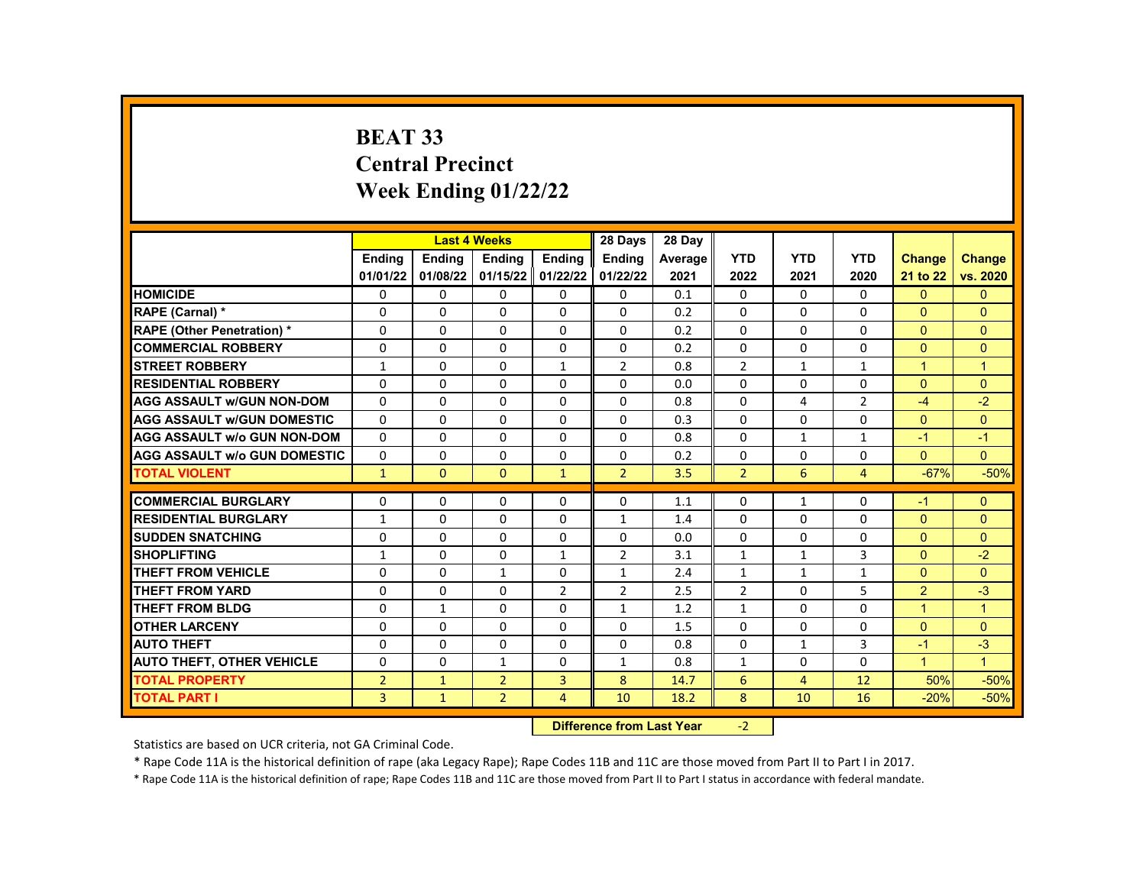# **BEAT 33 Central Precinct Week Ending 01/22/22**

|                                     |                | <b>Last 4 Weeks</b> |                |                   | 28 Days                   | 28 Day  |                |              |                |                      |                |
|-------------------------------------|----------------|---------------------|----------------|-------------------|---------------------------|---------|----------------|--------------|----------------|----------------------|----------------|
|                                     | <b>Endina</b>  | <b>Ending</b>       | Ending         | <b>Endina</b>     | Ending                    | Average | <b>YTD</b>     | <b>YTD</b>   | <b>YTD</b>     | <b>Change</b>        | <b>Change</b>  |
|                                     | 01/01/22       | 01/08/22            |                | 01/15/22 01/22/22 | 01/22/22                  | 2021    | 2022           | 2021         | 2020           | 21 to 22             | vs. 2020       |
| <b>HOMICIDE</b>                     | 0              | 0                   | 0              | $\mathbf{0}$      | 0                         | 0.1     | 0              | $\Omega$     | 0              | $\mathbf{0}$         | $\mathbf{0}$   |
| RAPE (Carnal) *                     | 0              | $\Omega$            | 0              | $\Omega$          | $\Omega$                  | 0.2     | $\Omega$       | $\Omega$     | $\Omega$       | $\Omega$             | $\Omega$       |
| <b>RAPE (Other Penetration) *</b>   | $\mathbf 0$    | $\Omega$            | $\Omega$       | $\Omega$          | $\Omega$                  | 0.2     | $\Omega$       | $\Omega$     | $\Omega$       | $\Omega$             | $\Omega$       |
| <b>COMMERCIAL ROBBERY</b>           | $\Omega$       | $\Omega$            | $\Omega$       | $\mathbf{0}$      | 0                         | 0.2     | $\Omega$       | $\Omega$     | $\Omega$       | $\Omega$             | $\mathbf{0}$   |
| <b>STREET ROBBERY</b>               | $\mathbf{1}$   | 0                   | $\Omega$       | $\mathbf{1}$      | $\overline{2}$            | 0.8     | $\overline{2}$ | $\mathbf{1}$ | $\mathbf{1}$   | $\mathbf{1}$         | $\overline{1}$ |
| <b>RESIDENTIAL ROBBERY</b>          | $\Omega$       | $\Omega$            | $\Omega$       | $\Omega$          | $\Omega$                  | 0.0     | $\Omega$       | $\Omega$     | $\Omega$       | $\Omega$             | $\Omega$       |
| <b>AGG ASSAULT w/GUN NON-DOM</b>    | $\Omega$       | $\Omega$            | $\Omega$       | $\Omega$          | 0                         | 0.8     | $\Omega$       | 4            | $\overline{2}$ | $-4$                 | $-2$           |
| <b>AGG ASSAULT W/GUN DOMESTIC</b>   | $\Omega$       | 0                   | 0              | $\mathbf{0}$      | 0                         | 0.3     | 0              | 0            | $\Omega$       | $\Omega$             | $\Omega$       |
| <b>AGG ASSAULT w/o GUN NON-DOM</b>  | $\Omega$       | $\Omega$            | $\Omega$       | $\Omega$          | $\Omega$                  | 0.8     | $\Omega$       | $\mathbf{1}$ | $\mathbf{1}$   | $-1$                 | $-1$           |
| <b>AGG ASSAULT w/o GUN DOMESTIC</b> | $\mathbf{0}$   | 0                   | 0              | $\mathbf{0}$      | 0                         | 0.2     | 0              | 0            | 0              | $\Omega$             | $\Omega$       |
| <b>TOTAL VIOLENT</b>                | $\mathbf{1}$   | $\mathbf{0}$        | $\mathbf{0}$   | $\mathbf{1}$      | $\overline{2}$            | 3.5     | $\overline{2}$ | 6            | $\overline{4}$ | $-67%$               | $-50%$         |
|                                     |                |                     |                |                   |                           |         |                |              |                |                      |                |
| <b>COMMERCIAL BURGLARY</b>          | 0              | 0                   | 0              | $\mathbf{0}$      | 0                         | 1.1     | 0              | $\mathbf{1}$ | 0              | $-1$                 | $\mathbf{0}$   |
| <b>RESIDENTIAL BURGLARY</b>         | $\mathbf{1}$   | 0                   | 0              | 0                 | $\mathbf{1}$              | 1.4     | 0              | 0            | 0              | $\mathbf{0}$         | $\mathbf{0}$   |
| <b>SUDDEN SNATCHING</b>             | $\Omega$       | $\Omega$            | $\Omega$       | $\Omega$          | $\Omega$                  | 0.0     | $\Omega$       | $\Omega$     | $\Omega$       | $\Omega$             | $\Omega$       |
| <b>SHOPLIFTING</b>                  | $\mathbf{1}$   | $\Omega$            | 0              | $\mathbf{1}$      | $\overline{2}$            | 3.1     | $\mathbf{1}$   | $\mathbf{1}$ | 3              | $\Omega$             | $-2$           |
| <b>THEFT FROM VEHICLE</b>           | $\Omega$       | $\Omega$            | $\mathbf{1}$   | $\Omega$          | $\mathbf{1}$              | 2.4     | $\mathbf{1}$   | $\mathbf{1}$ | $\mathbf{1}$   | $\Omega$             | $\Omega$       |
| <b>THEFT FROM YARD</b>              | $\Omega$       | $\Omega$            | $\Omega$       | $\overline{2}$    | $\overline{2}$            | 2.5     | $\overline{2}$ | $\Omega$     | 5              | 2                    | $-3$           |
| <b>THEFT FROM BLDG</b>              | $\Omega$       | $\mathbf{1}$        | $\Omega$       | $\Omega$          | $\mathbf{1}$              | 1.2     | $\mathbf{1}$   | $\Omega$     | $\Omega$       | $\mathbf{1}$         | $\overline{1}$ |
| <b>OTHER LARCENY</b>                | $\Omega$       | 0                   | $\Omega$       | $\Omega$          | $\Omega$                  | 1.5     | $\Omega$       | $\Omega$     | $\Omega$       | $\Omega$             | $\Omega$       |
| <b>AUTO THEFT</b>                   | 0              | 0                   | $\Omega$       | $\Omega$          | $\Omega$                  | 0.8     | 0              | $\mathbf{1}$ | 3              | $-1$                 | $-3$           |
| <b>AUTO THEFT, OTHER VEHICLE</b>    | $\Omega$       | $\Omega$            | 1              | $\mathbf{0}$      | $\mathbf{1}$              | 0.8     | $\mathbf{1}$   | 0            | $\Omega$       | $\blacktriangleleft$ | $\overline{1}$ |
| <b>TOTAL PROPERTY</b>               | $\overline{2}$ | $\mathbf{1}$        | $\overline{2}$ | 3                 | 8                         | 14.7    | 6              | 4            | 12             | 50%                  | $-50%$         |
| <b>TOTAL PART I</b>                 | 3              | $\mathbf{1}$        | $\overline{2}$ | $\overline{4}$    | 10                        | 18.2    | 8              | 10           | 16             | $-20%$               | $-50%$         |
|                                     |                |                     |                |                   | Difference from Loot Voor |         | $\mathcal{L}$  |              |                |                      |                |

**Difference from Last Year** 

Statistics are based on UCR criteria, not GA Criminal Code.

\* Rape Code 11A is the historical definition of rape (aka Legacy Rape); Rape Codes 11B and 11C are those moved from Part II to Part I in 2017.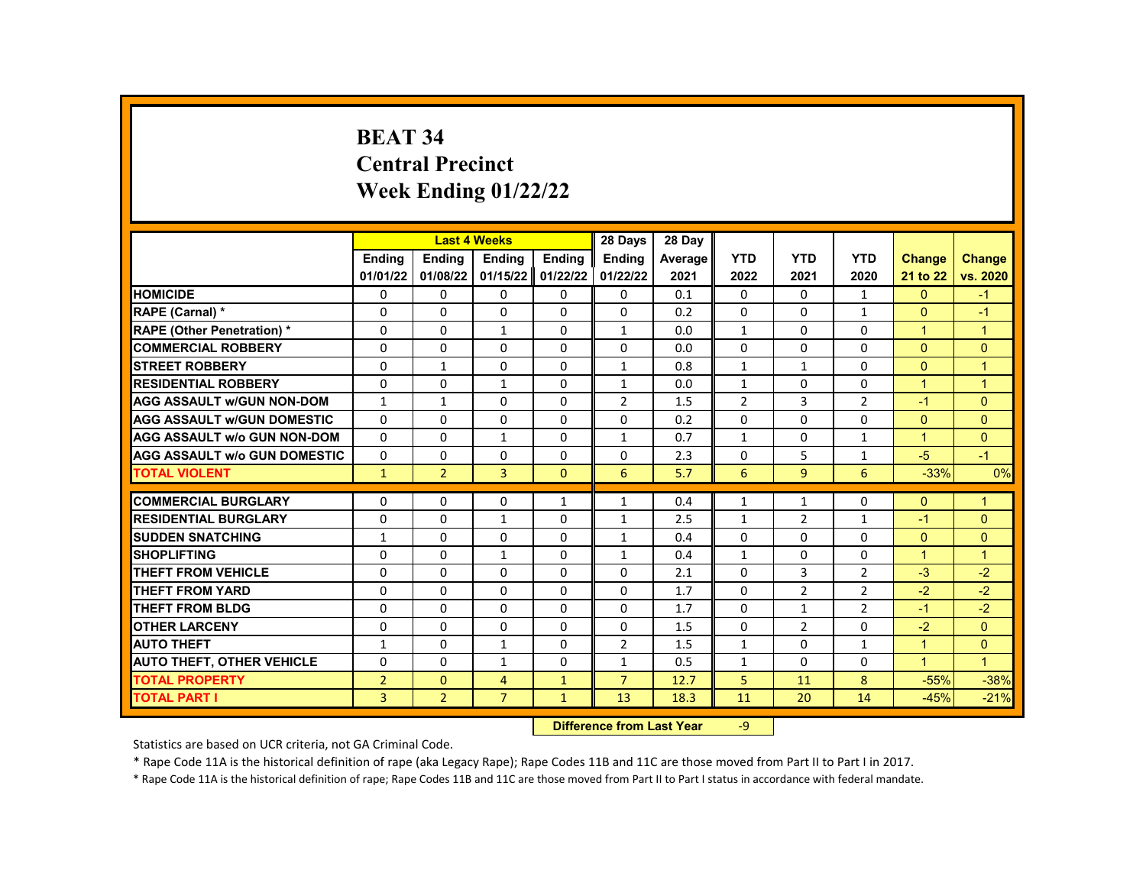# **BEAT 34 Central Precinct Week Ending 01/22/22**

|                                     |                | <b>Last 4 Weeks</b> |                |               | 28 Days                   | 28 Day       |                |                |                |               |                      |
|-------------------------------------|----------------|---------------------|----------------|---------------|---------------------------|--------------|----------------|----------------|----------------|---------------|----------------------|
|                                     | <b>Endina</b>  | <b>Endina</b>       | <b>Endina</b>  | <b>Endina</b> | <b>Endina</b>             | Average      | <b>YTD</b>     | <b>YTD</b>     | <b>YTD</b>     | <b>Change</b> | Change               |
|                                     | 01/01/22       | 01/08/22            | 01/15/22       | 01/22/22      | 01/22/22                  | 2021         | 2022           | 2021           | 2020           | 21 to 22      | vs. 2020             |
| <b>HOMICIDE</b>                     | 0              | 0                   | 0              | 0             | 0                         | 0.1          | 0              | 0              | 1              | $\Omega$      | $-1$                 |
| RAPE (Carnal) *                     | $\Omega$       | $\Omega$            | $\Omega$       | $\Omega$      | $\Omega$                  | 0.2          | $\Omega$       | $\mathbf{0}$   | $\mathbf{1}$   | $\Omega$      | $-1$                 |
| <b>RAPE (Other Penetration) *</b>   | $\Omega$       | $\Omega$            | $\mathbf{1}$   | $\Omega$      | $\mathbf{1}$              | 0.0          | $\mathbf{1}$   | $\Omega$       | $\Omega$       | $\mathbf{1}$  | $\overline{1}$       |
| <b>COMMERCIAL ROBBERY</b>           | $\Omega$       | 0                   | $\Omega$       | 0             | 0                         | 0.0          | $\Omega$       | 0              | 0              | $\Omega$      | $\Omega$             |
| <b>STREET ROBBERY</b>               | $\Omega$       | $\mathbf{1}$        | $\Omega$       | $\Omega$      | $\mathbf{1}$              | 0.8          | $\mathbf{1}$   | $\mathbf{1}$   | $\Omega$       | $\Omega$      | $\overline{1}$       |
| <b>RESIDENTIAL ROBBERY</b>          | 0              | 0                   | $\mathbf{1}$   | 0             | $\mathbf{1}$              | 0.0          | $\mathbf{1}$   | 0              | 0              | 1             | $\blacktriangleleft$ |
| <b>AGG ASSAULT w/GUN NON-DOM</b>    | $\mathbf{1}$   | $\mathbf{1}$        | $\Omega$       | 0             | $\overline{2}$            | 1.5          | $\overline{2}$ | 3              | $\overline{2}$ | $-1$          | $\Omega$             |
| <b>AGG ASSAULT w/GUN DOMESTIC</b>   | $\Omega$       | $\Omega$            | $\Omega$       | $\Omega$      | $\Omega$                  | 0.2          | $\Omega$       | 0              | $\Omega$       | $\Omega$      | $\Omega$             |
| <b>AGG ASSAULT w/o GUN NON-DOM</b>  | $\Omega$       | $\Omega$            | $\mathbf{1}$   | $\Omega$      | $\mathbf{1}$              | 0.7          | $\mathbf{1}$   | $\Omega$       | $\mathbf{1}$   | $\mathbf{1}$  | $\Omega$             |
| <b>AGG ASSAULT w/o GUN DOMESTIC</b> | $\Omega$       | 0                   | $\Omega$       | 0             | 0                         | 2.3          | 0              | 5              | $\mathbf{1}$   | $-5$          | $-1$                 |
| <b>TOTAL VIOLENT</b>                | $\mathbf{1}$   | $\overline{2}$      | 3              | $\mathbf{0}$  | 6                         | 5.7          | 6              | 9              | 6              | $-33%$        | 0%                   |
| <b>COMMERCIAL BURGLARY</b>          | 0              | 0                   | 0              | $\mathbf{1}$  | 1                         | 0.4          | $\mathbf{1}$   | $\mathbf{1}$   | 0              | $\Omega$      | $\mathbf{1}$         |
| <b>RESIDENTIAL BURGLARY</b>         | $\Omega$       | 0                   | 1              | 0             | 1                         | 2.5          | $\mathbf{1}$   | $\overline{2}$ | 1              | $-1$          | $\Omega$             |
| <b>SUDDEN SNATCHING</b>             | 1              | 0                   | 0              | 0             | 1                         | 0.4          | 0              | 0              | $\Omega$       | $\mathbf{0}$  | $\mathbf{0}$         |
| <b>SHOPLIFTING</b>                  | $\Omega$       | $\Omega$            | $\mathbf{1}$   | $\Omega$      | $\mathbf{1}$              | 0.4          | $\mathbf{1}$   | $\Omega$       | $\Omega$       | $\mathbf{1}$  | $\overline{1}$       |
| THEFT FROM VEHICLE                  | $\Omega$       | $\Omega$            | $\Omega$       | $\Omega$      | $\Omega$                  | 2.1          | $\Omega$       | 3              | $\overline{2}$ | $-3$          | $-2$                 |
| <b>THEFT FROM YARD</b>              | 0              | 0                   | $\Omega$       | 0             | 0                         | 1.7          | $\Omega$       | $\overline{2}$ | $\overline{2}$ | $-2$          | $-2$                 |
| <b>THEFT FROM BLDG</b>              | $\Omega$       | $\Omega$            | $\Omega$       | $\Omega$      | 0                         | 1.7          | $\Omega$       | $\mathbf{1}$   | $\overline{2}$ | $-1$          | $-2$                 |
| <b>OTHER LARCENY</b>                | $\Omega$       | $\Omega$            | $\Omega$       | $\Omega$      | 0                         | 1.5          | 0              | $\overline{2}$ | $\mathbf 0$    | $-2$          | $\Omega$             |
| <b>AUTO THEFT</b>                   | $\mathbf{1}$   | $\Omega$            | $\mathbf{1}$   | $\mathbf 0$   | $\overline{2}$            | 1.5          | $\mathbf{1}$   | $\Omega$       | $\mathbf{1}$   | $\mathbf{1}$  | $\Omega$             |
|                                     |                |                     |                |               |                           |              |                |                | $\Omega$       | $\mathbf{1}$  | $\mathbf{1}$         |
| <b>AUTO THEFT, OTHER VEHICLE</b>    | 0              | 0                   | $\mathbf{1}$   | 0             | $\mathbf{1}$              | 0.5          | $\mathbf{1}$   | 0              |                |               |                      |
| <b>TOTAL PROPERTY</b>               | $\overline{2}$ | $\mathbf{0}$        | 4              | $\mathbf{1}$  | $\overline{7}$            | 12.7<br>18.3 | 5              | 11             | 8              | $-55%$        | $-38%$               |
| <b>TOTAL PART I</b>                 | 3              | $\overline{2}$      | $\overline{7}$ | $\mathbf{1}$  | 13                        |              | 11             | 20             | 14             | $-45%$        | $-21%$               |
|                                     |                |                     |                |               | Difference from Last Year |              | $-9$           |                |                |               |                      |

Statistics are based on UCR criteria, not GA Criminal Code.

\* Rape Code 11A is the historical definition of rape (aka Legacy Rape); Rape Codes 11B and 11C are those moved from Part II to Part I in 2017.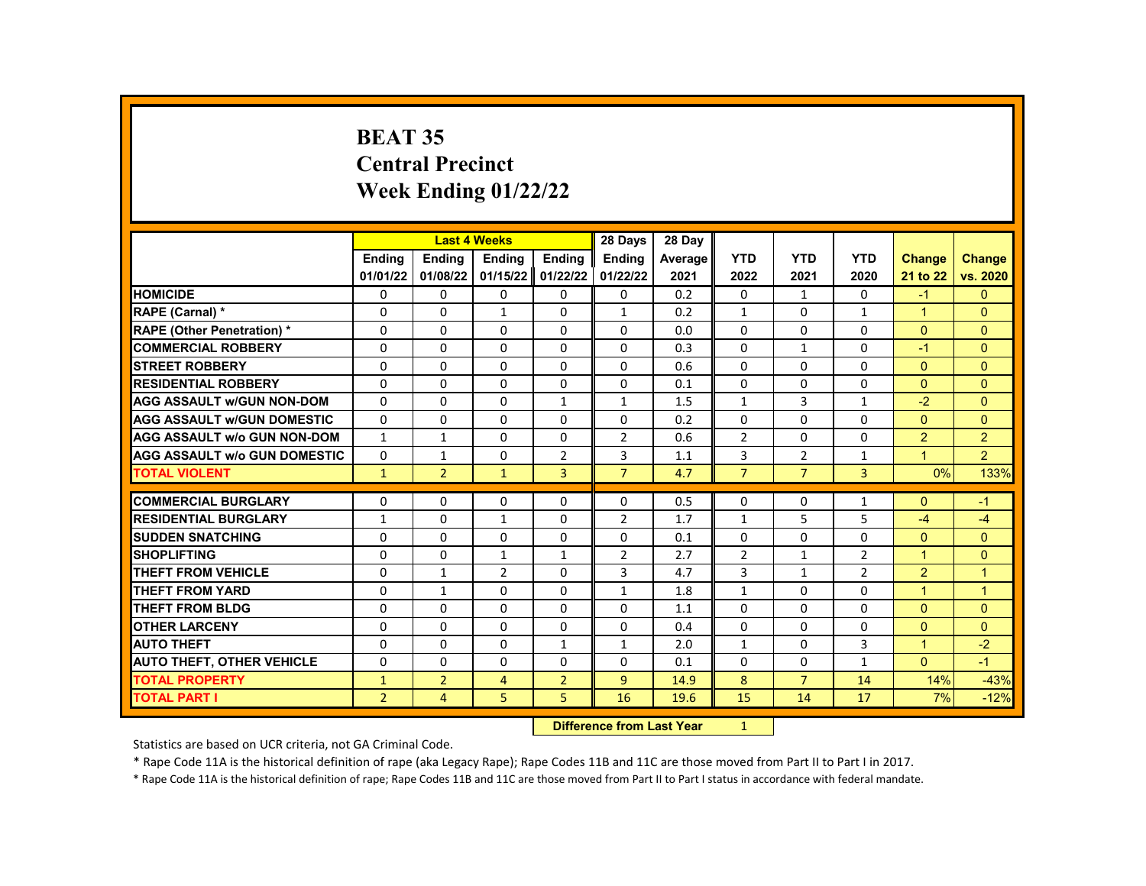# **BEAT 35 Central Precinct Week Ending 01/22/22**

|                                     |                |                   | <b>Last 4 Weeks</b> |                   | 28 Days                   | 28 Day     |                |                          |                |                              |                |
|-------------------------------------|----------------|-------------------|---------------------|-------------------|---------------------------|------------|----------------|--------------------------|----------------|------------------------------|----------------|
|                                     | <b>Endina</b>  | <b>Endina</b>     | <b>Ending</b>       | <b>Ending</b>     | <b>Endina</b>             | Average    | <b>YTD</b>     | <b>YTD</b>               | <b>YTD</b>     | <b>Change</b>                | <b>Change</b>  |
|                                     | 01/01/22       | 01/08/22          | 01/15/22            | 01/22/22          | 01/22/22                  | 2021       | 2022           | 2021                     | 2020           | 21 to 22                     | vs. 2020       |
| <b>HOMICIDE</b>                     | 0              | 0                 | 0                   | 0                 | 0                         | 0.2        | $\mathbf{0}$   | $\mathbf{1}$             | 0              | $-1$                         | $\mathbf{0}$   |
| RAPE (Carnal) *                     | 0              | 0                 | $\mathbf{1}$        | $\mathbf 0$       | 1                         | 0.2        | $\mathbf{1}$   | $\Omega$                 | $\mathbf{1}$   | $\mathbf{1}$                 | $\Omega$       |
| <b>RAPE (Other Penetration) *</b>   | $\Omega$       | $\Omega$          | $\Omega$            | $\Omega$          | $\Omega$                  | 0.0        | $\Omega$       | $\Omega$                 | $\Omega$       | $\Omega$                     | $\Omega$       |
| <b>COMMERCIAL ROBBERY</b>           | $\Omega$       | $\Omega$          | $\Omega$            | $\Omega$          | $\Omega$                  | 0.3        | $\Omega$       | $\mathbf{1}$             | 0              | $-1$                         | $\Omega$       |
| <b>STREET ROBBERY</b>               | 0              | 0                 | 0                   | 0                 | 0                         | 0.6        | $\Omega$       | $\mathbf{0}$             | $\Omega$       | $\mathbf{0}$                 | $\Omega$       |
| <b>RESIDENTIAL ROBBERY</b>          | $\Omega$       | $\Omega$          | $\Omega$            | $\Omega$          | $\Omega$                  | 0.1        | $\Omega$       | $\Omega$                 | $\Omega$       | $\Omega$                     | $\Omega$       |
| <b>AGG ASSAULT w/GUN NON-DOM</b>    | $\Omega$       | 0                 | $\Omega$            | $\mathbf{1}$      | $\mathbf{1}$              | 1.5        | $\mathbf{1}$   | 3                        | 1              | $-2$                         | $\Omega$       |
| <b>AGG ASSAULT w/GUN DOMESTIC</b>   | $\Omega$       | $\Omega$          | $\Omega$            | $\Omega$          | 0                         | 0.2        | $\Omega$       | $\Omega$                 | $\Omega$       | $\Omega$                     | $\Omega$       |
| <b>AGG ASSAULT w/o GUN NON-DOM</b>  | $\mathbf{1}$   | $\mathbf{1}$      | $\Omega$            | $\Omega$          | $\overline{2}$            | 0.6        | $\overline{2}$ | $\Omega$                 | $\Omega$       | $\overline{2}$               | 2              |
| <b>AGG ASSAULT w/o GUN DOMESTIC</b> | $\Omega$       | 1                 | 0                   | $\overline{2}$    | 3                         | 1.1        | 3              | $\overline{2}$           | 1              | $\mathbf{1}$                 | $\overline{2}$ |
| <b>TOTAL VIOLENT</b>                | $\mathbf{1}$   | $\overline{2}$    | $\mathbf{1}$        | 3                 | $\overline{7}$            | 4.7        | $\overline{7}$ | $\overline{7}$           | 3              | 0%                           | 133%           |
| <b>COMMERCIAL BURGLARY</b>          | 0              | 0                 | 0                   | 0                 | 0                         | 0.5        | 0              | 0                        | 1              | $\Omega$                     | $-1$           |
| <b>RESIDENTIAL BURGLARY</b>         | $\mathbf{1}$   | 0                 | $\mathbf{1}$        | 0                 | $\overline{2}$            | 1.7        | $\mathbf{1}$   | 5                        | 5              | $-4$                         | $-4$           |
| <b>SUDDEN SNATCHING</b>             | $\Omega$       | $\Omega$          | $\Omega$            | $\Omega$          | 0                         | 0.1        | $\Omega$       | $\Omega$                 | $\Omega$       | $\Omega$                     | $\Omega$       |
| <b>SHOPLIFTING</b>                  |                |                   | 1                   | $\mathbf{1}$      | $\overline{2}$            | 2.7        | $\overline{2}$ | $\mathbf{1}$             | $\overline{2}$ | $\mathbf{1}$                 | $\Omega$       |
| <b>THEFT FROM VEHICLE</b>           | 0<br>$\Omega$  | 0<br>$\mathbf{1}$ | $\overline{2}$      | 0                 | 3                         | 4.7        | 3              | $\mathbf{1}$             | $\overline{2}$ | $\overline{2}$               | $\mathbf{1}$   |
| <b>THEFT FROM YARD</b>              | $\Omega$       | $\mathbf{1}$      | $\Omega$            | $\Omega$          | 1                         | 1.8        | $\mathbf{1}$   | $\Omega$                 | $\Omega$       | $\mathbf{1}$                 | $\overline{1}$ |
| <b>THEFT FROM BLDG</b>              | $\Omega$       | $\Omega$          | $\Omega$            | $\Omega$          | $\Omega$                  | 1.1        | $\Omega$       | $\Omega$                 | $\Omega$       | $\Omega$                     | $\Omega$       |
| <b>OTHER LARCENY</b>                |                |                   | $\Omega$            |                   |                           |            | $\Omega$       |                          |                |                              | $\Omega$       |
| <b>AUTO THEFT</b>                   | 0<br>0         | 0<br>$\mathbf{0}$ | 0                   | 0<br>$\mathbf{1}$ | 0                         | 0.4<br>2.0 | $\mathbf{1}$   | $\mathbf{0}$<br>$\Omega$ | $\Omega$<br>3  | $\mathbf{0}$<br>$\mathbf{1}$ | $-2$           |
|                                     | $\Omega$       | $\Omega$          | $\Omega$            | $\Omega$          | $\mathbf{1}$              |            | $\Omega$       |                          |                | $\Omega$                     | $-1$           |
| <b>AUTO THEFT, OTHER VEHICLE</b>    |                |                   |                     |                   | 0                         | 0.1        |                | $\mathbf{0}$             | $\mathbf{1}$   |                              |                |
| <b>TOTAL PROPERTY</b>               | $\mathbf{1}$   | $\overline{2}$    | 4                   | $\overline{2}$    | 9                         | 14.9       | 8              | $\overline{7}$           | 14             | 14%                          | $-43%$         |
| <b>TOTAL PART I</b>                 | $\overline{2}$ | $\overline{4}$    | 5                   | 5                 | 16                        | 19.6       | 15             | 14                       | 17             | 7%                           | $-12%$         |
|                                     |                |                   |                     |                   | Difference from Loot Voor |            | $\sim$         |                          |                |                              |                |

**Difference from Last Year** 

Statistics are based on UCR criteria, not GA Criminal Code.

\* Rape Code 11A is the historical definition of rape (aka Legacy Rape); Rape Codes 11B and 11C are those moved from Part II to Part I in 2017.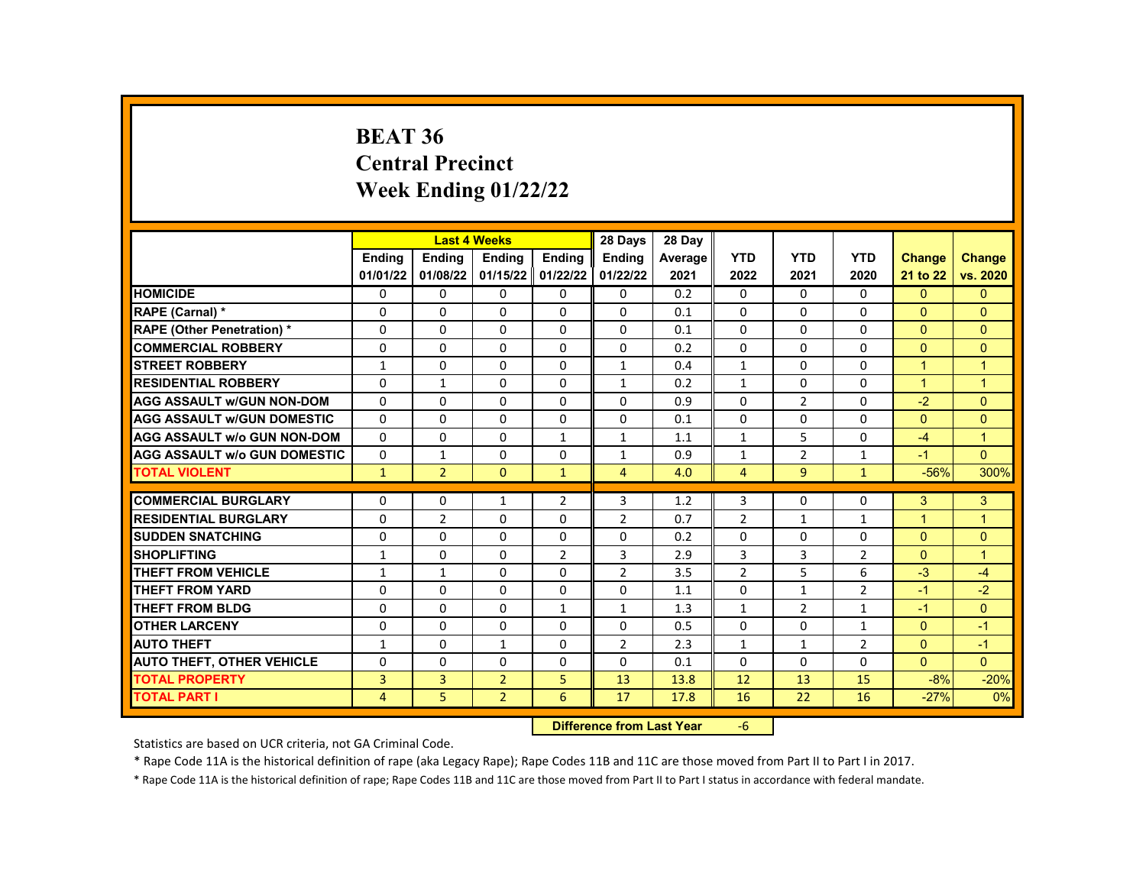#### **BEAT 36 Central Precinct Week Ending 01/22/22**

|                                     |               | <b>Last 4 Weeks</b> |                |                   | 28 Days        | 28 Day         |                |                |                |               |                |
|-------------------------------------|---------------|---------------------|----------------|-------------------|----------------|----------------|----------------|----------------|----------------|---------------|----------------|
|                                     | <b>Endina</b> | <b>Endina</b>       | <b>Endina</b>  | <b>Endina</b>     | Ending         | <b>Average</b> | <b>YTD</b>     | <b>YTD</b>     | <b>YTD</b>     | <b>Change</b> | <b>Change</b>  |
|                                     | 01/01/22      | 01/08/22            |                | 01/15/22 01/22/22 | 01/22/22       | 2021           | 2022           | 2021           | 2020           | 21 to 22      | vs. 2020       |
| <b>HOMICIDE</b>                     | 0             | 0                   | 0              | 0                 | 0              | 0.2            | 0              | 0              | 0              | $\mathbf{0}$  | $\mathbf{0}$   |
| RAPE (Carnal) *                     | $\Omega$      | $\Omega$            | $\Omega$       | 0                 | $\Omega$       | 0.1            | $\Omega$       | $\Omega$       | $\Omega$       | $\Omega$      | $\Omega$       |
| <b>RAPE (Other Penetration) *</b>   | $\Omega$      | $\Omega$            | $\Omega$       | $\Omega$          | $\Omega$       | 0.1            | $\Omega$       | $\Omega$       | $\Omega$       | $\Omega$      | $\Omega$       |
| <b>COMMERCIAL ROBBERY</b>           | 0             | 0                   | 0              | $\mathbf{0}$      | 0              | 0.2            | $\Omega$       | 0              | $\Omega$       | $\mathbf{0}$  | $\mathbf{0}$   |
| <b>STREET ROBBERY</b>               | $\mathbf{1}$  | $\Omega$            | $\Omega$       | 0                 | $\mathbf{1}$   | 0.4            | $\mathbf{1}$   | $\Omega$       | $\Omega$       | $\mathbf{1}$  | $\overline{1}$ |
| <b>RESIDENTIAL ROBBERY</b>          | $\Omega$      | $\mathbf{1}$        | $\Omega$       | $\Omega$          | $\mathbf{1}$   | 0.2            | $\mathbf{1}$   | $\Omega$       | $\Omega$       | $\mathbf{1}$  | $\overline{1}$ |
| <b>AGG ASSAULT w/GUN NON-DOM</b>    | $\Omega$      | $\Omega$            | $\Omega$       | $\Omega$          | $\Omega$       | 0.9            | $\Omega$       | $\overline{2}$ | $\Omega$       | $-2$          | $\Omega$       |
| <b>AGG ASSAULT W/GUN DOMESTIC</b>   | $\Omega$      | $\Omega$            | 0              | 0                 | $\Omega$       | 0.1            | $\Omega$       | $\Omega$       | $\Omega$       | $\Omega$      | $\Omega$       |
| <b>AGG ASSAULT W/o GUN NON-DOM</b>  | $\Omega$      | $\Omega$            | $\Omega$       | $\mathbf{1}$      | $\mathbf{1}$   | 1.1            | $\mathbf{1}$   | 5              | $\Omega$       | $-4$          | $\overline{1}$ |
| <b>AGG ASSAULT W/o GUN DOMESTIC</b> | $\Omega$      | $\mathbf{1}$        | 0              | 0                 | $\mathbf{1}$   | 0.9            | $\mathbf{1}$   | $\overline{2}$ | $\mathbf{1}$   | $-1$          | $\Omega$       |
| <b>TOTAL VIOLENT</b>                | $\mathbf{1}$  | $\overline{2}$      | $\mathbf{0}$   | $\mathbf{1}$      | $\overline{4}$ | 4.0            | $\overline{4}$ | 9              | $\mathbf{1}$   | $-56%$        | 300%           |
|                                     |               |                     |                |                   |                |                |                |                |                |               |                |
| <b>COMMERCIAL BURGLARY</b>          | 0             | 0                   | 1              | $\overline{2}$    | 3              | 1.2            | 3              | 0              | 0              | 3             | 3              |
| <b>RESIDENTIAL BURGLARY</b>         | 0             | $\overline{2}$      | 0              | 0                 | $\overline{2}$ | 0.7            | $\overline{2}$ | 1              | 1              | $\mathbf{1}$  | $\overline{1}$ |
| <b>SUDDEN SNATCHING</b>             | $\Omega$      | $\Omega$            | $\Omega$       | $\Omega$          | $\Omega$       | 0.2            | $\Omega$       | $\Omega$       | $\Omega$       | $\Omega$      | $\Omega$       |
| <b>SHOPLIFTING</b>                  | $\mathbf{1}$  | $\Omega$            | $\Omega$       | $\overline{2}$    | 3              | 2.9            | 3              | 3              | $\overline{2}$ | $\Omega$      | $\overline{1}$ |
| <b>THEFT FROM VEHICLE</b>           | $\mathbf{1}$  | 1                   | 0              | 0                 | 2              | 3.5            | $\overline{2}$ | 5              | 6              | $-3$          | $-4$           |
| <b>THEFT FROM YARD</b>              | $\Omega$      | $\Omega$            | $\Omega$       | $\Omega$          | $\Omega$       | 1.1            | $\Omega$       | $\mathbf{1}$   | $\overline{2}$ | $-1$          | $-2$           |
| <b>THEFT FROM BLDG</b>              | $\Omega$      | 0                   | $\Omega$       | $\mathbf{1}$      | $\mathbf{1}$   | 1.3            | $\mathbf{1}$   | $\overline{2}$ | $\mathbf{1}$   | $-1$          | $\Omega$       |
| <b>OTHER LARCENY</b>                | $\Omega$      | $\Omega$            | 0              | 0                 | $\Omega$       | 0.5            | $\Omega$       | $\Omega$       | $\mathbf{1}$   | $\Omega$      | $-1$           |
| <b>AUTO THEFT</b>                   | $\mathbf{1}$  | $\Omega$            | 1              | $\Omega$          | $\overline{2}$ | 2.3            | $\mathbf{1}$   | $\mathbf{1}$   | $\overline{2}$ | $\Omega$      | $-1$           |
| <b>AUTO THEFT, OTHER VEHICLE</b>    | $\Omega$      | 0                   | $\Omega$       | 0                 | $\Omega$       | 0.1            | $\Omega$       | 0              | $\Omega$       | $\Omega$      | $\Omega$       |
| <b>TOTAL PROPERTY</b>               | 3             | 3                   | $\overline{2}$ | 5                 | 13             | 13.8           | 12             | 13             | 15             | $-8%$         | $-20%$         |
| <b>TOTAL PART I</b>                 | 4             | 5                   | $\overline{2}$ | 6                 | 17             | 17.8           | 16             | 22             | 16             | $-27%$        | 0%             |
|                                     |               |                     |                |                   |                |                |                |                |                |               |                |

**Difference from Last Year** -6

Statistics are based on UCR criteria, not GA Criminal Code.

\* Rape Code 11A is the historical definition of rape (aka Legacy Rape); Rape Codes 11B and 11C are those moved from Part II to Part I in 2017.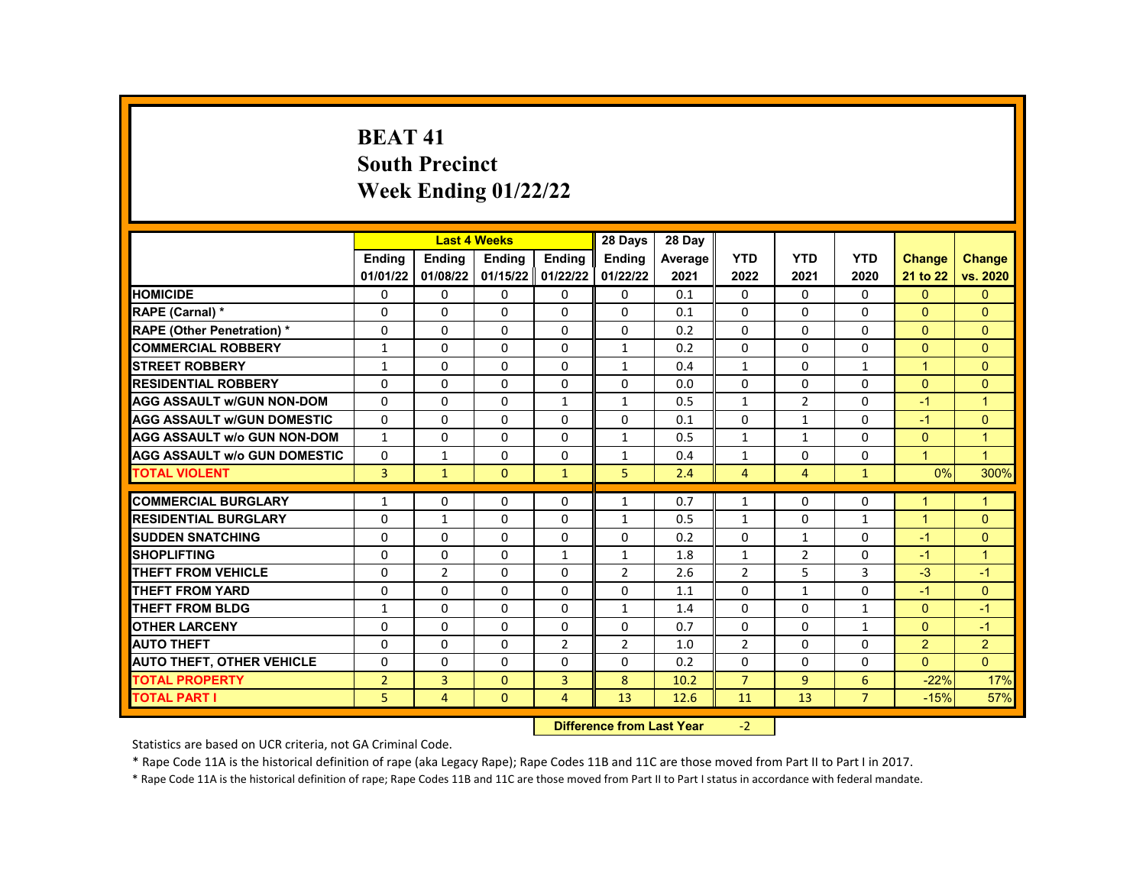# **BEAT 41 South Precinct Week Ending 01/22/22**

|                                     |                |                | <b>Last 4 Weeks</b> |                | 28 Days                   | 28 Day  |                |                |                |                      |                      |
|-------------------------------------|----------------|----------------|---------------------|----------------|---------------------------|---------|----------------|----------------|----------------|----------------------|----------------------|
|                                     | Ending         | <b>Ending</b>  | Ending              | Ending         | <b>Ending</b>             | Average | <b>YTD</b>     | <b>YTD</b>     | <b>YTD</b>     | Change               | <b>Change</b>        |
|                                     | 01/01/22       | 01/08/22       | 01/15/22            | 01/22/22       | 01/22/22                  | 2021    | 2022           | 2021           | 2020           | 21 to 22             | vs. 2020             |
| <b>HOMICIDE</b>                     | 0              | $\Omega$       | 0                   | $\Omega$       | $\Omega$                  | 0.1     | $\Omega$       | $\Omega$       | 0              | $\Omega$             | $\Omega$             |
| RAPE (Carnal) *                     | $\Omega$       | $\Omega$       | $\Omega$            | $\Omega$       | $\Omega$                  | 0.1     | $\Omega$       | $\Omega$       | $\Omega$       | $\Omega$             | $\Omega$             |
| <b>RAPE (Other Penetration) *</b>   | $\Omega$       | $\Omega$       | $\Omega$            | $\Omega$       | $\Omega$                  | 0.2     | $\Omega$       | $\Omega$       | $\Omega$       | $\Omega$             | $\Omega$             |
| <b>COMMERCIAL ROBBERY</b>           | $\mathbf{1}$   | $\mathbf{0}$   | 0                   | $\Omega$       | $\mathbf{1}$              | 0.2     | $\Omega$       | $\Omega$       | $\Omega$       | $\Omega$             | $\mathbf{0}$         |
| <b>STREET ROBBERY</b>               | $\mathbf{1}$   | $\Omega$       | $\Omega$            | $\Omega$       | $\mathbf{1}$              | 0.4     | $\mathbf{1}$   | $\Omega$       | $\mathbf{1}$   | $\blacktriangleleft$ | $\Omega$             |
| <b>RESIDENTIAL ROBBERY</b>          | $\Omega$       | $\Omega$       | $\Omega$            | $\Omega$       | $\Omega$                  | 0.0     | $\Omega$       | $\Omega$       | $\Omega$       | $\Omega$             | $\Omega$             |
| <b>AGG ASSAULT W/GUN NON-DOM</b>    | $\Omega$       | $\mathbf{0}$   | 0                   | $\mathbf{1}$   | $\mathbf{1}$              | 0.5     | $\mathbf{1}$   | $\overline{2}$ | $\Omega$       | $-1$                 | $\overline{1}$       |
| <b>AGG ASSAULT W/GUN DOMESTIC</b>   | $\Omega$       | $\Omega$       | $\Omega$            | $\Omega$       | $\Omega$                  | 0.1     | $\Omega$       | $\mathbf{1}$   | 0              | $-1$                 | $\Omega$             |
| <b>AGG ASSAULT W/o GUN NON-DOM</b>  | $\mathbf{1}$   | $\Omega$       | $\Omega$            | $\Omega$       | $\mathbf{1}$              | 0.5     | $\mathbf{1}$   | $\mathbf{1}$   | $\Omega$       | $\Omega$             | $\blacktriangleleft$ |
| <b>AGG ASSAULT W/o GUN DOMESTIC</b> | $\Omega$       | $\mathbf{1}$   | 0                   | $\Omega$       | $\mathbf{1}$              | 0.4     | $\mathbf{1}$   | $\Omega$       | $\Omega$       | $\blacktriangleleft$ | $\overline{1}$       |
| <b>TOTAL VIOLENT</b>                | 3              | $\mathbf{1}$   | $\mathbf{0}$        | $\mathbf{1}$   | 5                         | 2.4     | $\overline{4}$ | $\overline{4}$ | $\mathbf{1}$   | 0%                   | 300%                 |
|                                     |                |                |                     |                |                           |         |                |                |                |                      |                      |
| <b>COMMERCIAL BURGLARY</b>          | $\mathbf{1}$   | $\mathbf{0}$   | 0                   | $\Omega$       | $\mathbf{1}$              | 0.7     | $\mathbf{1}$   | $\Omega$       | 0              | -1                   | 1                    |
| <b>RESIDENTIAL BURGLARY</b>         | $\Omega$       | $\mathbf{1}$   | $\mathbf{0}$        | $\Omega$       | $\mathbf{1}$              | 0.5     | $\mathbf{1}$   | $\Omega$       | $\mathbf{1}$   | $\overline{1}$       | $\mathbf{0}$         |
| <b>SUDDEN SNATCHING</b>             | $\Omega$       | $\Omega$       | 0                   | $\Omega$       | $\Omega$                  | 0.2     | $\Omega$       | $\mathbf{1}$   | $\Omega$       | $-1$                 | $\Omega$             |
| <b>SHOPLIFTING</b>                  | 0              | $\mathbf{0}$   | 0                   | $\mathbf{1}$   | $\mathbf{1}$              | 1.8     | $\mathbf{1}$   | $\overline{2}$ | 0              | $-1$                 | $\blacktriangleleft$ |
| <b>THEFT FROM VEHICLE</b>           | $\Omega$       | $\overline{2}$ | $\Omega$            | $\Omega$       | $\overline{2}$            | 2.6     | $\overline{2}$ | 5              | 3              | $-3$                 | $-1$                 |
| <b>THEFT FROM YARD</b>              | $\Omega$       | $\Omega$       | 0                   | $\Omega$       | $\Omega$                  | 1.1     | $\Omega$       | $\mathbf{1}$   | $\Omega$       | $-1$                 | $\mathbf{0}$         |
| THEFT FROM BLDG                     | $\mathbf{1}$   | $\Omega$       | 0                   | $\Omega$       | $\mathbf{1}$              | 1.4     | $\Omega$       | $\Omega$       | $\mathbf{1}$   | $\Omega$             | $-1$                 |
| <b>OTHER LARCENY</b>                | $\Omega$       | $\Omega$       | $\mathbf{0}$        | $\Omega$       | $\Omega$                  | 0.7     | $\Omega$       | $\Omega$       | $\mathbf{1}$   | $\Omega$             | $-1$                 |
| <b>AUTO THEFT</b>                   | $\Omega$       | $\Omega$       | 0                   | $\overline{2}$ | $\overline{2}$            | 1.0     | $\overline{2}$ | $\Omega$       | $\Omega$       | $\overline{2}$       | $\overline{2}$       |
| <b>AUTO THEFT, OTHER VEHICLE</b>    | $\Omega$       | $\Omega$       | $\Omega$            | $\Omega$       | $\Omega$                  | 0.2     | $\Omega$       | $\Omega$       | $\Omega$       | $\Omega$             | $\Omega$             |
| <b>TOTAL PROPERTY</b>               | $\overline{2}$ | 3              | $\mathbf{0}$        | $\overline{3}$ | 8                         | 10.2    | $\overline{7}$ | $\overline{9}$ | 6              | $-22%$               | 17%                  |
| <b>TOTAL PART I</b>                 | 5              | $\overline{4}$ | $\mathbf{0}$        | 4              | 13                        | 12.6    | 11             | 13             | $\overline{7}$ | $-15%$               | 57%                  |
|                                     |                |                |                     |                | Difference from Loot Voor |         | $\mathcal{L}$  |                |                |                      |                      |

**Difference from Last Year** 

Statistics are based on UCR criteria, not GA Criminal Code.

\* Rape Code 11A is the historical definition of rape (aka Legacy Rape); Rape Codes 11B and 11C are those moved from Part II to Part I in 2017.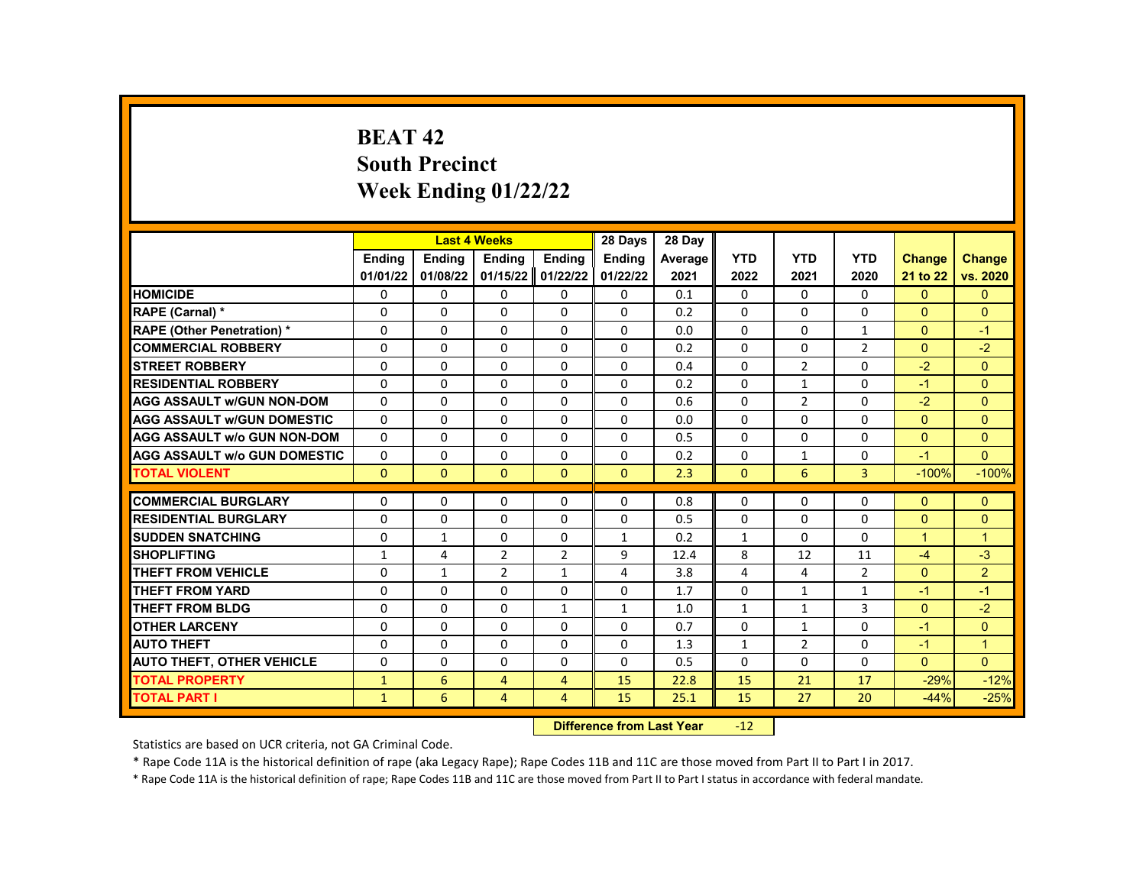# **BEAT 42 South Precinct Week Ending 01/22/22**

|                                     |               | <b>Last 4 Weeks</b> |                |                    | 28 Days       | 28 Day  |              |                |                |                |                |
|-------------------------------------|---------------|---------------------|----------------|--------------------|---------------|---------|--------------|----------------|----------------|----------------|----------------|
|                                     | <b>Endina</b> | <b>Endina</b>       | <b>Endina</b>  | <b>Endina</b>      | <b>Endina</b> | Average | <b>YTD</b>   | <b>YTD</b>     | <b>YTD</b>     | <b>Change</b>  | <b>Change</b>  |
|                                     | 01/01/22      | 01/08/22            | 01/15/22       | 01/22/22           | 01/22/22      | 2021    | 2022         | 2021           | 2020           | 21 to 22       | vs. 2020       |
| <b>HOMICIDE</b>                     | 0             | $\Omega$            | 0              | 0                  | 0             | 0.1     | 0            | $\Omega$       | 0              | $\mathbf{0}$   | $\mathbf{0}$   |
| RAPE (Carnal) *                     | $\Omega$      | $\Omega$            | $\Omega$       | $\Omega$           | $\Omega$      | 0.2     | $\Omega$     | $\Omega$       | $\Omega$       | $\Omega$       | $\Omega$       |
| <b>RAPE (Other Penetration) *</b>   | $\Omega$      | $\Omega$            | $\Omega$       | $\Omega$           | $\Omega$      | 0.0     | $\Omega$     | $\Omega$       | $\mathbf{1}$   | $\Omega$       | $-1$           |
| <b>COMMERCIAL ROBBERY</b>           | $\Omega$      | $\Omega$            | $\Omega$       | $\Omega$           | $\Omega$      | 0.2     | $\Omega$     | $\Omega$       | $\overline{2}$ | $\Omega$       | $-2$           |
| <b>STREET ROBBERY</b>               | 0             | 0                   | $\Omega$       | 0                  | $\Omega$      | 0.4     | $\Omega$     | $\overline{2}$ | $\Omega$       | $-2$           | $\Omega$       |
| <b>RESIDENTIAL ROBBERY</b>          | $\Omega$      | $\Omega$            | $\Omega$       | $\Omega$           | $\Omega$      | 0.2     | $\Omega$     | $\mathbf{1}$   | $\Omega$       | $-1$           | $\Omega$       |
| <b>AGG ASSAULT w/GUN NON-DOM</b>    | $\Omega$      | $\Omega$            | $\Omega$       | $\Omega$           | $\Omega$      | 0.6     | $\Omega$     | $\overline{2}$ | $\Omega$       | $-2$           | $\mathbf{0}$   |
| <b>AGG ASSAULT w/GUN DOMESTIC</b>   | $\Omega$      | $\Omega$            | $\Omega$       | $\Omega$           | $\Omega$      | 0.0     | 0            | 0              | $\Omega$       | $\Omega$       | $\Omega$       |
| <b>AGG ASSAULT w/o GUN NON-DOM</b>  | $\Omega$      | $\Omega$            | $\Omega$       | $\Omega$           | $\Omega$      | 0.5     | $\Omega$     | $\Omega$       | $\Omega$       | $\Omega$       | $\Omega$       |
| <b>AGG ASSAULT w/o GUN DOMESTIC</b> | $\Omega$      | $\Omega$            | $\Omega$       | $\Omega$           | $\Omega$      | 0.2     | $\Omega$     | $\mathbf{1}$   | $\Omega$       | $-1$           | $\Omega$       |
| <b>TOTAL VIOLENT</b>                | $\mathbf{0}$  | $\mathbf{0}$        | $\mathbf{0}$   | $\mathbf{0}$       | $\mathbf{0}$  | 2.3     | $\mathbf{0}$ | 6              | 3              | $-100%$        | $-100%$        |
|                                     |               |                     |                |                    |               |         |              |                |                |                |                |
| <b>COMMERCIAL BURGLARY</b>          | 0             | $\Omega$            | $\Omega$       | 0                  | $\Omega$      | 0.8     | $\Omega$     | 0              | $\Omega$       | $\Omega$       | $\mathbf{0}$   |
| <b>RESIDENTIAL BURGLARY</b>         | $\Omega$      | $\Omega$            | $\Omega$       | $\Omega$           | $\Omega$      | 0.5     | $\Omega$     | $\Omega$       | $\Omega$       | $\Omega$       | $\Omega$       |
| <b>SUDDEN SNATCHING</b>             | $\Omega$      | $\mathbf{1}$        | $\Omega$       | $\Omega$           | $\mathbf{1}$  | 0.2     | $\mathbf{1}$ | $\Omega$       | $\Omega$       | $\mathbf{1}$   | $\mathbf{1}$   |
| <b>SHOPLIFTING</b>                  | $\mathbf{1}$  | 4                   | $\overline{2}$ | $\overline{2}$     | 9             | 12.4    | 8            | 12             | 11             | $-4$           | $-3$           |
| <b>THEFT FROM VEHICLE</b>           | $\Omega$      | $\mathbf{1}$        | $\overline{2}$ | $\mathbf{1}$       | 4             | 3.8     | 4            | 4              | $\overline{2}$ | $\Omega$       | $\overline{2}$ |
| <b>THEFT FROM YARD</b>              | $\Omega$      | $\Omega$            | $\Omega$       | $\Omega$           | $\Omega$      | 1.7     | $\Omega$     | $\mathbf{1}$   | $\mathbf{1}$   | $-1$           | $-1$           |
| <b>THEFT FROM BLDG</b>              | $\Omega$      | $\Omega$            | $\Omega$       | $\mathbf{1}$       | $\mathbf{1}$  | 1.0     | $\mathbf{1}$ | $\mathbf{1}$   | 3              | $\overline{0}$ | $-2$           |
| <b>OTHER LARCENY</b>                | $\Omega$      | $\Omega$            | $\Omega$       | $\Omega$           | $\Omega$      | 0.7     | $\Omega$     | $\mathbf{1}$   | $\Omega$       | $-1$           | $\Omega$       |
| <b>AUTO THEFT</b>                   | $\Omega$      | $\Omega$            | $\Omega$       | $\Omega$           | $\Omega$      | 1.3     | $\mathbf{1}$ | $\overline{2}$ | $\Omega$       | $-1$           | $\mathbf{1}$   |
| <b>AUTO THEFT, OTHER VEHICLE</b>    | 0             | 0                   | 0              | 0                  | 0             | 0.5     | 0            | 0              | 0              | $\Omega$       | $\Omega$       |
| <b>TOTAL PROPERTY</b>               | $\mathbf{1}$  | 6                   | $\overline{4}$ | 4                  | 15            | 22.8    | 15           | 21             | 17             | $-29%$         | $-12%$         |
| <b>TOTAL PART I</b>                 | $\mathbf{1}$  | 6                   | 4              | 4                  | 15            | 25.1    | 15           | 27             | 20             | $-44%$         | $-25%$         |
|                                     |               |                     |                | <b>CARLO CARDS</b> |               |         |              |                |                |                |                |

**Difference from Last Year -12** 

Statistics are based on UCR criteria, not GA Criminal Code.

\* Rape Code 11A is the historical definition of rape (aka Legacy Rape); Rape Codes 11B and 11C are those moved from Part II to Part I in 2017.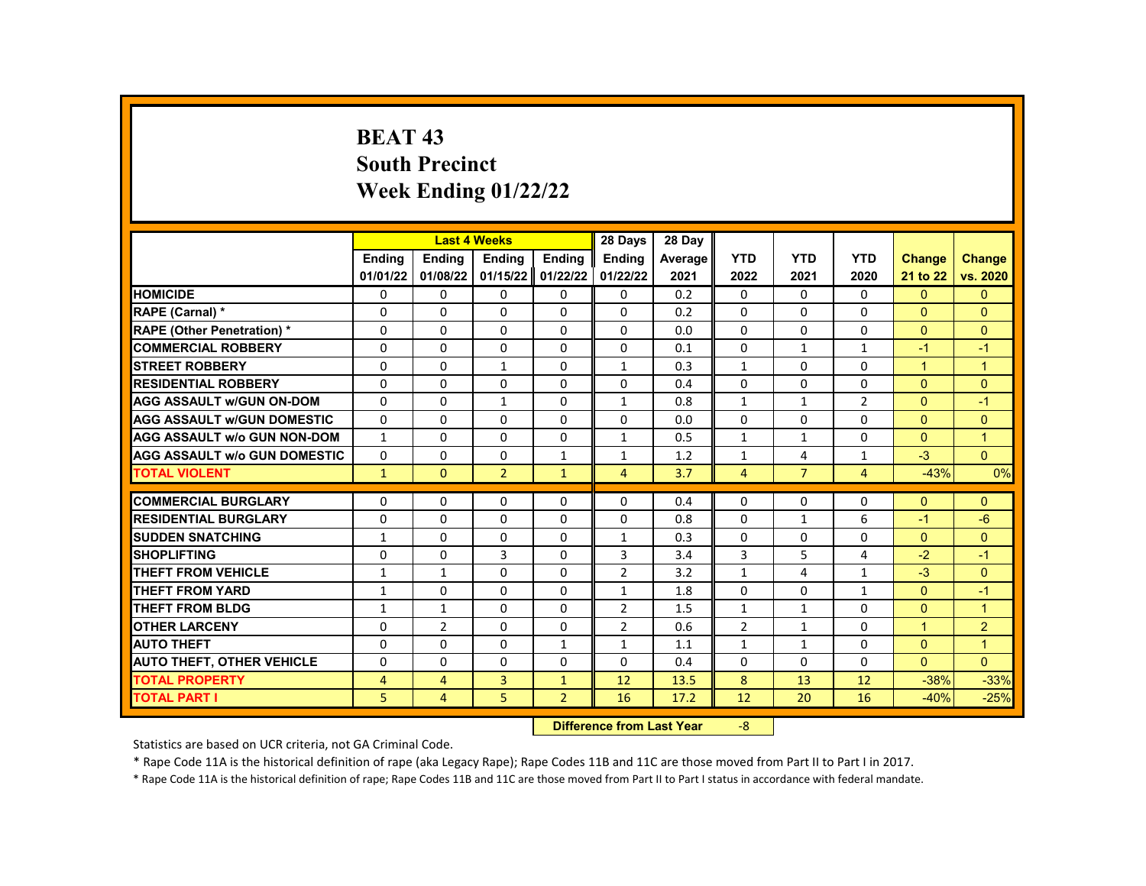# **BEAT 43 South Precinct Week Ending 01/22/22**

|                                           |                   | <b>Last 4 Weeks</b> |                   |                | 28 Days                   | 28 Day         |                          |                   |                   |                          |                     |
|-------------------------------------------|-------------------|---------------------|-------------------|----------------|---------------------------|----------------|--------------------------|-------------------|-------------------|--------------------------|---------------------|
|                                           | <b>Endina</b>     | <b>Endina</b>       | <b>Endina</b>     | <b>Endina</b>  | <b>Endina</b>             | <b>Average</b> | <b>YTD</b>               | <b>YTD</b>        | <b>YTD</b>        | <b>Change</b>            | <b>Change</b>       |
|                                           | 01/01/22          | 01/08/22            | 01/15/22 01/22/22 |                | 01/22/22                  | 2021           | 2022                     | 2021              | 2020              | 21 to 22                 | vs. 2020            |
| <b>HOMICIDE</b>                           | 0                 | 0                   | 0                 | 0              | 0                         | 0.2            | $\mathbf{0}$             | $\mathbf{0}$      | $\Omega$          | $\mathbf{0}$             | $\mathbf{0}$        |
| RAPE (Carnal) *                           | 0                 | $\Omega$            | $\Omega$          | $\Omega$       | 0                         | 0.2            | $\Omega$                 | $\mathbf{0}$      | $\Omega$          | $\Omega$                 | $\Omega$            |
| <b>RAPE (Other Penetration) *</b>         | $\Omega$          | $\Omega$            | $\Omega$          | $\Omega$       | $\Omega$                  | 0.0            | $\Omega$                 | $\Omega$          | $\Omega$          | $\Omega$                 | $\Omega$            |
| <b>COMMERCIAL ROBBERY</b>                 | 0                 | 0                   | 0                 | 0              | 0                         | 0.1            | $\mathbf{0}$             | $\mathbf{1}$      | $\mathbf{1}$      | $-1$                     | $-1$                |
| <b>STREET ROBBERY</b>                     | $\Omega$          | 0                   | $\mathbf{1}$      | $\mathbf 0$    | $\mathbf{1}$              | 0.3            | $\mathbf{1}$             | $\mathbf{0}$      | $\Omega$          | $\mathbf{1}$             | $\overline{1}$      |
| <b>RESIDENTIAL ROBBERY</b>                | $\Omega$          | $\Omega$            | $\Omega$          | 0              | $\Omega$                  | 0.4            | $\Omega$                 | $\Omega$          | $\Omega$          | $\Omega$                 | $\Omega$            |
| <b>AGG ASSAULT w/GUN ON-DOM</b>           | 0                 | 0                   | $\mathbf{1}$      | 0              | $\mathbf{1}$              | 0.8            | $\mathbf{1}$             | $\mathbf{1}$      | $\overline{2}$    | $\mathbf{0}$             | $-1$                |
| <b>AGG ASSAULT w/GUN DOMESTIC</b>         | $\Omega$          | $\Omega$            | 0                 | $\Omega$       | $\Omega$                  | 0.0            | $\Omega$                 | $\Omega$          | $\Omega$          | $\Omega$                 | $\Omega$            |
| <b>AGG ASSAULT w/o GUN NON-DOM</b>        | $\mathbf{1}$      | $\Omega$            | $\Omega$          | 0              | $\mathbf{1}$              | 0.5            | $\mathbf{1}$             | $\mathbf{1}$      | $\Omega$          | $\Omega$                 | $\overline{1}$      |
| <b>AGG ASSAULT w/o GUN DOMESTIC</b>       | 0                 | 0                   | 0                 | 1              | $\mathbf{1}$              | 1.2            | $\mathbf{1}$             | 4                 | 1                 | $-3$                     | $\Omega$            |
| <b>TOTAL VIOLENT</b>                      | $\mathbf{1}$      | $\mathbf{0}$        | $\overline{2}$    | $\mathbf{1}$   | $\overline{4}$            | 3.7            | 4                        | $\overline{7}$    | 4                 | $-43%$                   | 0%                  |
| <b>COMMERCIAL BURGLARY</b>                |                   | $\Omega$            |                   |                | $\Omega$                  | 0.4            | $\Omega$                 |                   | 0                 | $\Omega$                 |                     |
| <b>RESIDENTIAL BURGLARY</b>               | 0<br>$\Omega$     | $\Omega$            | 0<br>$\Omega$     | 0<br>$\Omega$  | $\Omega$                  | 0.8            | $\Omega$                 | 0<br>$\mathbf{1}$ | 6                 | $-1$                     | $\Omega$<br>$-6$    |
| <b>SUDDEN SNATCHING</b>                   |                   | $\Omega$            | 0                 | $\Omega$       | $\mathbf{1}$              | 0.3            | $\Omega$                 | $\Omega$          | $\Omega$          | $\Omega$                 | $\Omega$            |
| <b>SHOPLIFTING</b>                        | $\mathbf{1}$      |                     | 3                 |                |                           |                |                          |                   |                   | $-2$                     | $-1$                |
| <b>THEFT FROM VEHICLE</b>                 | 0                 | 0                   | $\Omega$          | 0<br>0         | 3<br>$\overline{2}$       | 3.4<br>3.2     | 3                        | 5<br>4            | 4<br>$\mathbf{1}$ | $-3$                     | $\overline{0}$      |
| <b>THEFT FROM YARD</b>                    | 1<br>$\mathbf{1}$ | 1<br>$\Omega$       | $\Omega$          | $\Omega$       | $\mathbf{1}$              | 1.8            | $\mathbf{1}$<br>$\Omega$ | $\Omega$          | $\mathbf{1}$      | $\Omega$                 | $-1$                |
| <b>THEFT FROM BLDG</b>                    | $\mathbf{1}$      | $\mathbf{1}$        | 0                 | $\Omega$       | $\overline{2}$            | 1.5            | $\mathbf{1}$             | $\mathbf{1}$      | $\Omega$          | $\Omega$                 | $\overline{1}$      |
|                                           |                   |                     |                   |                |                           |                |                          |                   |                   |                          |                     |
| <b>OTHER LARCENY</b><br><b>AUTO THEFT</b> | 0                 | $\overline{2}$      | $\Omega$          | $\mathbf 0$    | $\overline{2}$            | 0.6            | $\overline{2}$           | $\mathbf{1}$      | $\Omega$          | $\mathbf{1}$<br>$\Omega$ | 2<br>$\overline{1}$ |
|                                           | 0                 | 0                   | $\Omega$          | $\mathbf{1}$   | $\mathbf{1}$              | 1.1            | $\mathbf{1}$             | $\mathbf{1}$      | $\Omega$          |                          |                     |
| <b>AUTO THEFT, OTHER VEHICLE</b>          | 0                 | $\Omega$            | $\Omega$          | $\Omega$       | $\Omega$                  | 0.4            | $\Omega$                 | $\mathbf{0}$      | $\Omega$          | $\Omega$                 | $\Omega$            |
| <b>TOTAL PROPERTY</b>                     | 4                 | $\overline{4}$      | 3                 | $\mathbf{1}$   | 12                        | 13.5           | 8                        | 13                | 12                | $-38%$                   | $-33%$              |
| <b>TOTAL PART I</b>                       | 5                 | $\overline{4}$      | 5                 | $\overline{2}$ | 16                        | 17.2           | 12                       | 20                | 16                | $-40%$                   | $-25%$              |
|                                           |                   |                     |                   |                | Difference from Loot Voor |                | $\Omega$                 |                   |                   |                          |                     |

**Difference from Last Year** 

Statistics are based on UCR criteria, not GA Criminal Code.

\* Rape Code 11A is the historical definition of rape (aka Legacy Rape); Rape Codes 11B and 11C are those moved from Part II to Part I in 2017.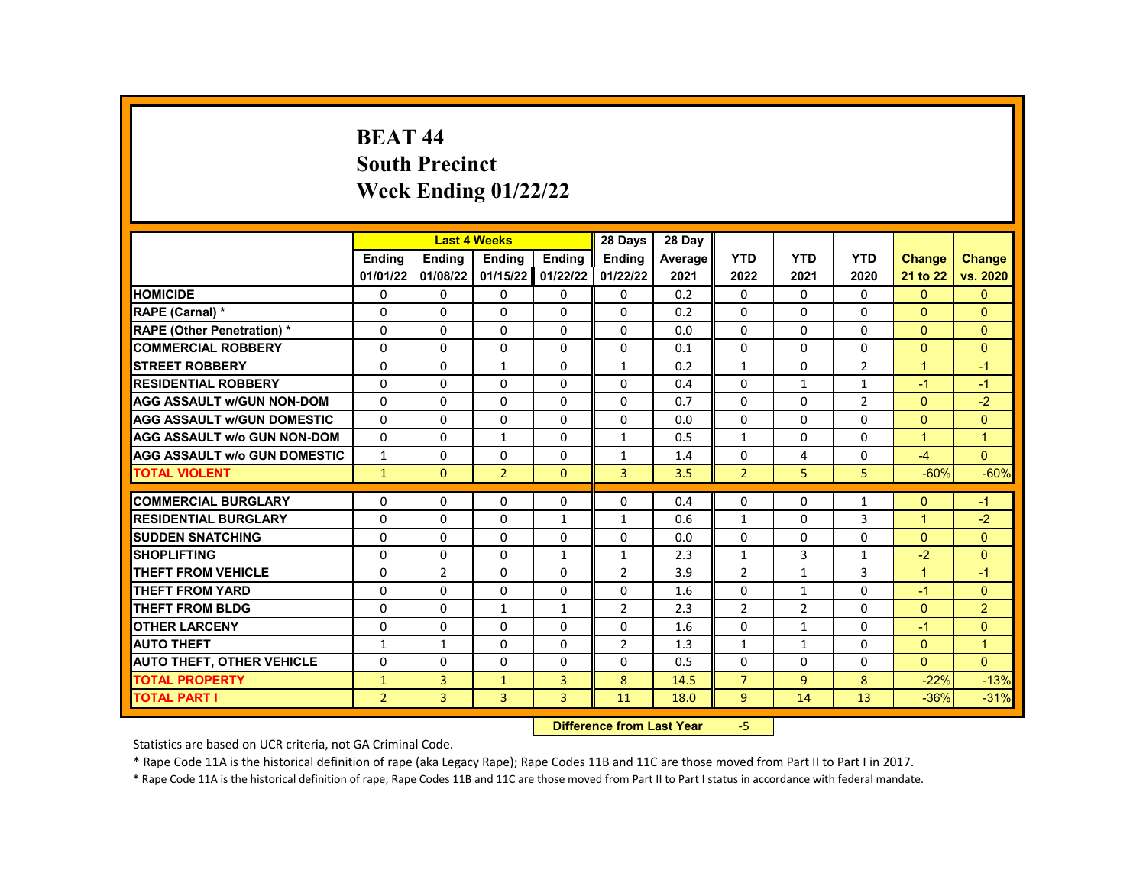# **BEAT 44 South Precinct Week Ending 01/22/22**

|                                     |                |                | <b>Last 4 Weeks</b> |               | 28 Days                   | 28 Day  |                |                |                |                |                |
|-------------------------------------|----------------|----------------|---------------------|---------------|---------------------------|---------|----------------|----------------|----------------|----------------|----------------|
|                                     | <b>Endina</b>  | <b>Endina</b>  | <b>Ending</b>       | <b>Ending</b> | <b>Ending</b>             | Average | <b>YTD</b>     | <b>YTD</b>     | <b>YTD</b>     | <b>Change</b>  | <b>Change</b>  |
|                                     | 01/01/22       | 01/08/22       | 01/15/22            | 01/22/22      | 01/22/22                  | 2021    | 2022           | 2021           | 2020           | 21 to 22       | vs. 2020       |
| <b>HOMICIDE</b>                     | 0              | 0              | 0                   | 0             | 0                         | 0.2     | $\mathbf{0}$   | $\Omega$       | 0              | $\mathbf{0}$   | $\mathbf{0}$   |
| RAPE (Carnal) *                     | $\mathbf 0$    | 0              | $\Omega$            | $\Omega$      | $\Omega$                  | 0.2     | $\Omega$       | $\Omega$       | $\Omega$       | $\Omega$       | $\Omega$       |
| <b>RAPE (Other Penetration) *</b>   | $\Omega$       | $\Omega$       | $\Omega$            | $\Omega$      | $\Omega$                  | 0.0     | $\Omega$       | $\Omega$       | $\Omega$       | $\Omega$       | $\Omega$       |
| <b>COMMERCIAL ROBBERY</b>           | $\Omega$       | $\Omega$       | $\Omega$            | 0             | $\Omega$                  | 0.1     | $\Omega$       | 0              | $\Omega$       | $\Omega$       | $\Omega$       |
| <b>STREET ROBBERY</b>               | $\mathbf 0$    | 0              | $\mathbf{1}$        | $\mathbf 0$   | $\mathbf{1}$              | 0.2     | $\mathbf{1}$   | 0              | $\overline{2}$ | $\mathbf{1}$   | $-1$           |
| <b>RESIDENTIAL ROBBERY</b>          | $\Omega$       | $\Omega$       | $\Omega$            | $\Omega$      | $\Omega$                  | 0.4     | $\Omega$       | $\mathbf{1}$   | $\mathbf{1}$   | $-1$           | $-1$           |
| <b>AGG ASSAULT w/GUN NON-DOM</b>    | $\Omega$       | $\Omega$       | $\Omega$            | $\Omega$      | $\Omega$                  | 0.7     | $\Omega$       | $\Omega$       | $\overline{2}$ | $\mathbf{0}$   | $-2$           |
| <b>AGG ASSAULT W/GUN DOMESTIC</b>   | $\Omega$       | $\Omega$       | $\Omega$            | $\Omega$      | $\Omega$                  | 0.0     | $\Omega$       | $\Omega$       | $\Omega$       | $\Omega$       | $\Omega$       |
| <b>AGG ASSAULT w/o GUN NON-DOM</b>  | $\Omega$       | $\Omega$       | $\mathbf{1}$        | $\Omega$      | $\mathbf{1}$              | 0.5     | $\mathbf{1}$   | $\Omega$       | $\Omega$       | $\mathbf{1}$   | $\mathbf{1}$   |
| <b>AGG ASSAULT w/o GUN DOMESTIC</b> | $\mathbf{1}$   | 0              | 0                   | 0             | 1                         | 1.4     | 0              | 4              | 0              | $-4$           | $\Omega$       |
| <b>TOTAL VIOLENT</b>                | $\mathbf{1}$   | $\mathbf{0}$   | $\overline{2}$      | $\mathbf{0}$  | 3                         | 3.5     | $\overline{2}$ | 5              | 5              | $-60%$         | $-60%$         |
| <b>COMMERCIAL BURGLARY</b>          |                |                |                     |               |                           |         |                |                |                |                |                |
|                                     | 0              | 0              | 0<br>$\Omega$       | 0             | 0                         | 0.4     | 0              | 0              | 1              | $\Omega$       | $-1$           |
| <b>RESIDENTIAL BURGLARY</b>         | $\Omega$       | $\Omega$       |                     | $\mathbf{1}$  | $\mathbf{1}$              | 0.6     | $\mathbf{1}$   | $\Omega$       | 3              | $\overline{1}$ | $-2$           |
| <b>SUDDEN SNATCHING</b>             | $\Omega$       | $\Omega$       | $\Omega$            | $\Omega$      | $\Omega$                  | 0.0     | 0              | $\Omega$       | $\Omega$       | $\Omega$       | $\Omega$       |
| <b>SHOPLIFTING</b>                  | 0              | 0              | 0                   | $\mathbf{1}$  | $\mathbf{1}$              | 2.3     | $\mathbf{1}$   | 3              | 1              | $-2$           | $\Omega$       |
| <b>THEFT FROM VEHICLE</b>           | $\mathbf 0$    | $\overline{2}$ | $\Omega$            | $\mathbf{0}$  | $\overline{2}$            | 3.9     | $\overline{2}$ | 1              | 3              | $\mathbf{1}$   | $-1$           |
| <b>THEFT FROM YARD</b>              | $\Omega$       | $\Omega$       | $\Omega$            | $\Omega$      | $\Omega$                  | 1.6     | $\Omega$       | $\mathbf{1}$   | $\Omega$       | $-1$           | $\Omega$       |
| <b>THEFT FROM BLDG</b>              | $\Omega$       | $\Omega$       | $\mathbf{1}$        | $\mathbf{1}$  | $\overline{2}$            | 2.3     | $\overline{2}$ | $\overline{2}$ | $\Omega$       | $\Omega$       | $\overline{2}$ |
| <b>OTHER LARCENY</b>                | $\mathbf 0$    | 0              | $\Omega$            | $\mathbf 0$   | 0                         | 1.6     | $\Omega$       | 1              | $\Omega$       | $-1$           | $\mathbf{0}$   |
| <b>AUTO THEFT</b>                   | 1              | $\mathbf{1}$   | 0                   | 0             | $\overline{2}$            | 1.3     | $\mathbf{1}$   | $\mathbf{1}$   | $\Omega$       | $\Omega$       | $\overline{1}$ |
| <b>AUTO THEFT, OTHER VEHICLE</b>    | $\Omega$       | $\Omega$       | $\Omega$            | $\Omega$      | $\Omega$                  | 0.5     | $\Omega$       | 0              | 0              | $\Omega$       | $\Omega$       |
| <b>TOTAL PROPERTY</b>               | $\mathbf{1}$   | 3              | $\mathbf{1}$        | 3             | 8                         | 14.5    | $\overline{7}$ | 9              | 8              | $-22%$         | $-13%$         |
| <b>TOTAL PART I</b>                 | $\overline{2}$ | 3              | 3                   | 3             | 11                        | 18.0    | 9              | 14             | 13             | $-36%$         | $-31%$         |
|                                     |                |                |                     |               | Difference from Loot Voor |         | E.             |                |                |                |                |

**Difference from Last Year** 

Statistics are based on UCR criteria, not GA Criminal Code.

\* Rape Code 11A is the historical definition of rape (aka Legacy Rape); Rape Codes 11B and 11C are those moved from Part II to Part I in 2017.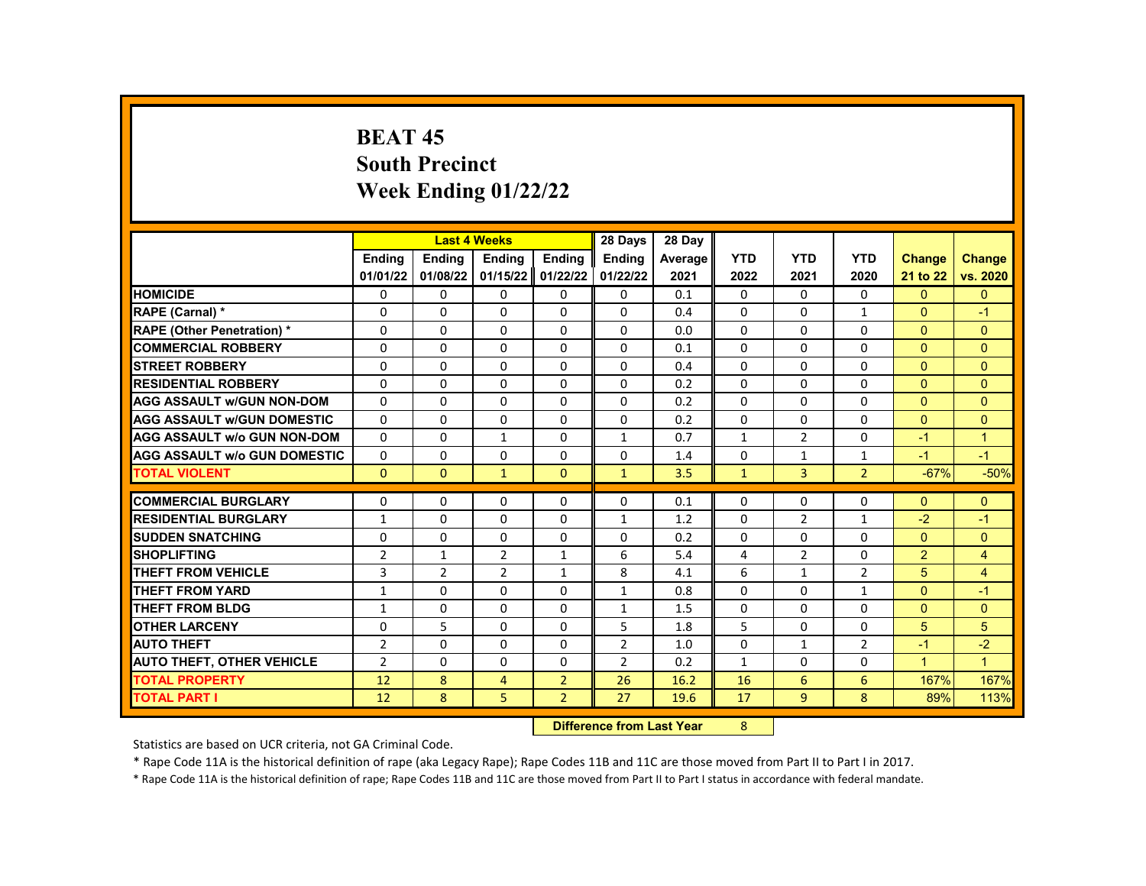# **BEAT 45 South Precinct Week Ending 01/22/22**

|                                     |                | <b>Last 4 Weeks</b> |                   |                | 28 Days                | 28 Day  |              |                |                |                |                      |
|-------------------------------------|----------------|---------------------|-------------------|----------------|------------------------|---------|--------------|----------------|----------------|----------------|----------------------|
|                                     | <b>Endina</b>  | <b>Endina</b>       | <b>Endina</b>     | <b>Endina</b>  | <b>Endina</b>          | Average | <b>YTD</b>   | <b>YTD</b>     | <b>YTD</b>     | <b>Change</b>  | <b>Change</b>        |
|                                     | 01/01/22       | 01/08/22            | 01/15/22 01/22/22 |                | 01/22/22               | 2021    | 2022         | 2021           | 2020           | 21 to 22       | vs. 2020             |
| <b>HOMICIDE</b>                     | 0              | 0                   | 0                 | 0              | 0                      | 0.1     | $\mathbf{0}$ | 0              | 0              | $\mathbf{0}$   | $\Omega$             |
| RAPE (Carnal) *                     | 0              | 0                   | 0                 | 0              | $\Omega$               | 0.4     | $\Omega$     | 0              | $\mathbf{1}$   | $\mathbf{0}$   | $-1$                 |
| <b>RAPE (Other Penetration) *</b>   | 0              | $\Omega$            | $\Omega$          | $\Omega$       | $\Omega$               | 0.0     | $\Omega$     | $\Omega$       | $\Omega$       | $\Omega$       | $\Omega$             |
| <b>COMMERCIAL ROBBERY</b>           | 0              | 0                   | 0                 | 0              | 0                      | 0.1     | $\Omega$     | 0              | 0              | $\mathbf{0}$   | $\mathbf{0}$         |
| <b>STREET ROBBERY</b>               | 0              | $\Omega$            | 0                 | $\Omega$       | $\Omega$               | 0.4     | $\Omega$     | $\Omega$       | $\Omega$       | $\Omega$       | $\Omega$             |
| <b>RESIDENTIAL ROBBERY</b>          | $\Omega$       | $\Omega$            | $\Omega$          | $\Omega$       | $\Omega$               | 0.2     | $\Omega$     | $\Omega$       | $\Omega$       | $\Omega$       | $\Omega$             |
| <b>AGG ASSAULT w/GUN NON-DOM</b>    | $\Omega$       | $\Omega$            | $\Omega$          | 0              | $\Omega$               | 0.2     | $\Omega$     | $\Omega$       | $\Omega$       | $\Omega$       | $\Omega$             |
| <b>AGG ASSAULT w/GUN DOMESTIC</b>   | $\Omega$       | $\Omega$            | 0                 | 0              | $\Omega$               | 0.2     | 0            | $\Omega$       | $\Omega$       | $\Omega$       | $\Omega$             |
| <b>AGG ASSAULT w/o GUN NON-DOM</b>  | $\Omega$       | $\Omega$            | $\mathbf{1}$      | $\Omega$       | $\mathbf{1}$           | 0.7     | $\mathbf{1}$ | $\overline{2}$ | $\Omega$       | $-1$           | $\overline{1}$       |
| <b>AGG ASSAULT w/o GUN DOMESTIC</b> | 0              | 0                   | 0                 | 0              | 0                      | 1.4     | $\Omega$     | $\mathbf{1}$   | 1              | $-1$           | $-1$                 |
| <b>TOTAL VIOLENT</b>                | $\Omega$       | $\mathbf{0}$        | $\mathbf{1}$      | $\Omega$       | $\mathbf{1}$           | 3.5     | $\mathbf{1}$ | $\overline{3}$ | $\overline{2}$ | $-67%$         | $-50%$               |
|                                     |                |                     |                   |                |                        |         |              |                |                |                |                      |
| <b>COMMERCIAL BURGLARY</b>          | 0              | 0                   | 0                 | 0              | 0                      | 0.1     | $\Omega$     | 0              | 0              | $\Omega$       | $\Omega$             |
| <b>RESIDENTIAL BURGLARY</b>         | $\mathbf{1}$   | 0                   | 0                 | 0              | $\mathbf{1}$           | 1.2     | $\Omega$     | $\overline{2}$ | $\mathbf{1}$   | $-2$           | $-1$                 |
| <b>SUDDEN SNATCHING</b>             | 0              | $\Omega$            | $\Omega$          | 0              | $\Omega$               | 0.2     | $\Omega$     | $\Omega$       | $\Omega$       | $\Omega$       | $\Omega$             |
| <b>SHOPLIFTING</b>                  | $\overline{2}$ | 1                   | $\overline{2}$    | 1              | 6                      | 5.4     | 4            | $\overline{2}$ | $\Omega$       | $\overline{2}$ | $\overline{4}$       |
| <b>THEFT FROM VEHICLE</b>           | 3              | $\overline{2}$      | $\overline{2}$    | $\mathbf{1}$   | 8                      | 4.1     | 6            | $\mathbf{1}$   | $\overline{2}$ | 5              | $\overline{4}$       |
| <b>THEFT FROM YARD</b>              | $\mathbf{1}$   | $\Omega$            | $\Omega$          | $\Omega$       | $\mathbf{1}$           | 0.8     | $\Omega$     | $\Omega$       | $\mathbf{1}$   | $\Omega$       | $-1$                 |
| <b>THEFT FROM BLDG</b>              | $\mathbf{1}$   | $\Omega$            | 0                 | $\Omega$       | $\mathbf{1}$           | 1.5     | $\mathbf{0}$ | 0              | 0              | $\Omega$       | $\Omega$             |
| <b>OTHER LARCENY</b>                | $\Omega$       | 5                   | $\Omega$          | $\Omega$       | 5                      | 1.8     | 5            | $\mathbf{0}$   | $\Omega$       | 5              | 5                    |
| <b>AUTO THEFT</b>                   | $\overline{2}$ | $\Omega$            | 0                 | $\Omega$       | $\overline{2}$         | 1.0     | $\Omega$     | $\mathbf{1}$   | $\overline{2}$ | $-1$           | $-2$                 |
| <b>AUTO THEFT, OTHER VEHICLE</b>    | $\overline{2}$ | 0                   | $\Omega$          | 0              | $\overline{2}$         | 0.2     | $\mathbf{1}$ | 0              | 0              | $\mathbf{1}$   | $\blacktriangleleft$ |
| <b>TOTAL PROPERTY</b>               | 12             | 8                   | 4                 | $\overline{2}$ | 26                     | 16.2    | 16           | 6              | 6              | 167%           | 167%                 |
| <b>TOTAL PART I</b>                 | 12             | 8                   | 5                 | $\overline{2}$ | 27                     | 19.6    | 17           | $\overline{9}$ | 8              | 89%            | 113%                 |
|                                     |                |                     |                   | <b>INSECUL</b> | a a dheann 1 anns Main |         | $\sim$       |                |                |                |                      |

**Difference from Last Year** 8

Statistics are based on UCR criteria, not GA Criminal Code.

\* Rape Code 11A is the historical definition of rape (aka Legacy Rape); Rape Codes 11B and 11C are those moved from Part II to Part I in 2017.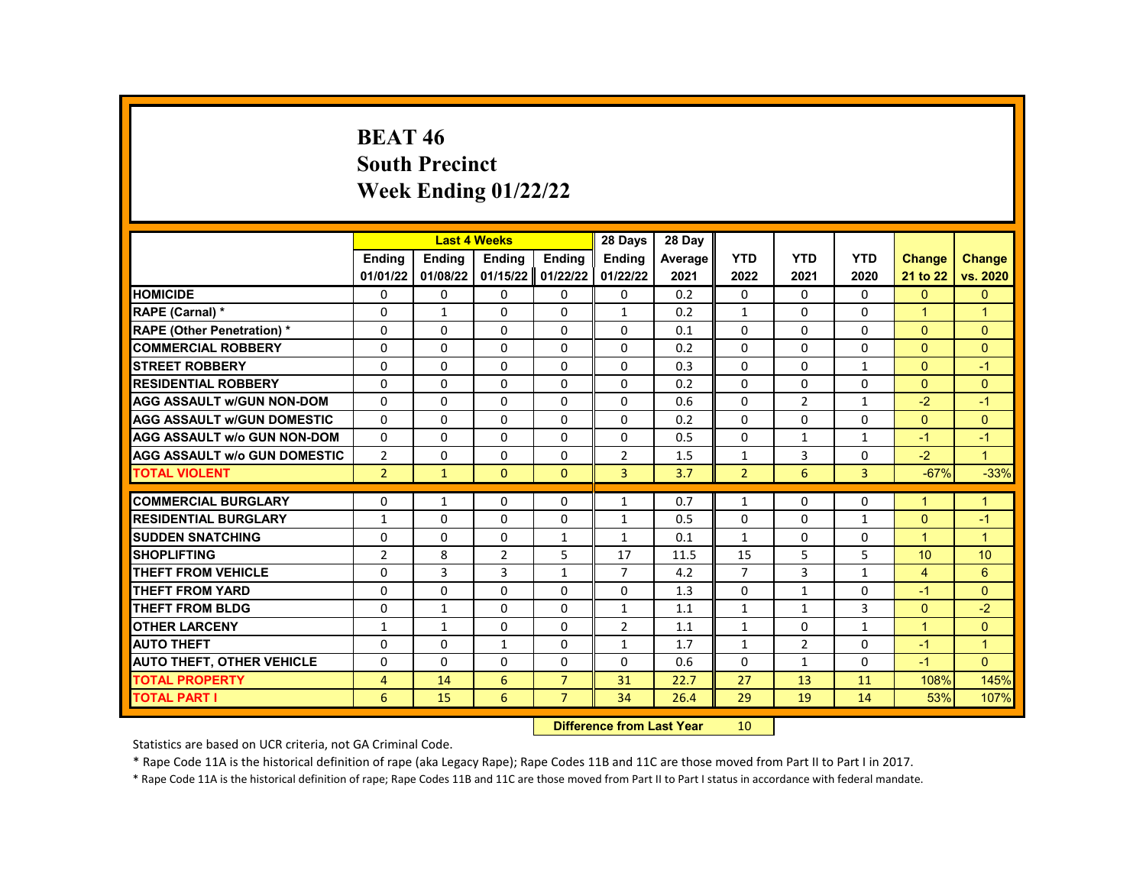# **BEAT 46 South Precinct Week Ending 01/22/22**

|                                     | <b>Endina</b>  |               |                |                | 28 Days        | 28 Day  |                |                |              |                |                 |
|-------------------------------------|----------------|---------------|----------------|----------------|----------------|---------|----------------|----------------|--------------|----------------|-----------------|
|                                     |                | <b>Endina</b> | <b>Ending</b>  | <b>Ending</b>  | <b>Endina</b>  | Average | <b>YTD</b>     | <b>YTD</b>     | <b>YTD</b>   | <b>Change</b>  | <b>Change</b>   |
|                                     | 01/01/22       | 01/08/22      | 01/15/22       | 01/22/22       | 01/22/22       | 2021    | 2022           | 2021           | 2020         | 21 to 22       | vs. 2020        |
| <b>HOMICIDE</b>                     | 0              | 0             | 0              | 0              | 0              | 0.2     | 0              | $\mathbf{0}$   | 0            | $\mathbf{0}$   | $\mathbf{0}$    |
| RAPE (Carnal) *                     | 0              | $\mathbf{1}$  | $\Omega$       | $\Omega$       | $\mathbf{1}$   | 0.2     | $\mathbf{1}$   | $\Omega$       | $\Omega$     | $\mathbf{1}$   | $\mathbf{1}$    |
| <b>RAPE (Other Penetration) *</b>   | $\Omega$       | $\Omega$      | $\Omega$       | $\Omega$       | $\Omega$       | 0.1     | $\Omega$       | $\Omega$       | $\Omega$     | $\Omega$       | $\Omega$        |
| <b>COMMERCIAL ROBBERY</b>           | $\Omega$       | 0             | 0              | 0              | 0              | 0.2     | $\Omega$       | 0              | $\Omega$     | $\Omega$       | $\Omega$        |
| <b>STREET ROBBERY</b>               | $\Omega$       | $\Omega$      | $\Omega$       | $\Omega$       | $\Omega$       | 0.3     | $\Omega$       | $\Omega$       | $\mathbf{1}$ | $\Omega$       | $-1$            |
| <b>RESIDENTIAL ROBBERY</b>          | $\Omega$       | $\Omega$      | $\Omega$       | $\Omega$       | $\Omega$       | 0.2     | $\Omega$       | $\Omega$       | $\Omega$     | $\Omega$       | $\Omega$        |
| <b>AGG ASSAULT w/GUN NON-DOM</b>    | $\Omega$       | 0             | $\Omega$       | 0              | 0              | 0.6     | $\Omega$       | $\overline{2}$ | 1            | $-2$           | $-1$            |
| <b>AGG ASSAULT w/GUN DOMESTIC</b>   | $\Omega$       | $\Omega$      | $\Omega$       | $\Omega$       | $\Omega$       | 0.2     | $\Omega$       | $\Omega$       | $\Omega$     | $\Omega$       | $\Omega$        |
| <b>AGG ASSAULT w/o GUN NON-DOM</b>  | $\Omega$       | $\Omega$      | $\Omega$       | $\Omega$       | $\Omega$       | 0.5     | $\Omega$       | $\mathbf{1}$   | $\mathbf{1}$ | $-1$           | $-1$            |
| <b>AGG ASSAULT w/o GUN DOMESTIC</b> | $\overline{2}$ | 0             | 0              | 0              | $\overline{2}$ | 1.5     | $\mathbf{1}$   | 3              | 0            | $-2$           | $\mathbf{1}$    |
| <b>TOTAL VIOLENT</b>                | $\overline{2}$ | $\mathbf{1}$  | $\mathbf{0}$   | $\Omega$       | 3              | 3.7     | $\overline{2}$ | 6              | 3            | $-67%$         | $-33%$          |
| <b>COMMERCIAL BURGLARY</b>          | 0              | 1             | 0              | 0              | 1              | 0.7     | 1              | 0              | 0            | 1              | $\mathbf 1$     |
| <b>RESIDENTIAL BURGLARY</b>         | $\mathbf{1}$   | $\Omega$      | $\Omega$       | $\Omega$       | $\mathbf{1}$   | 0.5     | $\Omega$       | $\Omega$       | $\mathbf{1}$ | $\Omega$       | $-1$            |
| <b>SUDDEN SNATCHING</b>             | $\Omega$       | $\Omega$      | $\Omega$       | $\mathbf{1}$   | $\mathbf{1}$   | 0.1     | $\mathbf{1}$   | $\Omega$       | $\Omega$     | $\mathbf{1}$   | $\overline{1}$  |
| <b>SHOPLIFTING</b>                  | $\overline{2}$ | 8             | $\overline{2}$ | 5              | 17             | 11.5    | 15             | 5              | 5            | 10             | 10 <sup>1</sup> |
| <b>THEFT FROM VEHICLE</b>           | $\Omega$       | 3             | 3              | $\mathbf{1}$   | $\overline{7}$ | 4.2     | $\overline{7}$ | 3              | 1            | $\overline{4}$ | 6               |
| <b>THEFT FROM YARD</b>              | $\Omega$       | $\Omega$      | $\Omega$       | $\Omega$       | $\Omega$       | 1.3     | $\Omega$       | $\mathbf{1}$   | $\Omega$     | $-1$           | $\Omega$        |
| <b>THEFT FROM BLDG</b>              | 0              | $\mathbf{1}$  | 0              | $\Omega$       | $\mathbf{1}$   | 1.1     | $\mathbf{1}$   | $\mathbf{1}$   | 3            | $\Omega$       | $-2$            |
| <b>OTHER LARCENY</b>                | $\mathbf{1}$   | $\mathbf{1}$  | $\Omega$       | $\Omega$       | 2              | 1.1     | $\mathbf{1}$   | 0              | 1            | $\mathbf{1}$   | $\overline{0}$  |
| <b>AUTO THEFT</b>                   | 0              | 0             | $\mathbf{1}$   | 0              | $\mathbf{1}$   | 1.7     | $\mathbf{1}$   | 2              | $\Omega$     | $-1$           | $\overline{1}$  |
| <b>AUTO THEFT, OTHER VEHICLE</b>    | $\Omega$       | $\Omega$      | $\Omega$       | $\Omega$       | $\Omega$       | 0.6     | $\Omega$       | $\mathbf{1}$   | $\Omega$     | $-1$           | $\Omega$        |
| <b>TOTAL PROPERTY</b>               | $\overline{4}$ | 14            | 6              | $\overline{7}$ | 31             | 22.7    | 27             | 13             | 11           | 108%           | 145%            |
| <b>TOTAL PART I</b>                 | 6              | 15            | 6              | $\overline{7}$ | 34             | 26.4    | 29             | 19             | 14           | 53%            | 107%            |
|                                     |                |               |                |                |                |         |                |                |              |                |                 |

**Difference from Last Year** 10

Statistics are based on UCR criteria, not GA Criminal Code.

\* Rape Code 11A is the historical definition of rape (aka Legacy Rape); Rape Codes 11B and 11C are those moved from Part II to Part I in 2017.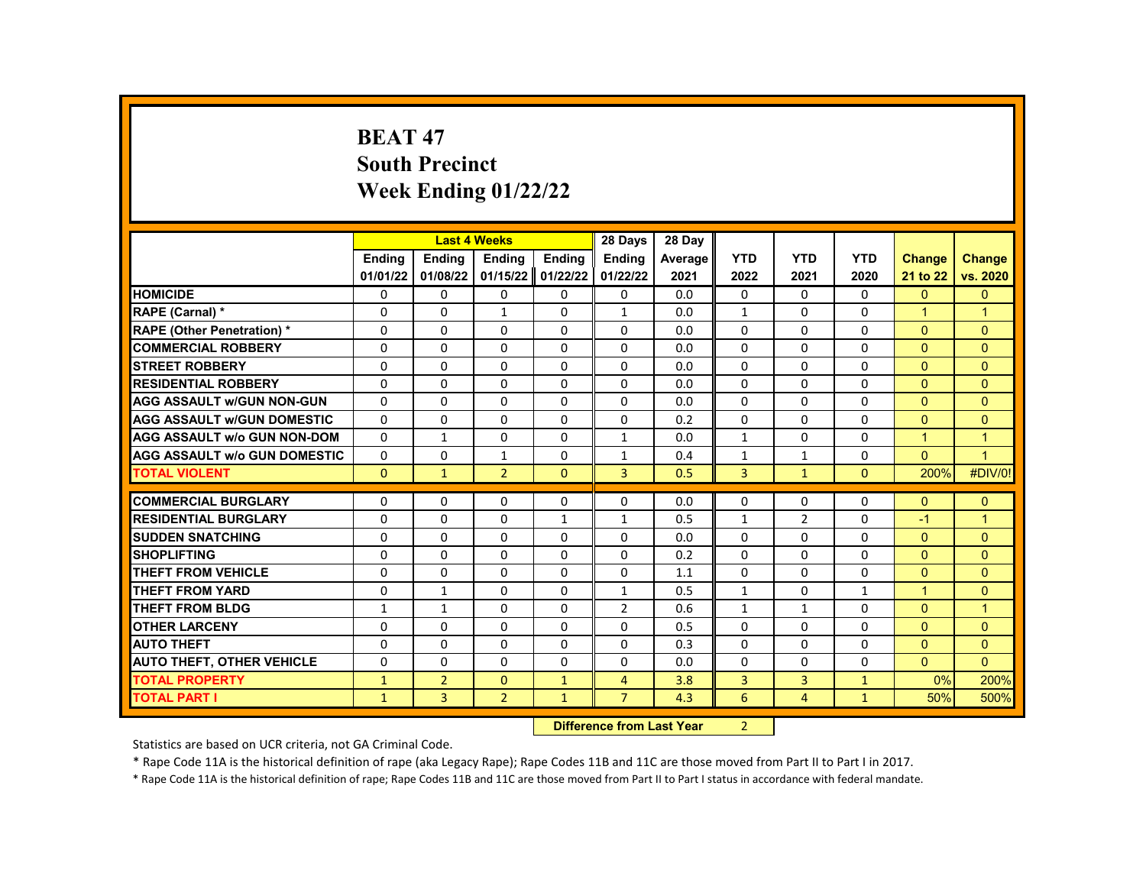# **BEAT 47 South Precinct Week Ending 01/22/22**

|                                     |               | <b>Last 4 Weeks</b> |                |               | 28 Days                   | 28 Day  |               |                |              |                      |                |
|-------------------------------------|---------------|---------------------|----------------|---------------|---------------------------|---------|---------------|----------------|--------------|----------------------|----------------|
|                                     | <b>Endina</b> | <b>Endina</b>       | <b>Ending</b>  | <b>Ending</b> | <b>Endina</b>             | Average | <b>YTD</b>    | <b>YTD</b>     | <b>YTD</b>   | <b>Change</b>        | <b>Change</b>  |
|                                     | 01/01/22      | 01/08/22            | 01/15/22       | 01/22/22      | 01/22/22                  | 2021    | 2022          | 2021           | 2020         | 21 to 22             | vs. 2020       |
| <b>HOMICIDE</b>                     | 0             | 0                   | 0              | 0             | 0                         | 0.0     | $\mathbf{0}$  | $\Omega$       | 0            | $\mathbf{0}$         | $\mathbf{0}$   |
| RAPE (Carnal) *                     | 0             | $\Omega$            | $\mathbf{1}$   | $\Omega$      | $\mathbf{1}$              | 0.0     | $\mathbf{1}$  | $\Omega$       | $\Omega$     | $\mathbf{1}$         | $\mathbf{1}$   |
| <b>RAPE (Other Penetration) *</b>   | $\Omega$      | $\Omega$            | $\Omega$       | $\Omega$      | $\Omega$                  | 0.0     | $\Omega$      | $\Omega$       | $\Omega$     | $\Omega$             | $\Omega$       |
| <b>COMMERCIAL ROBBERY</b>           | $\Omega$      | 0                   | $\Omega$       | 0             | $\Omega$                  | 0.0     | $\Omega$      | 0              | $\Omega$     | $\Omega$             | $\Omega$       |
| <b>STREET ROBBERY</b>               | $\Omega$      | $\Omega$            | $\Omega$       | $\Omega$      | $\Omega$                  | 0.0     | $\Omega$      | $\Omega$       | $\Omega$     | $\Omega$             | $\Omega$       |
| <b>RESIDENTIAL ROBBERY</b>          | $\Omega$      | $\Omega$            | $\Omega$       | $\Omega$      | $\Omega$                  | 0.0     | $\Omega$      | $\Omega$       | $\Omega$     | $\Omega$             | $\Omega$       |
| <b>AGG ASSAULT W/GUN NON-GUN</b>    | $\Omega$      | $\Omega$            | $\Omega$       | $\Omega$      | $\Omega$                  | 0.0     | $\Omega$      | 0              | $\Omega$     | $\Omega$             | $\Omega$       |
| <b>AGG ASSAULT W/GUN DOMESTIC</b>   | $\Omega$      | $\Omega$            | 0              | $\Omega$      | $\Omega$                  | 0.2     | $\Omega$      | $\Omega$       | $\Omega$     | $\Omega$             | $\Omega$       |
| <b>AGG ASSAULT w/o GUN NON-DOM</b>  | $\Omega$      | $\mathbf{1}$        | 0              | $\Omega$      | $\mathbf{1}$              | 0.0     | $\mathbf{1}$  | $\Omega$       | $\Omega$     | $\overline{1}$       | $\mathbf{1}$   |
| <b>AGG ASSAULT W/o GUN DOMESTIC</b> | 0             | 0                   | $\mathbf{1}$   | 0             | $\mathbf{1}$              | 0.4     | $\mathbf{1}$  | $\mathbf{1}$   | 0            | $\Omega$             | $\overline{1}$ |
| <b>TOTAL VIOLENT</b>                | $\mathbf{0}$  | $\mathbf{1}$        | $\overline{2}$ | $\Omega$      | 3                         | 0.5     | 3             | $\mathbf{1}$   | $\mathbf{0}$ | 200%                 | #DIV/0!        |
| <b>COMMERCIAL BURGLARY</b>          |               |                     |                |               |                           |         |               |                |              |                      |                |
|                                     | 0             | 0                   | 0              | 0             | 0                         | 0.0     | 0             | 0              | 0            | $\mathbf{0}$<br>$-1$ | $\mathbf{0}$   |
| <b>RESIDENTIAL BURGLARY</b>         | $\Omega$      | $\Omega$            | $\Omega$       | $\mathbf{1}$  | $\mathbf{1}$              | 0.5     | $\mathbf{1}$  | $\overline{2}$ | $\Omega$     |                      | $\mathbf{1}$   |
| <b>SUDDEN SNATCHING</b>             | $\Omega$      | $\Omega$            | $\Omega$       | $\Omega$      | $\Omega$                  | 0.0     | $\Omega$      | $\Omega$       | $\Omega$     | $\Omega$             | $\Omega$       |
| <b>SHOPLIFTING</b>                  | 0             | 0                   | 0              | 0             | 0                         | 0.2     | 0             | 0              | 0            | $\Omega$             | $\Omega$       |
| <b>THEFT FROM VEHICLE</b>           | 0             | 0                   | $\Omega$       | $\Omega$      | 0                         | 1.1     | 0             | $\Omega$       | $\Omega$     | $\overline{0}$       | $\mathbf{0}$   |
| THEFT FROM YARD                     | $\Omega$      | $\mathbf{1}$        | $\Omega$       | $\Omega$      | $\mathbf{1}$              | 0.5     | $\mathbf{1}$  | $\Omega$       | $\mathbf{1}$ | $\mathbf{1}$         | $\Omega$       |
| <b>THEFT FROM BLDG</b>              | $\mathbf{1}$  | $\mathbf{1}$        | 0              | $\Omega$      | $\overline{2}$            | 0.6     | $\mathbf{1}$  | $\mathbf{1}$   | $\Omega$     | $\Omega$             | $\overline{1}$ |
| <b>OTHER LARCENY</b>                | 0             | 0                   | $\Omega$       | $\Omega$      | 0                         | 0.5     | 0             | $\Omega$       | $\Omega$     | $\overline{0}$       | $\mathbf{0}$   |
| <b>AUTO THEFT</b>                   | 0             | $\Omega$            | $\Omega$       | $\Omega$      | $\Omega$                  | 0.3     | $\Omega$      | 0              | $\Omega$     | $\Omega$             | $\Omega$       |
| <b>AUTO THEFT, OTHER VEHICLE</b>    | $\Omega$      | $\Omega$            | $\Omega$       | $\Omega$      | $\Omega$                  | 0.0     | $\Omega$      | $\Omega$       | $\Omega$     | $\Omega$             | $\Omega$       |
| <b>TOTAL PROPERTY</b>               | $\mathbf{1}$  | $\overline{2}$      | $\mathbf{0}$   | $\mathbf{1}$  | $\overline{4}$            | 3.8     | 3             | 3              | $\mathbf{1}$ | $0\%$                | 200%           |
| <b>TOTAL PART I</b>                 | $\mathbf{1}$  | 3                   | $\overline{2}$ | $\mathbf{1}$  | $\overline{7}$            | 4.3     | 6             | $\overline{4}$ | $\mathbf{1}$ | 50%                  | 500%           |
|                                     |               |                     |                |               | Difference from Loot Voor |         | $\mathcal{L}$ |                |              |                      |                |

**Difference from Last Year** 

Statistics are based on UCR criteria, not GA Criminal Code.

\* Rape Code 11A is the historical definition of rape (aka Legacy Rape); Rape Codes 11B and 11C are those moved from Part II to Part I in 2017.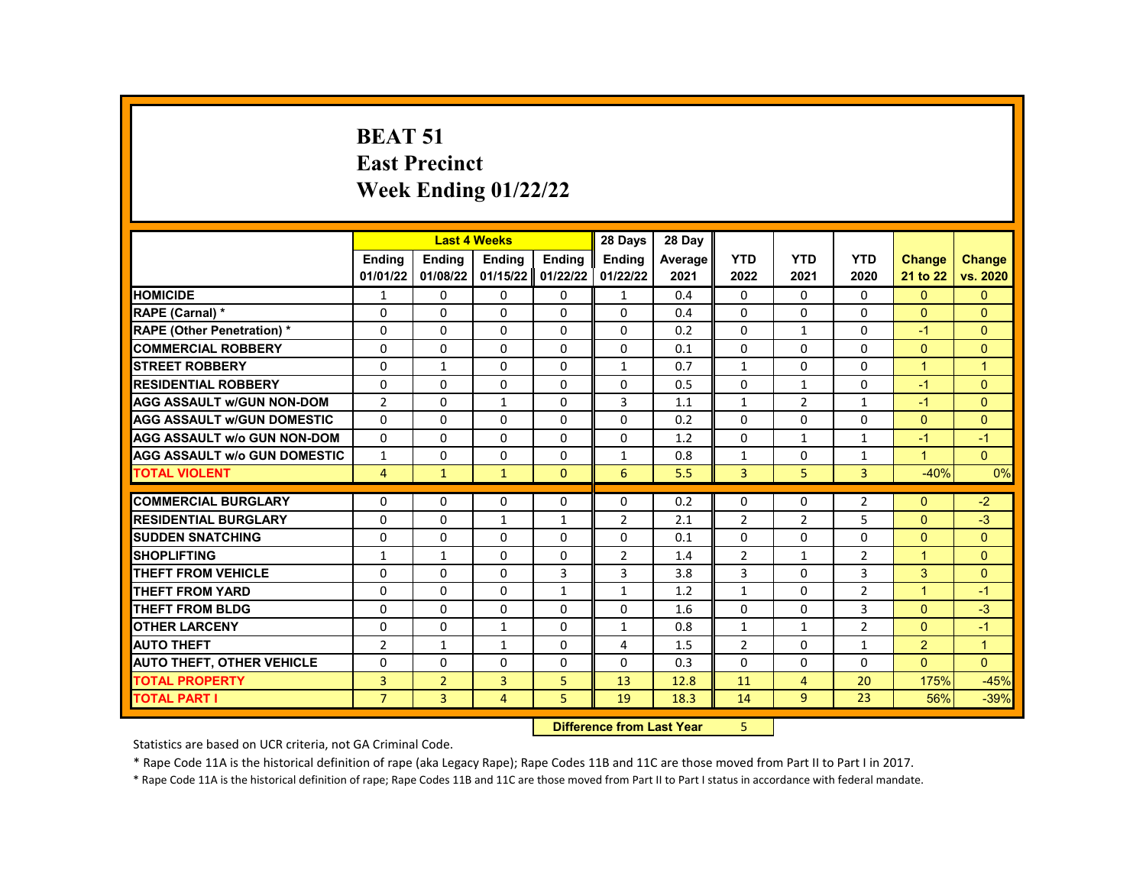#### **BEAT 51 East Precinct Week Ending 01/22/22**

|                                     |                | <b>Last 4 Weeks</b> |               |                   | 28 Days        | 28 Day  |                |                |                |               |                |
|-------------------------------------|----------------|---------------------|---------------|-------------------|----------------|---------|----------------|----------------|----------------|---------------|----------------|
|                                     | <b>Endina</b>  | <b>Endina</b>       | <b>Endina</b> | <b>Endina</b>     | <b>Endina</b>  | Average | <b>YTD</b>     | <b>YTD</b>     | <b>YTD</b>     | <b>Change</b> | <b>Change</b>  |
|                                     | 01/01/22       | 01/08/22            | 01/15/22      | 01/22/22          | 01/22/22       | 2021    | 2022           | 2021           | 2020           | 21 to 22      | vs. 2020       |
| <b>HOMICIDE</b>                     | 1              | 0                   | 0             | 0                 | $\mathbf{1}$   | 0.4     | $\mathbf{0}$   | 0              | 0              | $\mathbf{0}$  | $\Omega$       |
| RAPE (Carnal) *                     | $\Omega$       | $\Omega$            | 0             | $\Omega$          | $\Omega$       | 0.4     | $\Omega$       | $\Omega$       | $\Omega$       | $\Omega$      | $\Omega$       |
| <b>RAPE (Other Penetration) *</b>   | $\Omega$       | $\Omega$            | $\Omega$      | $\Omega$          | $\Omega$       | 0.2     | $\Omega$       | $\mathbf{1}$   | $\Omega$       | $-1$          | $\Omega$       |
| <b>COMMERCIAL ROBBERY</b>           | 0              | 0                   | 0             | 0                 | $\Omega$       | 0.1     | $\Omega$       | 0              | $\Omega$       | $\Omega$      | $\overline{0}$ |
| <b>STREET ROBBERY</b>               | 0              | $\mathbf{1}$        | $\Omega$      | $\Omega$          | $\mathbf{1}$   | 0.7     | $\mathbf{1}$   | $\Omega$       | 0              | $\mathbf{1}$  | $\mathbf{1}$   |
| <b>RESIDENTIAL ROBBERY</b>          | $\Omega$       | $\Omega$            | $\Omega$      | $\Omega$          | $\Omega$       | 0.5     | $\Omega$       | $\mathbf{1}$   | $\Omega$       | $-1$          | $\Omega$       |
| <b>AGG ASSAULT w/GUN NON-DOM</b>    | $\overline{2}$ | $\Omega$            | $\mathbf{1}$  | $\Omega$          | 3              | 1.1     | $\mathbf{1}$   | $\overline{2}$ | $\mathbf{1}$   | $-1$          | $\Omega$       |
| <b>AGG ASSAULT w/GUN DOMESTIC</b>   | $\Omega$       | $\Omega$            | 0             | $\Omega$          | $\Omega$       | 0.2     | $\Omega$       | $\Omega$       | $\Omega$       | $\Omega$      | $\Omega$       |
| <b>AGG ASSAULT w/o GUN NON-DOM</b>  | $\Omega$       | $\Omega$            | 0             | $\Omega$          | $\Omega$       | 1.2     | $\Omega$       | $\mathbf{1}$   | $\mathbf{1}$   | $-1$          | $-1$           |
| <b>AGG ASSAULT W/o GUN DOMESTIC</b> | $\mathbf{1}$   | $\Omega$            | 0             | $\Omega$          | $\mathbf{1}$   | 0.8     | $\mathbf{1}$   | $\Omega$       | $\mathbf{1}$   | $\mathbf{1}$  | $\Omega$       |
| <b>TOTAL VIOLENT</b>                | 4              | $\mathbf{1}$        | $\mathbf{1}$  | $\mathbf{0}$      | 6              | 5.5     | 3              | 5              | 3              | $-40%$        | 0%             |
|                                     |                |                     |               |                   |                |         |                |                |                |               |                |
| <b>COMMERCIAL BURGLARY</b>          | $\Omega$       | 0                   | 0             | 0                 | 0              | 0.2     | 0              | 0              | $\overline{2}$ | $\Omega$      | $-2$           |
| <b>RESIDENTIAL BURGLARY</b>         | $\Omega$       | 0                   | $\mathbf{1}$  | $\mathbf{1}$      | $\overline{2}$ | 2.1     | $\overline{2}$ | $\overline{2}$ | 5              | $\Omega$      | $-3$           |
| <b>SUDDEN SNATCHING</b>             | $\Omega$       | $\Omega$            | $\Omega$      | $\Omega$          | $\Omega$       | 0.1     | $\Omega$       | $\Omega$       | $\Omega$       | $\Omega$      | $\Omega$       |
| <b>SHOPLIFTING</b>                  | $\mathbf{1}$   | $\mathbf{1}$        | 0             | $\Omega$          | $\overline{2}$ | 1.4     | $\overline{2}$ | $\mathbf{1}$   | $\overline{2}$ | $\mathbf{1}$  | $\Omega$       |
| <b>THEFT FROM VEHICLE</b>           | $\Omega$       | $\Omega$            | 0             | 3                 | 3              | 3.8     | 3              | $\Omega$       | 3              | 3             | $\Omega$       |
| <b>THEFT FROM YARD</b>              | $\Omega$       | $\Omega$            | $\Omega$      | $\mathbf{1}$      | $\mathbf{1}$   | 1.2     | $\mathbf{1}$   | $\Omega$       | $\overline{2}$ | $\mathbf{1}$  | $-1$           |
| <b>THEFT FROM BLDG</b>              | $\Omega$       | $\Omega$            | 0             | $\Omega$          | $\Omega$       | 1.6     | $\Omega$       | $\Omega$       | 3              | $\Omega$      | $-3$           |
| <b>OTHER LARCENY</b>                | $\Omega$       | $\Omega$            | $\mathbf{1}$  | $\Omega$          | $\mathbf{1}$   | 0.8     | $\mathbf{1}$   | $\mathbf{1}$   | $\overline{2}$ | $\Omega$      | $-1$           |
| <b>AUTO THEFT</b>                   | $\overline{2}$ | $\mathbf{1}$        | $\mathbf{1}$  | $\Omega$          | 4              | 1.5     | $\overline{2}$ | $\Omega$       | $\mathbf{1}$   | 2             | $\mathbf{1}$   |
| <b>AUTO THEFT, OTHER VEHICLE</b>    | $\Omega$       | 0                   | 0             | 0                 | $\Omega$       | 0.3     | $\Omega$       | 0              | $\Omega$       | $\Omega$      | $\Omega$       |
| <b>TOTAL PROPERTY</b>               | 3              | $\overline{2}$      | 3             | 5                 | 13             | 12.8    | 11             | 4              | 20             | 175%          | $-45%$         |
| <b>TOTAL PART I</b>                 | $\overline{7}$ | 3                   | 4             | 5                 | 19             | 18.3    | 14             | 9              | 23             | 56%           | $-39%$         |
|                                     |                |                     |               | <b>STATISTICS</b> |                |         |                |                |                |               |                |

#### **Difference from Last Year** 5 |

Statistics are based on UCR criteria, not GA Criminal Code.

\* Rape Code 11A is the historical definition of rape (aka Legacy Rape); Rape Codes 11B and 11C are those moved from Part II to Part I in 2017.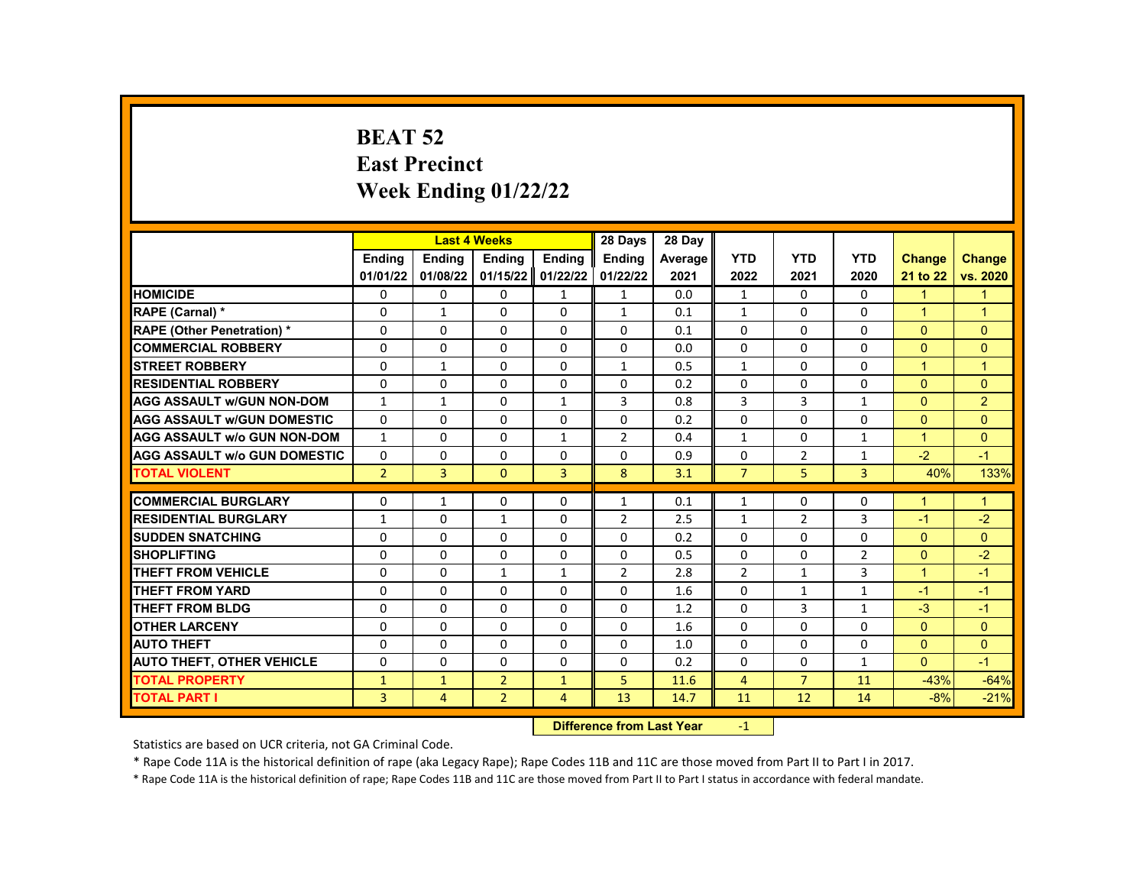# **BEAT 52 East Precinct Week Ending 01/22/22**

|                                     |                | <b>Last 4 Weeks</b> |                |                | 28 Days                              | 28 Day  |                |                |              |                |                      |
|-------------------------------------|----------------|---------------------|----------------|----------------|--------------------------------------|---------|----------------|----------------|--------------|----------------|----------------------|
|                                     | <b>Endina</b>  | <b>Endina</b>       | <b>Endina</b>  | <b>Endina</b>  | <b>Endina</b>                        | Average | <b>YTD</b>     | <b>YTD</b>     | <b>YTD</b>   | <b>Change</b>  | <b>Change</b>        |
|                                     | 01/01/22       | 01/08/22            | 01/15/22       | 01/22/22       | 01/22/22                             | 2021    | 2022           | 2021           | 2020         | 21 to 22       | vs. 2020             |
| <b>HOMICIDE</b>                     | 0              | 0                   | 0              | $\mathbf{1}$   | $\mathbf{1}$                         | 0.0     | $\mathbf{1}$   | 0              | 0            | $\mathbf{1}$   | 1                    |
| RAPE (Carnal) *                     | $\Omega$       | $\mathbf{1}$        | $\Omega$       | $\Omega$       | $\mathbf{1}$                         | 0.1     | $\mathbf{1}$   | $\Omega$       | $\Omega$     | $\mathbf{1}$   | $\mathbf{1}$         |
| <b>RAPE (Other Penetration) *</b>   | $\Omega$       | $\Omega$            | $\Omega$       | $\Omega$       | $\Omega$                             | 0.1     | $\Omega$       | $\Omega$       | $\Omega$     | $\Omega$       | $\Omega$             |
| <b>COMMERCIAL ROBBERY</b>           | $\Omega$       | $\Omega$            | $\Omega$       | $\Omega$       | $\Omega$                             | 0.0     | $\Omega$       | $\Omega$       | $\Omega$     | $\Omega$       | $\Omega$             |
| <b>STREET ROBBERY</b>               | $\Omega$       | $\mathbf{1}$        | $\Omega$       | $\Omega$       | $\mathbf{1}$                         | 0.5     | $\mathbf{1}$   | $\Omega$       | $\Omega$     | 1              | $\blacktriangleleft$ |
| <b>RESIDENTIAL ROBBERY</b>          | $\Omega$       | $\Omega$            | $\Omega$       | $\Omega$       | 0                                    | 0.2     | $\Omega$       | $\Omega$       | $\Omega$     | $\Omega$       | $\Omega$             |
| <b>AGG ASSAULT w/GUN NON-DOM</b>    | $\mathbf{1}$   | 1                   | $\Omega$       | $\mathbf{1}$   | 3                                    | 0.8     | 3              | 3              | $\mathbf{1}$ | $\Omega$       | $\overline{2}$       |
| <b>AGG ASSAULT w/GUN DOMESTIC</b>   | $\Omega$       | 0                   | $\Omega$       | $\Omega$       | 0                                    | 0.2     | $\Omega$       | 0              | $\Omega$     | $\Omega$       | $\Omega$             |
| <b>AGG ASSAULT w/o GUN NON-DOM</b>  | $\mathbf{1}$   | $\Omega$            | $\Omega$       | $\mathbf{1}$   | $\overline{2}$                       | 0.4     | $\mathbf{1}$   | $\Omega$       | $\mathbf{1}$ | $\mathbf{1}$   | $\Omega$             |
| <b>AGG ASSAULT W/o GUN DOMESTIC</b> | $\Omega$       | $\Omega$            | $\Omega$       | $\Omega$       | 0                                    | 0.9     | 0              | $\overline{2}$ | $\mathbf{1}$ | $-2$           | $-1$                 |
| <b>TOTAL VIOLENT</b>                | $\overline{2}$ | 3                   | $\mathbf 0$    | 3              | 8                                    | 3.1     | $\overline{7}$ | 5              | 3            | 40%            | 133%                 |
|                                     |                |                     |                |                |                                      |         |                |                |              |                |                      |
| <b>COMMERCIAL BURGLARY</b>          | 0              | $\mathbf{1}$        | $\Omega$       | 0              | 1                                    | 0.1     | $\mathbf{1}$   | 0              | $\Omega$     | $\mathbf{1}$   | 1                    |
| <b>RESIDENTIAL BURGLARY</b>         | $\mathbf{1}$   | 0                   | $\mathbf{1}$   | $\Omega$       | $\overline{2}$                       | 2.5     | $\mathbf{1}$   | $\overline{2}$ | 3            | $-1$           | $-2$                 |
| <b>SUDDEN SNATCHING</b>             | $\Omega$       | $\Omega$            | $\Omega$       | $\Omega$       | 0                                    | 0.2     | $\Omega$       | $\Omega$       | $\Omega$     | $\Omega$       | $\Omega$             |
| <b>SHOPLIFTING</b>                  | 0              | 0                   | 0              | 0              | 0                                    | 0.5     | 0              | 0              | 2            | $\Omega$       | $-2$                 |
| <b>THEFT FROM VEHICLE</b>           | $\Omega$       | 0                   | $\mathbf{1}$   | $\mathbf{1}$   | $\overline{2}$                       | 2.8     | $\overline{2}$ | $\mathbf{1}$   | 3            | $\mathbf{1}$   | $-1$                 |
| <b>THEFT FROM YARD</b>              | $\Omega$       | $\Omega$            | $\Omega$       | $\Omega$       | $\Omega$                             | 1.6     | $\Omega$       | $\mathbf{1}$   | $\mathbf{1}$ | $-1$           | $-1$                 |
| <b>THEFT FROM BLDG</b>              | $\Omega$       | 0                   | $\Omega$       | 0              | 0                                    | 1.2     | $\Omega$       | 3              | $\mathbf{1}$ | $-3$           | $-1$                 |
| <b>OTHER LARCENY</b>                | $\Omega$       | $\Omega$            | $\Omega$       | $\Omega$       | $\Omega$                             | 1.6     | $\Omega$       | $\Omega$       | $\Omega$     | $\Omega$       | $\Omega$             |
| <b>AUTO THEFT</b>                   | $\Omega$       | $\Omega$            | $\Omega$       | $\Omega$       | $\Omega$                             | 1.0     | $\Omega$       | $\Omega$       | $\Omega$     | $\Omega$       | $\Omega$             |
| <b>AUTO THEFT, OTHER VEHICLE</b>    | 0              | 0                   | 0              | 0              | 0                                    | 0.2     | 0              | $\mathbf{0}$   | $\mathbf{1}$ | $\overline{0}$ | $-1$                 |
| <b>TOTAL PROPERTY</b>               | $\mathbf{1}$   | $\mathbf{1}$        | $\overline{2}$ | $\mathbf{1}$   | 5                                    | 11.6    | $\overline{4}$ | $\overline{7}$ | 11           | $-43%$         | $-64%$               |
| <b>TOTAL PART I</b>                 | 3              | $\overline{4}$      | $\overline{2}$ | 4              | 13                                   | 14.7    | 11             | 12             | 14           | $-8%$          | $-21%$               |
|                                     |                |                     |                | <b>PARKERS</b> | and the contract of the March 1980s. |         | $\sim$         |                |              |                |                      |

**Difference from Last Year** -1

Statistics are based on UCR criteria, not GA Criminal Code.

\* Rape Code 11A is the historical definition of rape (aka Legacy Rape); Rape Codes 11B and 11C are those moved from Part II to Part I in 2017.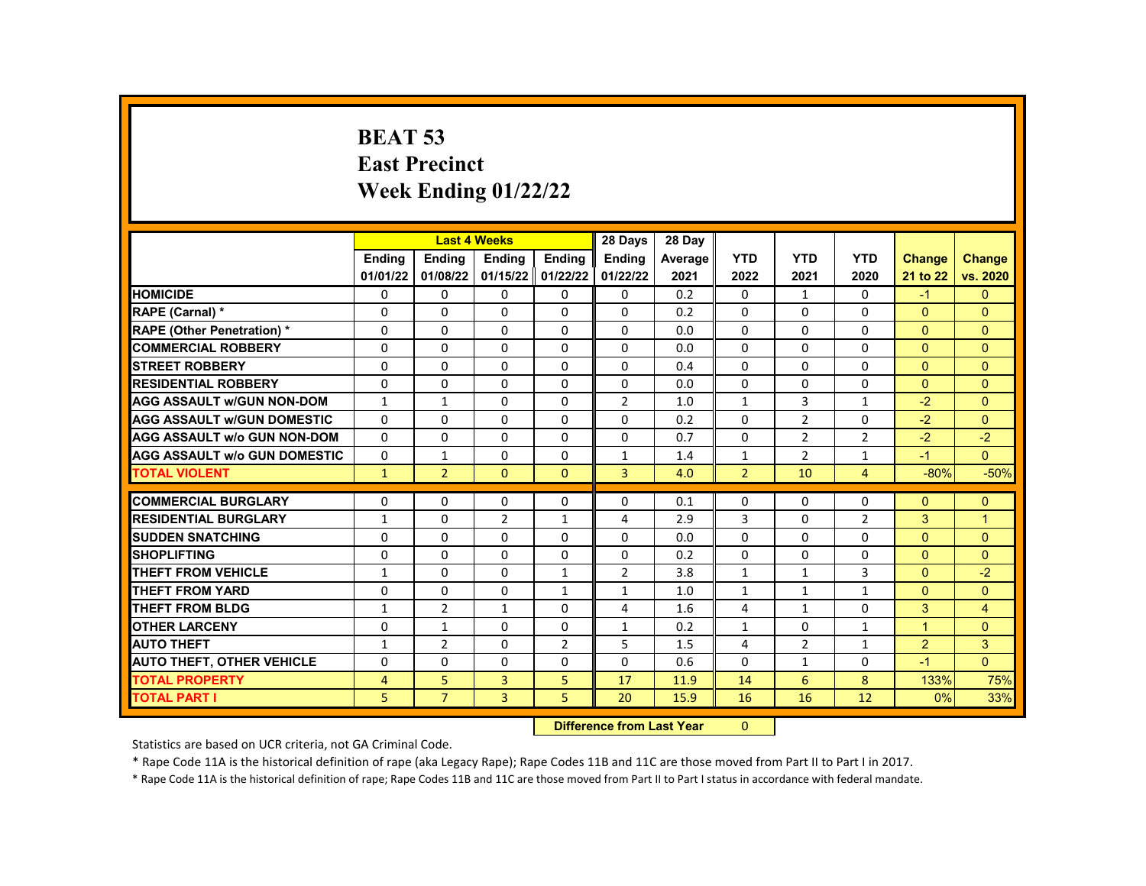# **BEAT 53 East Precinct Week Ending 01/22/22**

|                                     |                |                | <b>Last 4 Weeks</b> |                | 28 Days        | 28 Dav  |                |                |                |               |                |
|-------------------------------------|----------------|----------------|---------------------|----------------|----------------|---------|----------------|----------------|----------------|---------------|----------------|
|                                     | Ending         | <b>Ending</b>  | Ending              | Ending         | Ending         | Average | <b>YTD</b>     | <b>YTD</b>     | <b>YTD</b>     | <b>Change</b> | <b>Change</b>  |
|                                     | 01/01/22       | 01/08/22       | 01/15/22            | 01/22/22       | 01/22/22       | 2021    | 2022           | 2021           | 2020           | 21 to 22      | vs. 2020       |
| <b>HOMICIDE</b>                     | 0              | 0              | 0                   | $\mathbf 0$    | 0              | 0.2     | 0              | $\mathbf{1}$   | 0              | $-1$          | $\mathbf{0}$   |
| <b>RAPE (Carnal) *</b>              | $\Omega$       | $\Omega$       | $\Omega$            | $\Omega$       | $\Omega$       | 0.2     | $\Omega$       | $\Omega$       | $\Omega$       | $\Omega$      | $\Omega$       |
| <b>RAPE (Other Penetration) *</b>   | $\Omega$       | $\Omega$       | $\Omega$            | $\Omega$       | $\Omega$       | 0.0     | $\Omega$       | $\Omega$       | $\Omega$       | $\Omega$      | $\Omega$       |
| <b>COMMERCIAL ROBBERY</b>           | $\Omega$       | $\Omega$       | $\Omega$            | $\Omega$       | 0              | 0.0     | $\Omega$       | $\Omega$       | $\Omega$       | $\Omega$      | $\Omega$       |
| <b>STREET ROBBERY</b>               | $\Omega$       | $\Omega$       | $\Omega$            | $\Omega$       | 0              | 0.4     | $\Omega$       | $\Omega$       | $\Omega$       | $\Omega$      | $\Omega$       |
| <b>RESIDENTIAL ROBBERY</b>          | $\Omega$       | $\Omega$       | $\Omega$            | $\Omega$       | $\Omega$       | 0.0     | $\Omega$       | $\Omega$       | $\Omega$       | $\Omega$      | $\Omega$       |
| <b>AGG ASSAULT w/GUN NON-DOM</b>    | $\mathbf{1}$   | $\mathbf{1}$   | $\Omega$            | $\Omega$       | $\overline{2}$ | 1.0     | $\mathbf{1}$   | 3              | $\mathbf{1}$   | $-2$          | $\Omega$       |
| <b>AGG ASSAULT w/GUN DOMESTIC</b>   | $\Omega$       | $\Omega$       | $\Omega$            | $\mathbf{0}$   | $\Omega$       | 0.2     | $\Omega$       | $\overline{2}$ | $\Omega$       | $-2$          | $\Omega$       |
| <b>AGG ASSAULT w/o GUN NON-DOM</b>  | $\Omega$       | $\Omega$       | $\Omega$            | $\Omega$       | $\Omega$       | 0.7     | $\Omega$       | $\overline{2}$ | $\overline{2}$ | $-2$          | $-2$           |
| <b>AGG ASSAULT W/o GUN DOMESTIC</b> | $\Omega$       | $\mathbf{1}$   | 0                   | $\Omega$       | $\mathbf{1}$   | 1.4     | $\mathbf{1}$   | $\overline{2}$ | 1              | $-1$          | $\Omega$       |
| <b>TOTAL VIOLENT</b>                | $\mathbf{1}$   | $\overline{2}$ | $\mathbf{0}$        | $\Omega$       | 3              | 4.0     | $\overline{2}$ | 10             | $\overline{4}$ | $-80%$        | $-50%$         |
|                                     |                |                |                     |                |                |         |                |                |                |               |                |
| <b>COMMERCIAL BURGLARY</b>          | 0              | 0              | 0                   | $\mathbf{0}$   | $\Omega$       | 0.1     | $\Omega$       | 0              | 0              | $\Omega$      | $\mathbf{0}$   |
| <b>RESIDENTIAL BURGLARY</b>         | $\mathbf{1}$   | $\Omega$       | $\overline{2}$      | 1              | 4              | 2.9     | 3              | $\Omega$       | $\overline{2}$ | 3             | $\mathbf{1}$   |
| <b>SUDDEN SNATCHING</b>             | $\Omega$       | $\Omega$       | $\Omega$            | $\Omega$       | $\Omega$       | 0.0     | $\Omega$       | $\Omega$       | $\Omega$       | $\Omega$      | $\Omega$       |
| <b>SHOPLIFTING</b>                  | $\Omega$       | $\Omega$       | 0                   | $\Omega$       | $\Omega$       | 0.2     | $\Omega$       | $\Omega$       | $\Omega$       | $\Omega$      | $\Omega$       |
| <b>THEFT FROM VEHICLE</b>           | $\mathbf{1}$   | $\Omega$       | $\Omega$            | $\mathbf{1}$   | $\overline{2}$ | 3.8     | $\mathbf{1}$   | $\mathbf{1}$   | 3              | $\Omega$      | $-2$           |
| <b>THEFT FROM YARD</b>              | $\Omega$       | $\Omega$       | $\Omega$            | $\mathbf{1}$   | $\mathbf{1}$   | 1.0     | $\mathbf{1}$   | $\mathbf{1}$   | $\mathbf{1}$   | $\Omega$      | $\Omega$       |
| <b>THEFT FROM BLDG</b>              | $\mathbf{1}$   | $\overline{2}$ | $\mathbf{1}$        | $\Omega$       | 4              | 1.6     | 4              | $\mathbf{1}$   | $\Omega$       | 3             | $\overline{4}$ |
| <b>OTHER LARCENY</b>                | $\mathbf{0}$   | $\mathbf{1}$   | $\Omega$            | $\Omega$       | $\mathbf{1}$   | 0.2     | $\mathbf{1}$   | $\Omega$       | $\mathbf{1}$   | $\mathbf{1}$  | $\Omega$       |
| <b>AUTO THEFT</b>                   | $\mathbf{1}$   | $\overline{2}$ | $\Omega$            | $\overline{2}$ | 5              | 1.5     | 4              | $\overline{2}$ | $\mathbf{1}$   | 2             | 3              |
| <b>AUTO THEFT, OTHER VEHICLE</b>    | $\mathbf{0}$   | $\Omega$       | $\Omega$            | $\Omega$       | $\Omega$       | 0.6     | $\Omega$       | $\mathbf{1}$   | $\Omega$       | $-1$          | $\Omega$       |
| <b>TOTAL PROPERTY</b>               | $\overline{4}$ | 5              | 3                   | 5              | 17             | 11.9    | 14             | 6              | 8              | 133%          | 75%            |
| <b>TOTAL PART I</b>                 | 5              | $\overline{7}$ | $\overline{3}$      | 5.             | 20             | 15.9    | 16             | 16             | 12             | 0%            | 33%            |
|                                     |                |                |                     |                |                |         |                |                |                |               |                |

**Difference from Last Year** 

Statistics are based on UCR criteria, not GA Criminal Code.

\* Rape Code 11A is the historical definition of rape (aka Legacy Rape); Rape Codes 11B and 11C are those moved from Part II to Part I in 2017.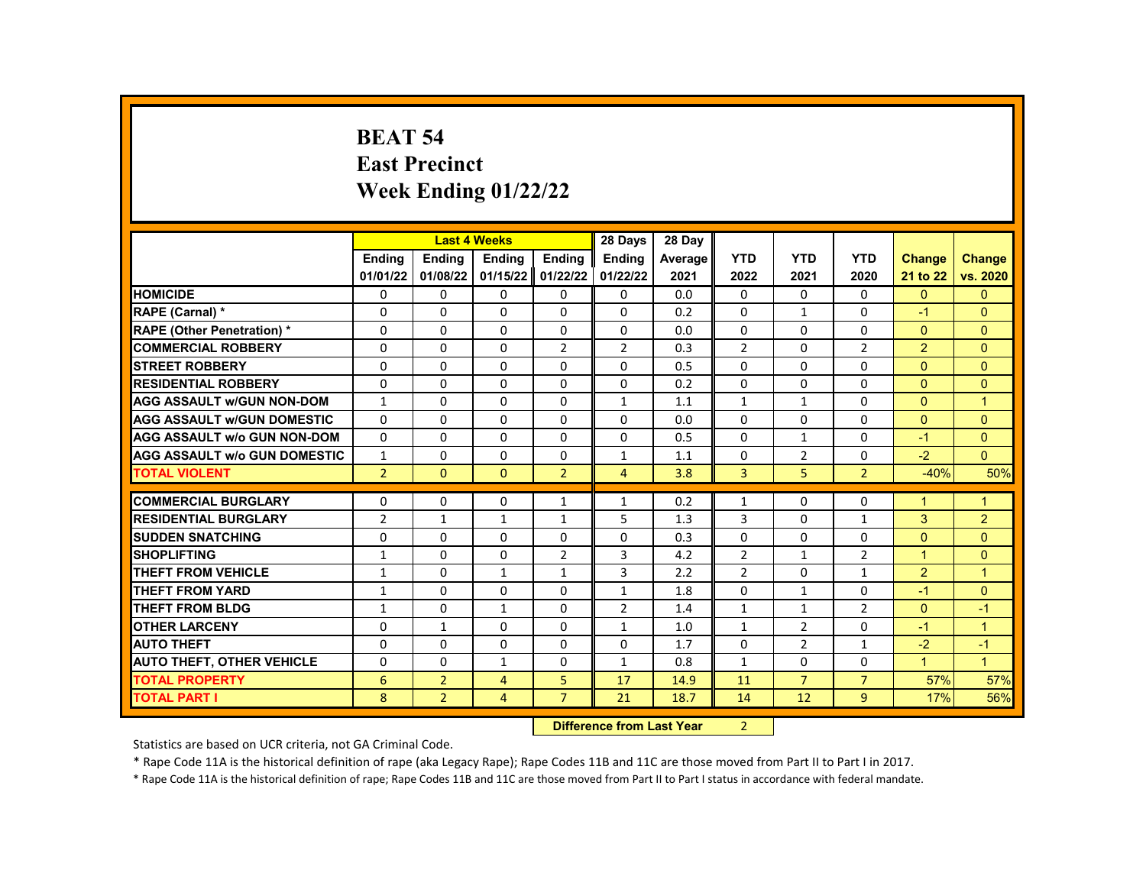# **BEAT 54 East Precinct Week Ending 01/22/22**

|                                     |                | <b>Last 4 Weeks</b> |              |                   | 28 Days                   | 28 Day  |                |                |                |                |                |
|-------------------------------------|----------------|---------------------|--------------|-------------------|---------------------------|---------|----------------|----------------|----------------|----------------|----------------|
|                                     | <b>Endina</b>  | <b>Ending</b>       | Ending       | Ending            | Ending                    | Average | <b>YTD</b>     | <b>YTD</b>     | <b>YTD</b>     | <b>Change</b>  | <b>Change</b>  |
|                                     | 01/01/22       | 01/08/22            |              | 01/15/22 01/22/22 | 01/22/22                  | 2021    | 2022           | 2021           | 2020           | 21 to 22       | vs. 2020       |
| <b>HOMICIDE</b>                     | 0              | 0                   | 0            | 0                 | 0                         | 0.0     | $\mathbf{0}$   | $\Omega$       | 0              | $\mathbf{0}$   | $\mathbf{0}$   |
| RAPE (Carnal) *                     | 0              | 0                   | $\Omega$     | 0                 | $\Omega$                  | 0.2     | $\Omega$       | $\mathbf{1}$   | $\Omega$       | $-1$           | $\Omega$       |
| <b>RAPE (Other Penetration) *</b>   | 0              | $\Omega$            | $\Omega$     | $\Omega$          | $\Omega$                  | 0.0     | $\Omega$       | $\Omega$       | $\Omega$       | $\Omega$       | $\Omega$       |
| <b>COMMERCIAL ROBBERY</b>           | 0              | $\Omega$            | $\Omega$     | $\overline{2}$    | $\overline{2}$            | 0.3     | $\overline{2}$ | $\Omega$       | $\overline{2}$ | $\overline{2}$ | $\Omega$       |
| <b>STREET ROBBERY</b>               | 0              | $\Omega$            | 0            | $\Omega$          | $\Omega$                  | 0.5     | $\Omega$       | $\Omega$       | $\Omega$       | $\Omega$       | $\Omega$       |
| <b>RESIDENTIAL ROBBERY</b>          | $\Omega$       | $\Omega$            | $\Omega$     | $\Omega$          | $\Omega$                  | 0.2     | $\Omega$       | $\Omega$       | $\Omega$       | $\Omega$       | $\Omega$       |
| <b>AGG ASSAULT w/GUN NON-DOM</b>    | $\mathbf{1}$   | 0                   | 0            | 0                 | $\mathbf{1}$              | 1.1     | $\mathbf{1}$   | $\mathbf{1}$   | 0              | $\Omega$       | $\overline{1}$ |
| <b>AGG ASSAULT w/GUN DOMESTIC</b>   | 0              | 0                   | 0            | 0                 | 0                         | 0.0     | $\Omega$       | 0              | 0              | $\mathbf{0}$   | $\Omega$       |
| <b>AGG ASSAULT w/o GUN NON-DOM</b>  | $\Omega$       | $\Omega$            | $\Omega$     | $\Omega$          | $\Omega$                  | 0.5     | $\Omega$       | $\mathbf{1}$   | $\Omega$       | $-1$           | $\Omega$       |
| <b>AGG ASSAULT w/o GUN DOMESTIC</b> | $\mathbf{1}$   | $\Omega$            | 0            | $\Omega$          | $\mathbf{1}$              | 1.1     | $\mathbf{0}$   | $\overline{2}$ | $\Omega$       | $-2$           | $\Omega$       |
| <b>TOTAL VIOLENT</b>                | $\overline{2}$ | $\mathbf{0}$        | $\mathbf{0}$ | $\overline{2}$    | 4                         | 3.8     | 3              | 5              | $\overline{2}$ | $-40%$         | 50%            |
|                                     |                |                     |              |                   |                           |         |                |                |                |                |                |
| <b>COMMERCIAL BURGLARY</b>          | 0              | $\Omega$            | 0            | $\mathbf{1}$      | 1                         | 0.2     | $\mathbf{1}$   | 0              | 0              | 1              | 1              |
| <b>RESIDENTIAL BURGLARY</b>         | $\overline{2}$ | $\mathbf{1}$        | $\mathbf{1}$ | $\mathbf{1}$      | 5                         | 1.3     | 3              | $\mathbf{0}$   | 1              | 3              | 2              |
| <b>SUDDEN SNATCHING</b>             | 0              | $\Omega$            | $\Omega$     | 0                 | $\Omega$                  | 0.3     | $\Omega$       | $\Omega$       | $\Omega$       | $\Omega$       | $\Omega$       |
| <b>SHOPLIFTING</b>                  | $\mathbf{1}$   | $\Omega$            | 0            | $\overline{2}$    | 3                         | 4.2     | $\overline{2}$ | $\mathbf{1}$   | 2              | $\mathbf{1}$   | $\Omega$       |
| <b>THEFT FROM VEHICLE</b>           | $\mathbf{1}$   | $\Omega$            | $\mathbf{1}$ | $\mathbf{1}$      | 3                         | 2.2     | $\overline{2}$ | $\Omega$       | $\mathbf{1}$   | $\overline{2}$ | $\mathbf{1}$   |
| <b>THEFT FROM YARD</b>              | $\mathbf{1}$   | $\Omega$            | $\Omega$     | $\Omega$          | $\mathbf{1}$              | 1.8     | $\Omega$       | $\mathbf{1}$   | $\Omega$       | $-1$           | $\Omega$       |
| <b>THEFT FROM BLDG</b>              | $\mathbf{1}$   | $\Omega$            | $\mathbf{1}$ | $\Omega$          | $\overline{2}$            | 1.4     | $\mathbf{1}$   | $\mathbf{1}$   | $\overline{2}$ | $\Omega$       | $-1$           |
| <b>OTHER LARCENY</b>                | $\Omega$       | $\mathbf{1}$        | $\Omega$     | $\Omega$          | $\mathbf{1}$              | 1.0     | $\mathbf{1}$   | $\overline{2}$ | $\Omega$       | $-1$           | $\mathbf{1}$   |
| <b>AUTO THEFT</b>                   | 0              | 0                   | $\Omega$     | 0                 | 0                         | 1.7     | $\Omega$       | $\overline{2}$ | $\mathbf{1}$   | $-2$           | $-1$           |
| <b>AUTO THEFT, OTHER VEHICLE</b>    | 0              | $\Omega$            | $\mathbf{1}$ | 0                 | $\mathbf{1}$              | 0.8     | $\mathbf{1}$   | $\mathbf{0}$   | 0              | $\mathbf{1}$   | $\mathbf{1}$   |
| <b>TOTAL PROPERTY</b>               | 6              | $\overline{2}$      | 4            | 5                 | 17                        | 14.9    | 11             | $\overline{7}$ | $\overline{7}$ | 57%            | 57%            |
| <b>TOTAL PART I</b>                 | 8              | $\overline{2}$      | 4            | $\overline{7}$    | 21                        | 18.7    | 14             | 12             | 9              | 17%            | 56%            |
|                                     |                |                     |              |                   | Difference from Loot Voor |         | $\mathcal{L}$  |                |                |                |                |

**Difference from Last Year** 

Statistics are based on UCR criteria, not GA Criminal Code.

\* Rape Code 11A is the historical definition of rape (aka Legacy Rape); Rape Codes 11B and 11C are those moved from Part II to Part I in 2017.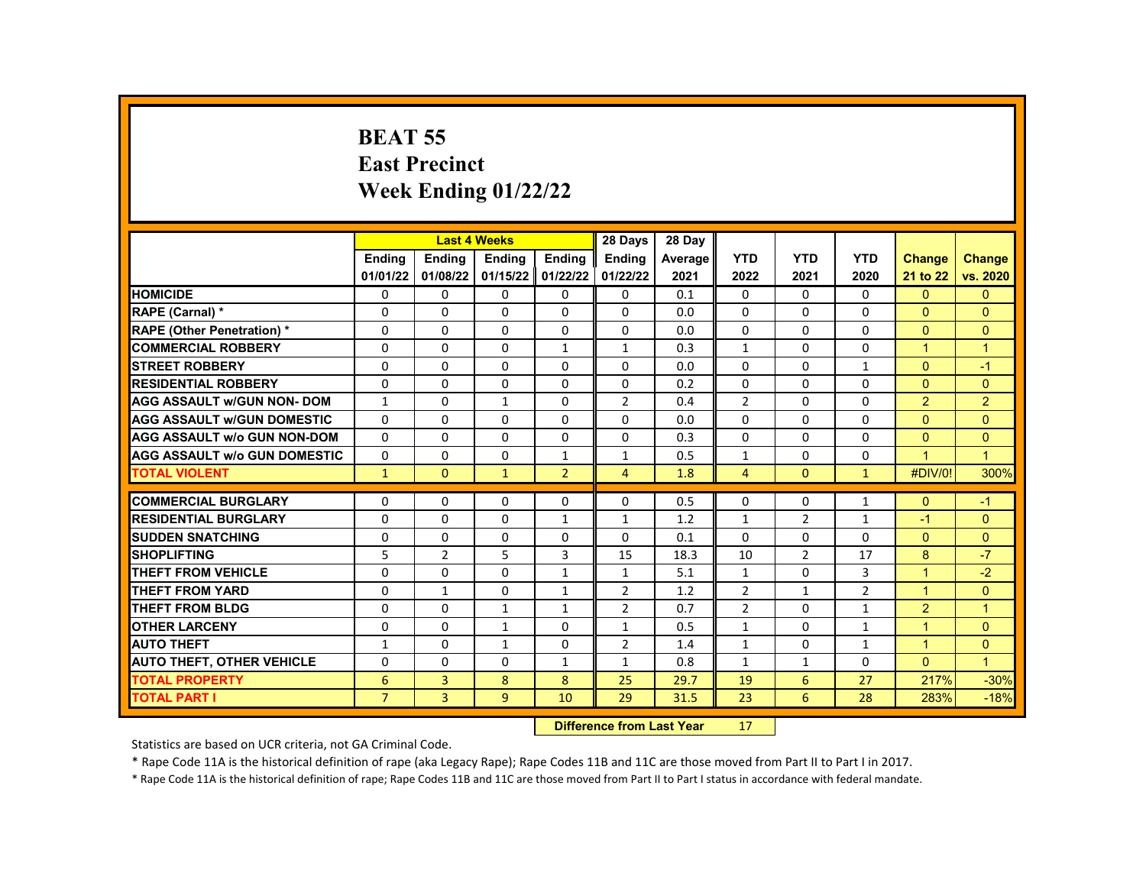# **BEAT 55 East Precinct Week Ending 01/22/22**

|                                     |                |                                  | <b>Last 4 Weeks</b> |                | 28 Days        | 28 Day  |                |                |                |                |                      |
|-------------------------------------|----------------|----------------------------------|---------------------|----------------|----------------|---------|----------------|----------------|----------------|----------------|----------------------|
|                                     | Ending         | <b>Endina</b>                    | <b>Endina</b>       | Ending         | <b>Endina</b>  | Average | <b>YTD</b>     | <b>YTD</b>     | <b>YTD</b>     | <b>Change</b>  | <b>Change</b>        |
|                                     | 01/01/22       | 01/08/22                         | 01/15/22            | 01/22/22       | 01/22/22       | 2021    | 2022           | 2021           | 2020           | 21 to 22       | vs. 2020             |
| <b>HOMICIDE</b>                     | 0              | 0                                | 0                   | 0              | 0              | 0.1     | 0              | $\Omega$       | $\Omega$       | $\Omega$       | $\mathbf{0}$         |
| RAPE (Carnal) *                     | $\Omega$       | $\Omega$                         | $\Omega$            | $\Omega$       | $\Omega$       | 0.0     | 0              | $\Omega$       | $\Omega$       | $\Omega$       | $\Omega$             |
| <b>RAPE (Other Penetration) *</b>   | $\Omega$       | $\Omega$                         | 0                   | $\Omega$       | $\Omega$       | 0.0     | 0              | $\Omega$       | $\Omega$       | $\Omega$       | $\mathbf{0}$         |
| <b>COMMERCIAL ROBBERY</b>           | 0              | 0                                | 0                   | $\mathbf{1}$   | 1              | 0.3     | $\mathbf{1}$   | $\Omega$       | 0              | $\mathbf{1}$   | $\overline{1}$       |
| <b>STREET ROBBERY</b>               | $\Omega$       | $\Omega$                         | $\Omega$            | $\Omega$       | $\Omega$       | 0.0     | 0              | $\Omega$       | $\mathbf{1}$   | $\Omega$       | $-1$                 |
| <b>RESIDENTIAL ROBBERY</b>          | $\Omega$       | $\Omega$                         | $\Omega$            | $\Omega$       | $\Omega$       | 0.2     | $\Omega$       | $\Omega$       | 0              | $\Omega$       | $\mathbf{0}$         |
| <b>AGG ASSAULT w/GUN NON- DOM</b>   | $\mathbf{1}$   | 0                                | $\mathbf{1}$        | $\mathbf 0$    | $\overline{2}$ | 0.4     | $\overline{2}$ | $\Omega$       | $\Omega$       | $\overline{2}$ | $\overline{2}$       |
| <b>AGG ASSAULT W/GUN DOMESTIC</b>   | $\Omega$       | 0                                | $\Omega$            | $\Omega$       | $\Omega$       | 0.0     | 0              | $\Omega$       | $\Omega$       | $\Omega$       | $\Omega$             |
| <b>AGG ASSAULT w/o GUN NON-DOM</b>  | $\Omega$       | $\Omega$                         | $\Omega$            | $\Omega$       | $\Omega$       | 0.3     | 0              | $\Omega$       | 0              | $\Omega$       | $\Omega$             |
| <b>AGG ASSAULT W/o GUN DOMESTIC</b> | $\Omega$       | $\Omega$                         | $\Omega$            | $\mathbf{1}$   | 1              | 0.5     | $\mathbf{1}$   | $\Omega$       | $\Omega$       | 1              | $\overline{1}$       |
| <b>TOTAL VIOLENT</b>                | $\mathbf{1}$   | $\overline{0}$                   | $\mathbf{1}$        | $\overline{2}$ | $\overline{4}$ | 1.8     | 4              | $\mathbf{0}$   | $\mathbf{1}$   | #DIV/0!        | 300%                 |
| <b>COMMERCIAL BURGLARY</b>          | $\Omega$       | $\Omega$                         | $\Omega$            | $\Omega$       | 0              | 0.5     | 0              | $\Omega$       | $\mathbf{1}$   | $\Omega$       | $-1$                 |
| <b>RESIDENTIAL BURGLARY</b>         | $\Omega$       | 0                                | $\Omega$            | $\mathbf{1}$   | $\mathbf{1}$   | 1.2     | $\mathbf{1}$   | $\overline{2}$ | $\mathbf{1}$   | $-1$           | $\Omega$             |
| <b>SUDDEN SNATCHING</b>             | 0              | 0                                | 0                   | $\mathbf{0}$   | 0              | 0.1     | $\Omega$       | $\Omega$       | $\Omega$       | $\Omega$       | $\mathbf{0}$         |
| <b>SHOPLIFTING</b>                  | 5              | $\overline{2}$                   | 5                   | $\overline{3}$ | 15             | 18.3    | 10             | $\overline{2}$ | 17             | 8              | $-7$                 |
| <b>THEFT FROM VEHICLE</b>           | 0              | $\Omega$                         | 0                   | $\mathbf{1}$   | $\mathbf{1}$   | 5.1     | $\mathbf{1}$   | $\Omega$       | 3              | $\mathbf{1}$   | $-2$                 |
| <b>THEFT FROM YARD</b>              | $\Omega$       | 1                                | $\Omega$            | $\mathbf{1}$   | $\overline{2}$ | 1.2     | $\overline{2}$ | $\mathbf{1}$   | $\overline{2}$ | $\overline{1}$ | $\Omega$             |
| <b>THEFT FROM BLDG</b>              | $\Omega$       | $\Omega$                         | $\mathbf{1}$        | $\mathbf{1}$   | $\overline{2}$ | 0.7     | $\overline{2}$ | $\Omega$       | $\mathbf{1}$   | $\overline{2}$ | $\blacktriangleleft$ |
| <b>OTHER LARCENY</b>                | $\Omega$       | $\Omega$                         | $\mathbf{1}$        | $\mathbf{0}$   | $\mathbf{1}$   | 0.5     | $\mathbf{1}$   | $\Omega$       | $\mathbf{1}$   | 1              | $\mathbf{0}$         |
| <b>AUTO THEFT</b>                   | $\mathbf{1}$   | $\Omega$                         | $\mathbf{1}$        | $\Omega$       | $\overline{2}$ | 1.4     | $\mathbf{1}$   | $\Omega$       | $\mathbf{1}$   | $\mathbf{1}$   | $\mathbf{0}$         |
| <b>AUTO THEFT, OTHER VEHICLE</b>    | $\Omega$       | $\Omega$                         | $\Omega$            | $\mathbf{1}$   | $\mathbf{1}$   | 0.8     | $\mathbf{1}$   | $\mathbf{1}$   | 0              | $\Omega$       | $\blacklozenge$      |
| <b>TOTAL PROPERTY</b>               | 6              | 3                                | 8                   | 8              | 25             | 29.7    | 19             | 6              | 27             | 217%           | $-30%$               |
| <b>TOTAL PART I</b>                 | $\overline{7}$ | $\overline{3}$                   | 9                   | 10             | 29             | 31.5    | 23             | 6              | 28             | 283%           | $-18%$               |
|                                     |                | <b>Difference from Last Year</b> |                     | 17             |                |         |                |                |                |                |                      |

Statistics are based on UCR criteria, not GA Criminal Code.

\* Rape Code 11A is the historical definition of rape (aka Legacy Rape); Rape Codes 11B and 11C are those moved from Part II to Part I in 2017.